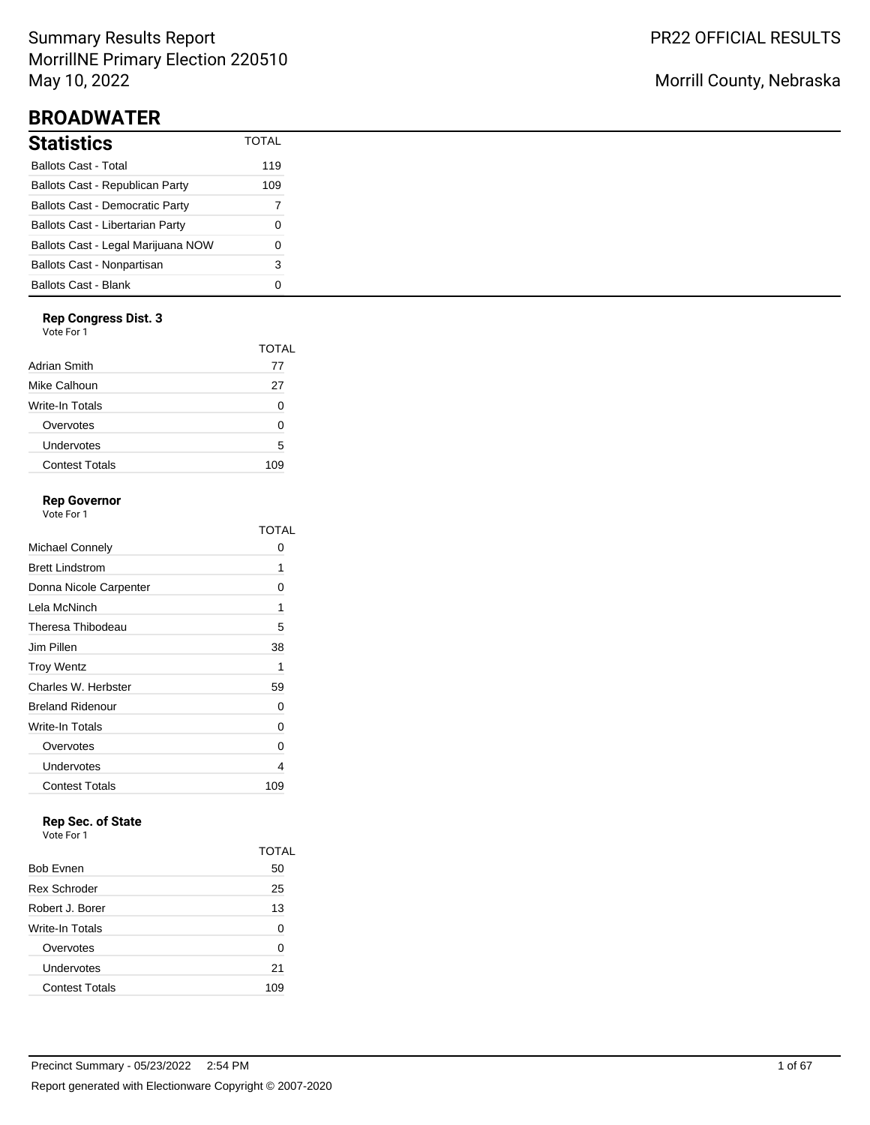# Summary Results Report MorrillNE Primary Election 220510 May 10, 2022

# **BROADWATER**

| Statistics                             | <b>TOTAL</b> |
|----------------------------------------|--------------|
| Ballots Cast - Total                   | 119          |
| Ballots Cast - Republican Party        | 109          |
| <b>Ballots Cast - Democratic Party</b> | 7            |
| Ballots Cast - Libertarian Party       | 0            |
| Ballots Cast - Legal Marijuana NOW     | O            |
| Ballots Cast - Nonpartisan             | 3            |
| Ballots Cast - Blank                   | n            |

## **Rep Congress Dist. 3**

Vote For 1

|                       | TOTAL |
|-----------------------|-------|
| Adrian Smith          | 77    |
| Mike Calhoun          | 27    |
| Write-In Totals       | O     |
| Overvotes             | O     |
| Undervotes            | 5     |
| <b>Contest Totals</b> | 109   |

## **Rep Governor**

Vote For 1

|                         | TOTAI        |
|-------------------------|--------------|
| Michael Connely         | $\mathbf{O}$ |
| <b>Brett Lindstrom</b>  | 1            |
| Donna Nicole Carpenter  | 0            |
| Lela McNinch            | 1            |
| Theresa Thibodeau       | 5            |
| Jim Pillen              | 38           |
| <b>Troy Wentz</b>       | 1            |
| Charles W. Herbster     | 59           |
| <b>Breland Ridenour</b> | U            |
| Write-In Totals         | 0            |
| Overvotes               | 0            |
| Undervotes              | 4            |
| <b>Contest Totals</b>   | 109          |

# **Rep Sec. of State**

|                       | TOTAL |
|-----------------------|-------|
| <b>Bob Evnen</b>      | 50    |
| <b>Rex Schroder</b>   | 25    |
| Robert J. Borer       | 13    |
| Write-In Totals       | 0     |
| Overvotes             | 0     |
| Undervotes            | 21    |
| <b>Contest Totals</b> | 109   |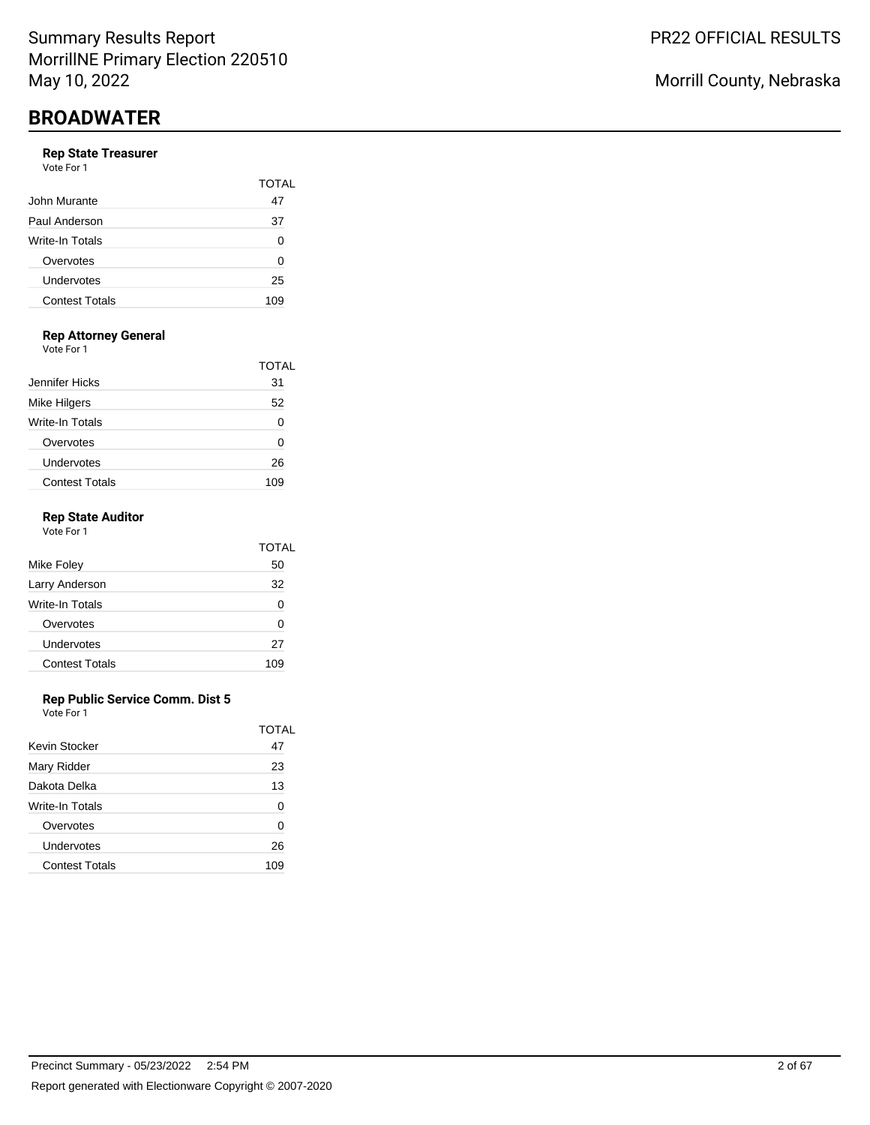#### **Rep State Treasurer**

| Vote For 1            |              |
|-----------------------|--------------|
|                       | <b>TOTAL</b> |
| John Murante          | 47           |
| Paul Anderson         | 37           |
| Write-In Totals       | 0            |
| Overvotes             | 0            |
| Undervotes            | 25           |
| <b>Contest Totals</b> | 109          |

## **Rep Attorney General**

Vote For 1

|                       | TOTAL |
|-----------------------|-------|
| Jennifer Hicks        | 31    |
| Mike Hilgers          | 52    |
| Write-In Totals       |       |
| Overvotes             | O     |
| Undervotes            | 26    |
| <b>Contest Totals</b> | 109   |

### **Rep State Auditor**

| Vote For 1            |       |
|-----------------------|-------|
|                       | TOTAL |
| Mike Foley            | 50    |
| Larry Anderson        | 32    |
| Write-In Totals       | 0     |
| Overvotes             | O     |
| Undervotes            | 27    |
| <b>Contest Totals</b> | 109   |
|                       |       |

### **Rep Public Service Comm. Dist 5**

|                       | TOTAL |
|-----------------------|-------|
| Kevin Stocker         | 47    |
| Mary Ridder           | 23    |
| Dakota Delka          | 13    |
| Write-In Totals       | 0     |
| Overvotes             | O     |
| Undervotes            | 26    |
| <b>Contest Totals</b> | 109   |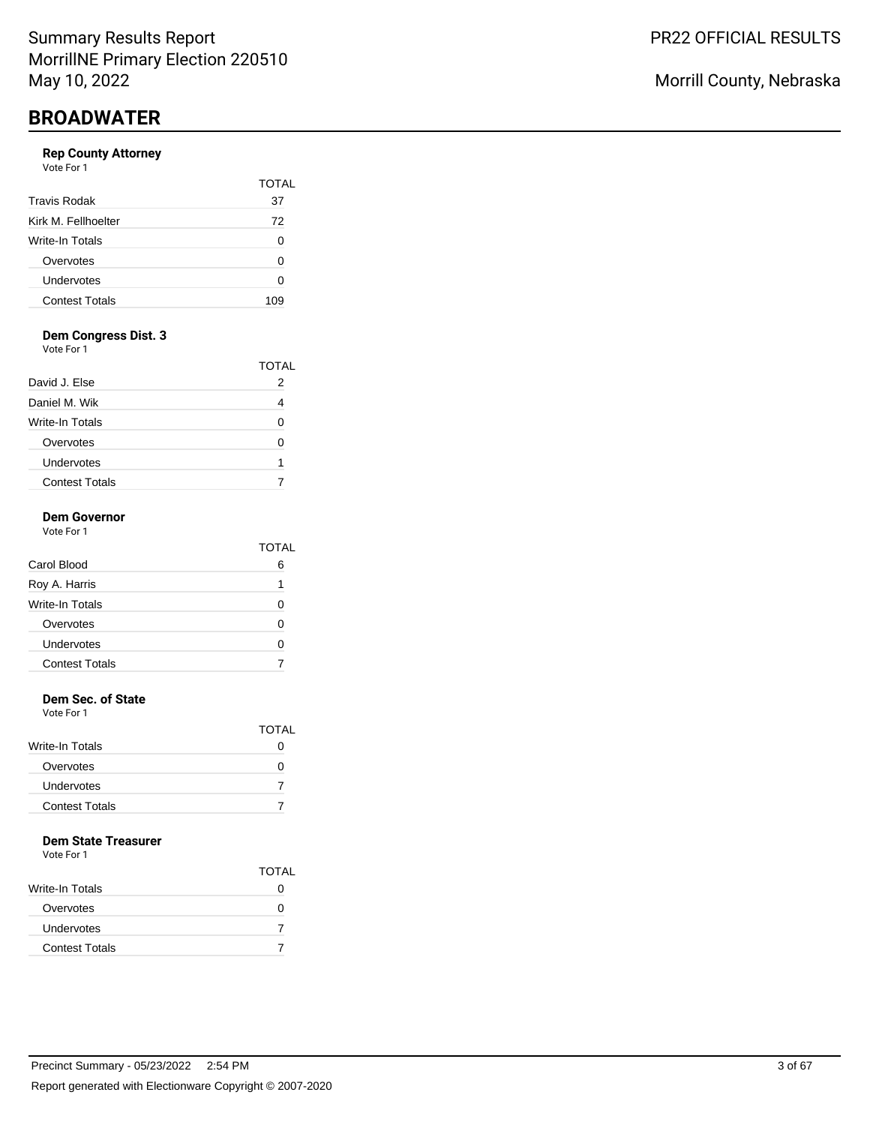### **Rep County Attorney**

| Vote For 1 |  |  |
|------------|--|--|
|            |  |  |

| <b>Travis Rodak</b>   | <b>TOTAL</b><br>37 |
|-----------------------|--------------------|
| Kirk M. Fellhoelter   | 72                 |
|                       |                    |
| Write-In Totals       | 0                  |
| Overvotes             | ŋ                  |
| Undervotes            | ∩                  |
| <b>Contest Totals</b> | 109                |

# **Dem Congress Dist. 3**

Vote For 1

|                       | TOTAL |
|-----------------------|-------|
| David J. Else         |       |
| Daniel M. Wik         |       |
| Write-In Totals       |       |
| Overvotes             |       |
| Undervotes            | 1     |
| <b>Contest Totals</b> |       |

#### **Dem Governor** Vote For 1

|                       | TOTAL |
|-----------------------|-------|
| Carol Blood           | 6     |
| Roy A. Harris         | 1     |
| Write-In Totals       |       |
| Overvotes             | ∩     |
| Undervotes            |       |
| <b>Contest Totals</b> |       |
|                       |       |

## **Dem Sec. of State**

Vote For 1

|                       | <b>TOTAL</b> |
|-----------------------|--------------|
| Write-In Totals       | $\mathbf{O}$ |
| Overvotes             | $\mathbf{O}$ |
| <b>Undervotes</b>     |              |
| <b>Contest Totals</b> |              |

### **Dem State Treasurer**

|                        | <b>TOTAL</b> |
|------------------------|--------------|
| <b>Write-In Totals</b> | 0            |
| Overvotes              | 0            |
| Undervotes             |              |
| <b>Contest Totals</b>  |              |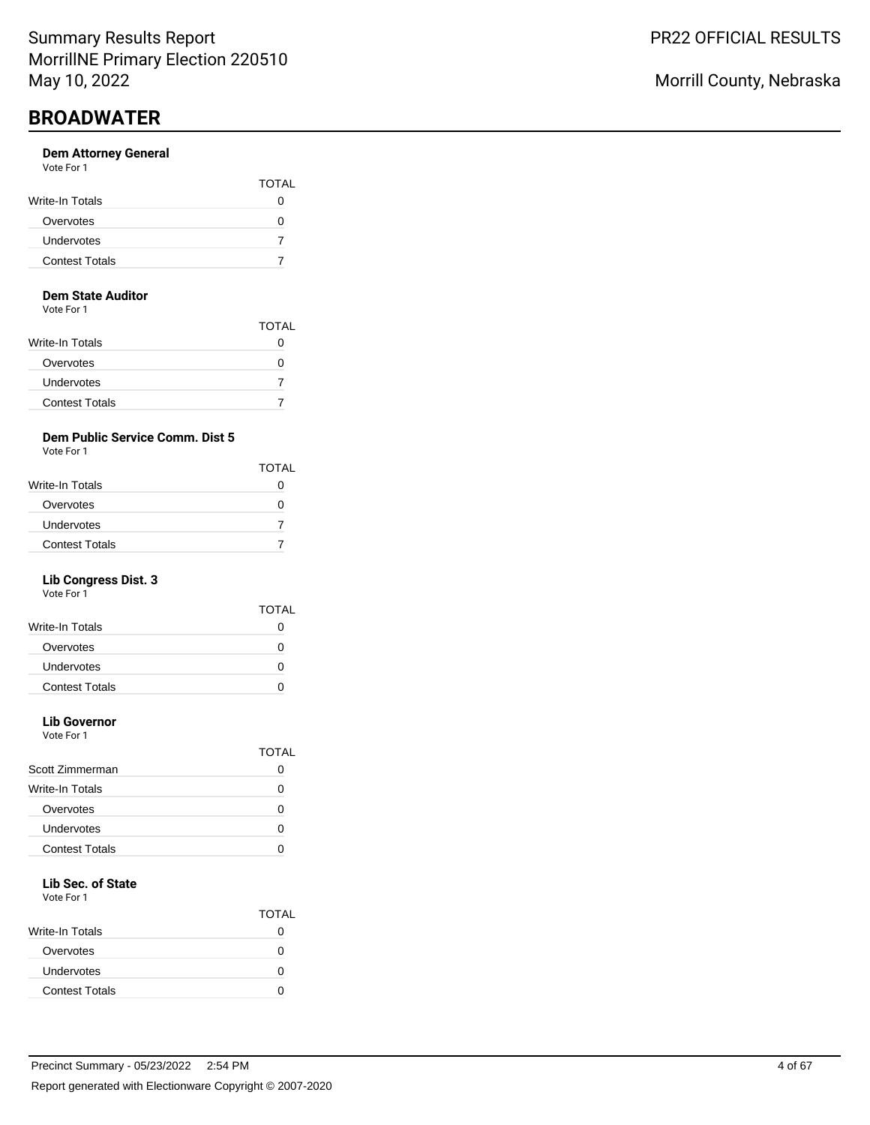#### **Dem Attorney General** Vote For 1

| <b>TOTAL</b> |
|--------------|
| 0            |
|              |
|              |
|              |
|              |

#### **Dem State Auditor**

Vote For 1

|                        | <b>TOTAL</b> |
|------------------------|--------------|
| <b>Write-In Totals</b> | O            |
| Overvotes              | $\mathbf{I}$ |
| Undervotes             |              |
| <b>Contest Totals</b>  |              |

## **Dem Public Service Comm. Dist 5**

Vote For 1

|                       | <b>TOTAL</b>      |
|-----------------------|-------------------|
| Write-In Totals       |                   |
| Overvotes             | $\mathbf{\Omega}$ |
| Undervotes            |                   |
| <b>Contest Totals</b> |                   |

## **Lib Congress Dist. 3**

Vote For 1

|                       | <b>TOTAL</b> |
|-----------------------|--------------|
| Write-In Totals       |              |
| Overvotes             | $\mathbf{O}$ |
| Undervotes            | $\mathbf{I}$ |
| <b>Contest Totals</b> |              |
|                       |              |

# **Lib Governor**

Vote For 1

|                       | TOTAI |
|-----------------------|-------|
| Scott Zimmerman       |       |
| Write-In Totals       |       |
| Overvotes             |       |
| Undervotes            |       |
| <b>Contest Totals</b> |       |
|                       |       |

# **Lib Sec. of State**

|                       | <b>TOTAL</b> |
|-----------------------|--------------|
| Write-In Totals       |              |
| Overvotes             |              |
| Undervotes            | O            |
| <b>Contest Totals</b> |              |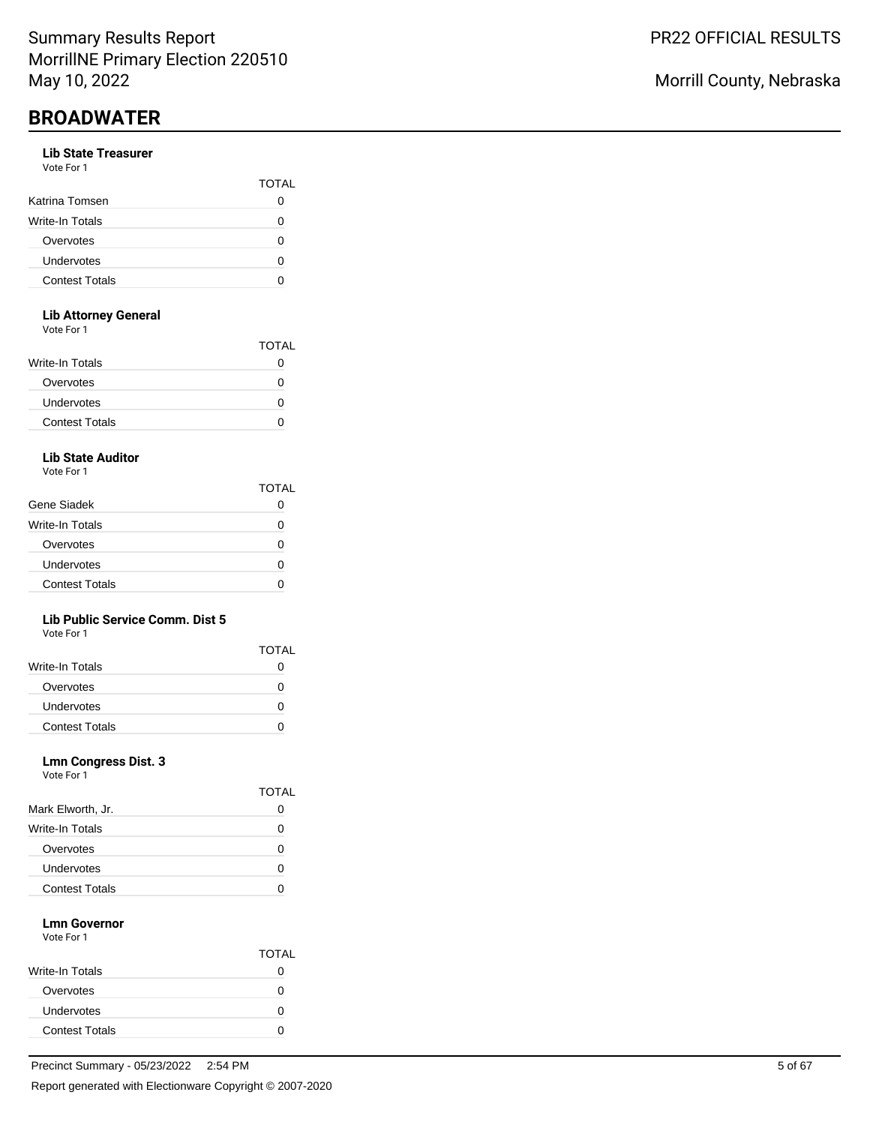#### **Lib State Treasurer** Vote For 1

| <b>VALLET LITTLE</b>  |              |
|-----------------------|--------------|
|                       | <b>TOTAL</b> |
| Katrina Tomsen        |              |
| Write-In Totals       |              |
| Overvotes             |              |
| Undervotes            |              |
| <b>Contest Totals</b> |              |
|                       |              |

### **Lib Attorney General**

Vote For 1

|                       | <b>TOTAL</b> |
|-----------------------|--------------|
| Write-In Totals       | 0            |
| Overvotes             | 0            |
| Undervotes            | 0            |
| <b>Contest Totals</b> |              |
|                       |              |

## **Lib State Auditor**

Vote For 1

|                       | TOTAL |
|-----------------------|-------|
| Gene Siadek           |       |
| Write-In Totals       | O     |
| Overvotes             | n     |
| Undervotes            | O     |
| <b>Contest Totals</b> | n     |

### **Lib Public Service Comm. Dist 5**

Vote For 1

|                       | <b>TOTAL</b> |
|-----------------------|--------------|
| Write-In Totals       |              |
| Overvotes             |              |
| <b>Undervotes</b>     |              |
| <b>Contest Totals</b> |              |

### **Lmn Congress Dist. 3**

| Vote For 1 |  |  |
|------------|--|--|
|            |  |  |

|                       | IUIAL |
|-----------------------|-------|
| Mark Elworth, Jr.     | 0     |
| Write-In Totals       | 0     |
| Overvotes             | O     |
| Undervotes            | O     |
| <b>Contest Totals</b> |       |

TOTAL

#### **Lmn Governor** Vote For 1

|                       | <b>TOTAL</b> |
|-----------------------|--------------|
| Write-In Totals       | 0            |
| Overvotes             |              |
| Undervotes            | 0            |
| <b>Contest Totals</b> |              |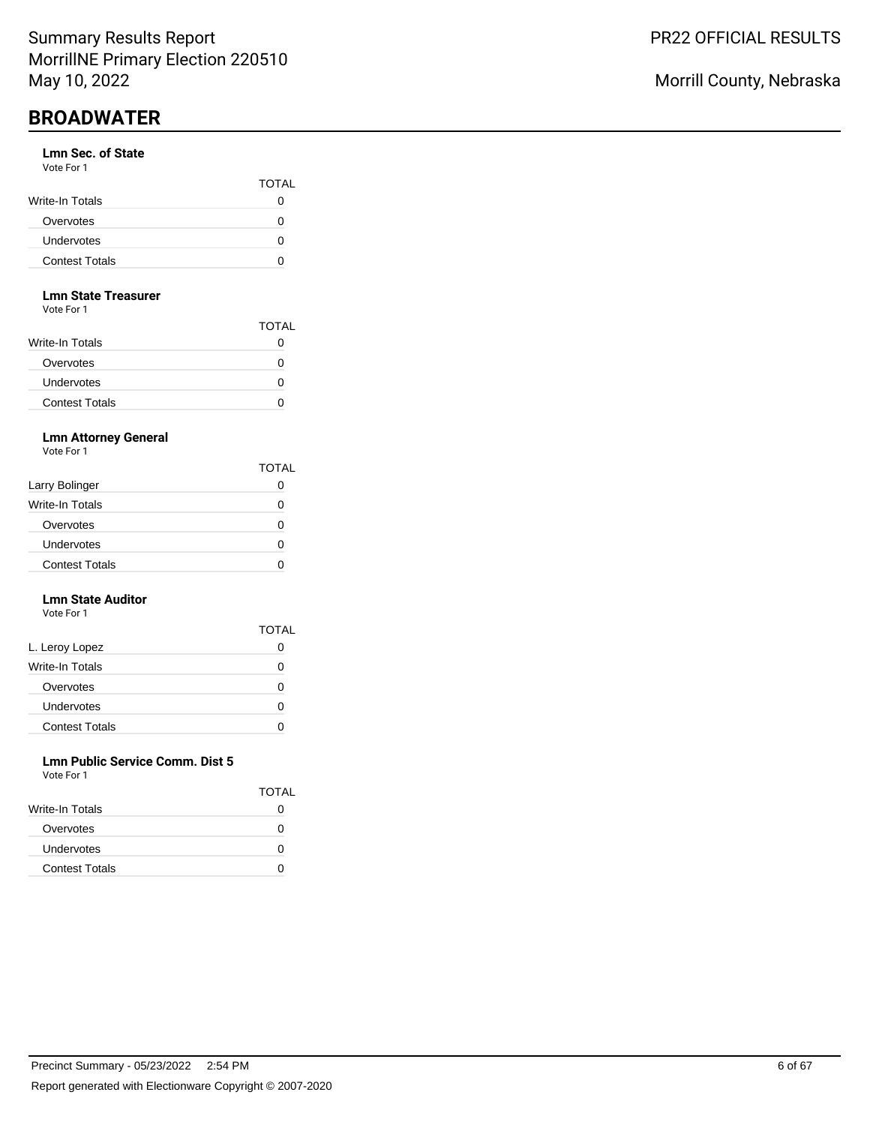#### **Lmn Sec. of State** Vote For 1

| , , , , , , , , ,     |              |
|-----------------------|--------------|
|                       | <b>TOTAL</b> |
| Write-In Totals       |              |
| Overvotes             |              |
| <b>Undervotes</b>     |              |
| <b>Contest Totals</b> |              |

#### **Lmn State Treasurer**

Vote For 1

|                        | <b>TOTAL</b> |
|------------------------|--------------|
| <b>Write-In Totals</b> |              |
| Overvotes              | 0            |
| Undervotes             | 0            |
| <b>Contest Totals</b>  | 0            |

### **Lmn Attorney General**

Vote For 1

|                       | <b>TOTAL</b>      |
|-----------------------|-------------------|
| Larry Bolinger        |                   |
| Write-In Totals       | 0                 |
| Overvotes             | $\mathbf{\Omega}$ |
| Undervotes            |                   |
| <b>Contest Totals</b> |                   |

#### **Lmn State Auditor** Vote For 1

|                       | <b>TOTAL</b> |
|-----------------------|--------------|
| L. Leroy Lopez        | O            |
| Write-In Totals       | Ω            |
| Overvotes             | Ω            |
| Undervotes            | Ω            |
| <b>Contest Totals</b> |              |

#### **Lmn Public Service Comm. Dist 5** Vote For 1

| VULTE FUIT            | <b>TOTAL</b> |
|-----------------------|--------------|
| Write-In Totals       |              |
| Overvotes             | 0            |
| <b>Undervotes</b>     | 0            |
| <b>Contest Totals</b> |              |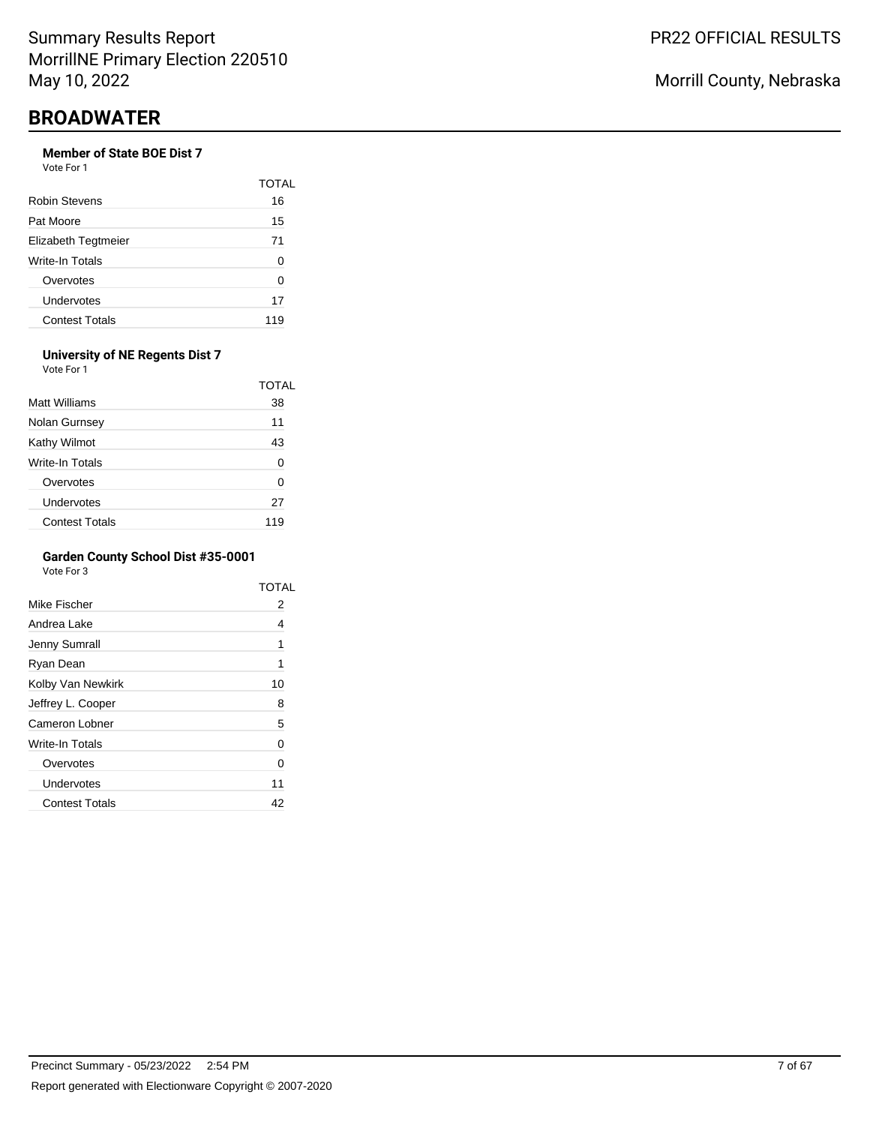## **Member of State BOE Dist 7**

Vote For 1

|                       | TOTAL |
|-----------------------|-------|
| Robin Stevens         | 16    |
| Pat Moore             | 15    |
| Elizabeth Tegtmeier   | 71    |
| Write-In Totals       | O     |
| Overvotes             | O     |
| Undervotes            | 17    |
| <b>Contest Totals</b> | 119   |

#### **University of NE Regents Dist 7** Vote For 1

|                       | TOTAL |
|-----------------------|-------|
| Matt Williams         | 38    |
| Nolan Gurnsey         | 11    |
| Kathy Wilmot          | 43    |
| Write-In Totals       | 0     |
| Overvotes             | 0     |
| Undervotes            | 27    |
| <b>Contest Totals</b> | 119   |

### **Garden County School Dist #35-0001**

|                       | TOTAL |
|-----------------------|-------|
| Mike Fischer          | 2     |
| Andrea Lake           | 4     |
| Jenny Sumrall         | 1     |
| Ryan Dean             | 1     |
| Kolby Van Newkirk     | 10    |
| Jeffrey L. Cooper     | 8     |
| Cameron Lobner        | 5     |
| Write-In Totals       | 0     |
| Overvotes             | 0     |
| Undervotes            | 11    |
| <b>Contest Totals</b> | 42    |
|                       |       |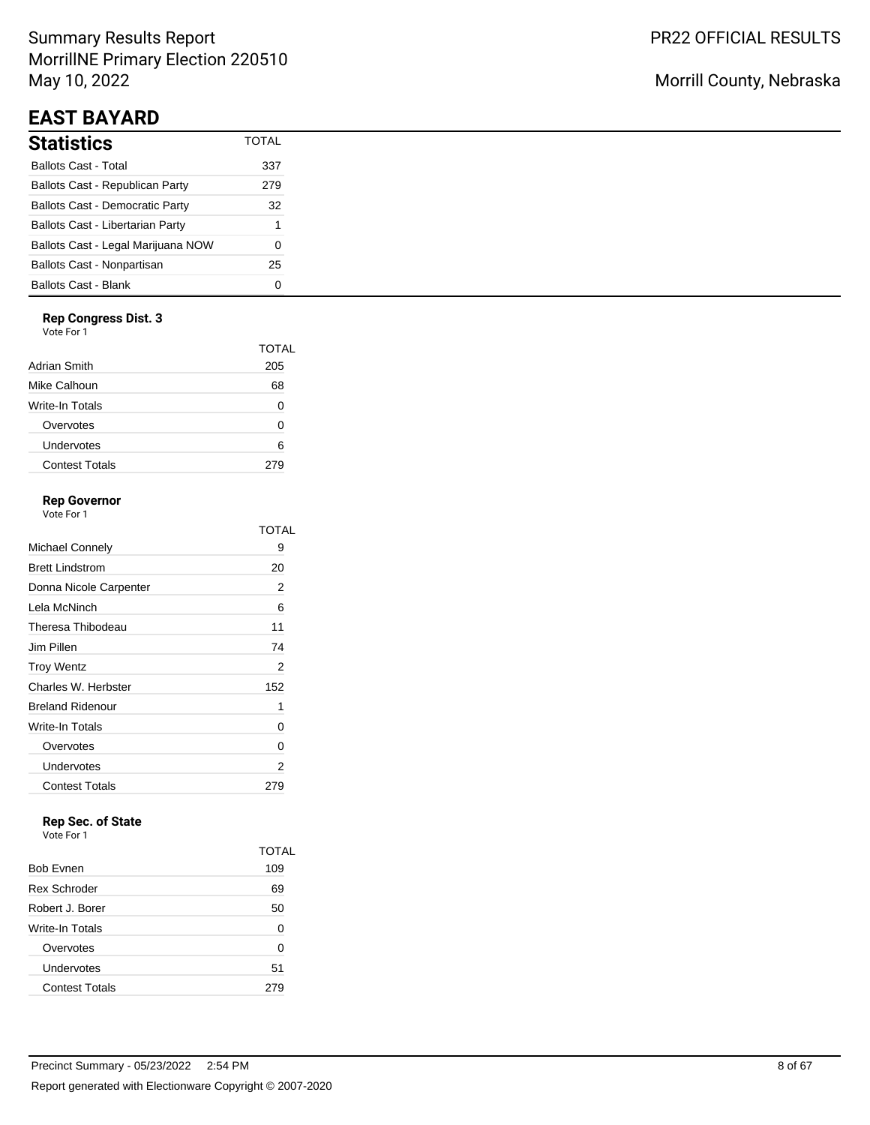# Summary Results Report MorrillNE Primary Election 220510 May 10, 2022

# **EAST BAYARD**

| Statistics                             | <b>TOTAL</b> |
|----------------------------------------|--------------|
| Ballots Cast - Total                   | 337          |
| Ballots Cast - Republican Party        | 279          |
| <b>Ballots Cast - Democratic Party</b> | 32           |
| Ballots Cast - Libertarian Party       | 1            |
| Ballots Cast - Legal Marijuana NOW     | ი            |
| Ballots Cast - Nonpartisan             | 25           |
| Ballots Cast - Blank                   |              |

### **Rep Congress Dist. 3**

Vote For 1

|                       | TOTAL |
|-----------------------|-------|
| Adrian Smith          | 205   |
| Mike Calhoun          | 68    |
| Write-In Totals       | O     |
| Overvotes             | 0     |
| Undervotes            | ี     |
| <b>Contest Totals</b> | 279   |
|                       |       |

## **Rep Governor**

Vote For 1

|                         | TOTAL |
|-------------------------|-------|
| Michael Connely         | 9     |
| <b>Brett Lindstrom</b>  | 20    |
| Donna Nicole Carpenter  | 2     |
| Lela McNinch            | 6     |
| Theresa Thibodeau       | 11    |
| Jim Pillen              | 74    |
| <b>Troy Wentz</b>       | 2     |
| Charles W. Herbster     | 152   |
| <b>Breland Ridenour</b> | 1     |
| Write-In Totals         | 0     |
| Overvotes               | 0     |
| Undervotes              | 2     |
| <b>Contest Totals</b>   | 279   |

# **Rep Sec. of State**

|                       | TOTAL |
|-----------------------|-------|
| <b>Bob Evnen</b>      | 109   |
| <b>Rex Schroder</b>   | 69    |
| Robert J. Borer       | 50    |
| Write-In Totals       | 0     |
| Overvotes             | 0     |
| Undervotes            | 51    |
| <b>Contest Totals</b> |       |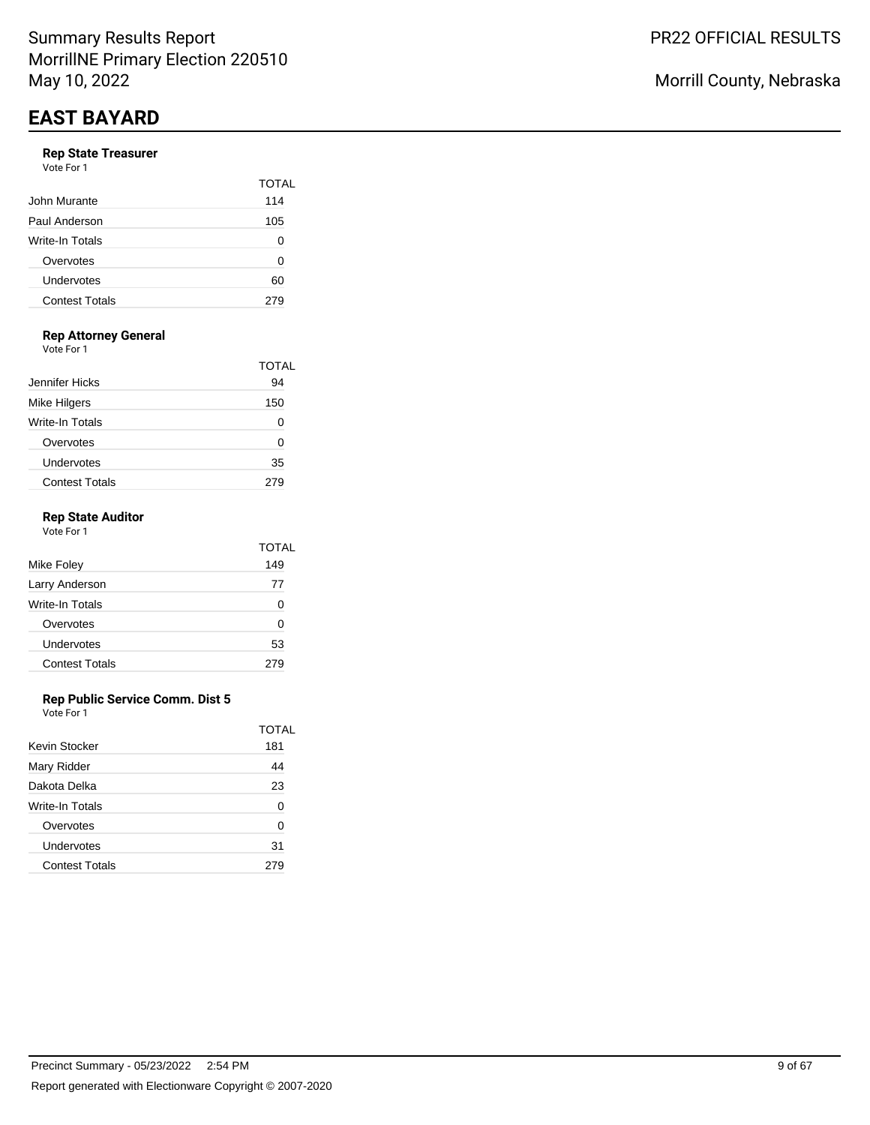#### **Rep State Treasurer**

| Vote For 1 |  |  |
|------------|--|--|
|            |  |  |

|                       | TOTAI |
|-----------------------|-------|
| John Murante          | 114   |
| Paul Anderson         | 105   |
| Write-In Totals       | 0     |
| Overvotes             | 0     |
| Undervotes            | 60    |
| <b>Contest Totals</b> | 279   |

## **Rep Attorney General**

Vote For 1

|                       | TOTAL |
|-----------------------|-------|
| Jennifer Hicks        | 94    |
| <b>Mike Hilgers</b>   | 150   |
| Write-In Totals       |       |
| Overvotes             | O     |
| Undervotes            | 35    |
| <b>Contest Totals</b> |       |

### **Rep State Auditor**

| Vote For 1            |       |
|-----------------------|-------|
|                       | TOTAL |
| Mike Foley            | 149   |
| Larry Anderson        | 77    |
| Write-In Totals       | 0     |
| Overvotes             | ŋ     |
| Undervotes            | 53    |
| <b>Contest Totals</b> | 279   |
|                       |       |

### **Rep Public Service Comm. Dist 5**

|                       | TOTAL |
|-----------------------|-------|
| Kevin Stocker         | 181   |
| Mary Ridder           | 44    |
| Dakota Delka          | 23    |
| Write-In Totals       | 0     |
| Overvotes             | 0     |
| Undervotes            | 31    |
| <b>Contest Totals</b> |       |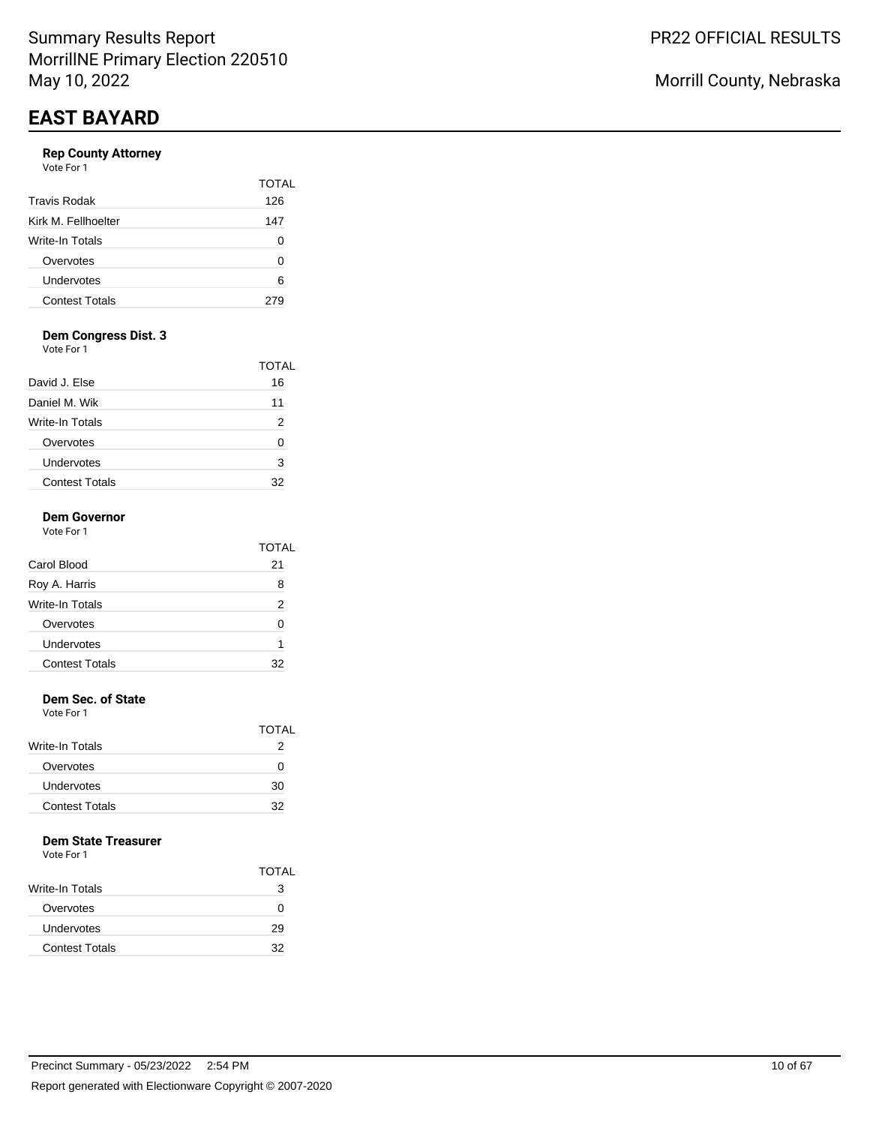## **Rep County Attorney**

|                       | TOTAL |
|-----------------------|-------|
| <b>Travis Rodak</b>   | 126   |
| Kirk M. Fellhoelter   | 147   |
| Write-In Totals       | O     |
| Overvotes             | n     |
| Undervotes            | 6     |
| <b>Contest Totals</b> |       |

## **Dem Congress Dist. 3**

Vote For 1

|                       | TOTAL |
|-----------------------|-------|
| David J. Else         | 16    |
| Daniel M. Wik         | 11    |
| Write-In Totals       | 2     |
| Overvotes             |       |
| Undervotes            | 3     |
| <b>Contest Totals</b> | 32    |

#### **Dem Governor**  $V_{\text{obs}} =$

| vote For T |  |
|------------|--|
|            |  |
|            |  |

| Carol Blood           | 21 |
|-----------------------|----|
| Roy A. Harris         | 8  |
| Write-In Totals       | 2  |
| Overvotes             |    |
| Undervotes            |    |
| <b>Contest Totals</b> |    |

TOTAL

### **Dem Sec. of State**

Vote For 1

|                       | TOTAL |
|-----------------------|-------|
| Write-In Totals       |       |
| Overvotes             | O     |
| Undervotes            | 30    |
| <b>Contest Totals</b> | 32    |

#### **Dem State Treasurer**

|                        | <b>TOTAL</b> |
|------------------------|--------------|
| <b>Write-In Totals</b> | 3            |
| Overvotes              | $\mathbf{I}$ |
| Undervotes             | 29           |
| <b>Contest Totals</b>  | 32           |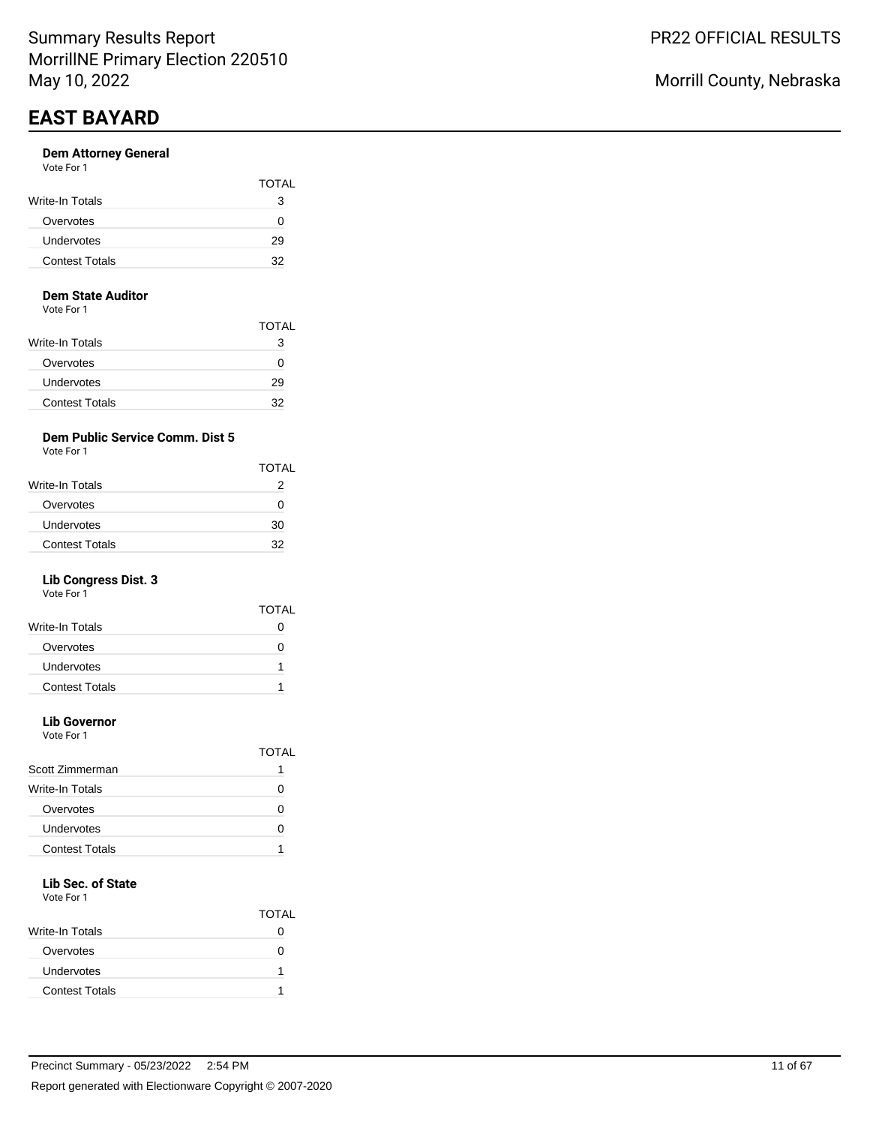#### **Dem Attorney General** Vote For 1

| <b>VAJILI I VJI I</b> |              |
|-----------------------|--------------|
|                       | <b>TOTAL</b> |
| Write-In Totals       | з            |
| Overvotes             | 0            |
| Undervotes            | 29           |
| <b>Contest Totals</b> | 32           |
|                       |              |

#### **Dem State Auditor**

Vote For 1

|                        | TOTAL |
|------------------------|-------|
| <b>Write-In Totals</b> | З     |
| Overvotes              | 0     |
| Undervotes             | 29    |
| <b>Contest Totals</b>  | 32    |

## **Dem Public Service Comm. Dist 5**

Vote For 1

| <b>TOTAL</b> |
|--------------|
| 2            |
| $^{(1)}$     |
| 30           |
| 32           |
|              |

## **Lib Congress Dist. 3**

Vote For 1

|                       | TOTAI        |
|-----------------------|--------------|
| Write-In Totals       |              |
| Overvotes             | $\mathbf{I}$ |
| Undervotes            |              |
| <b>Contest Totals</b> |              |
|                       |              |

# **Lib Governor**

Vote For 1

|                       | TOTAL |
|-----------------------|-------|
| Scott Zimmerman       |       |
| Write-In Totals       |       |
| Overvotes             |       |
| Undervotes            | C     |
| <b>Contest Totals</b> |       |
|                       |       |

# **Lib Sec. of State**

|                       | <b>TOTAL</b> |
|-----------------------|--------------|
| Write-In Totals       |              |
| Overvotes             |              |
| Undervotes            |              |
| <b>Contest Totals</b> |              |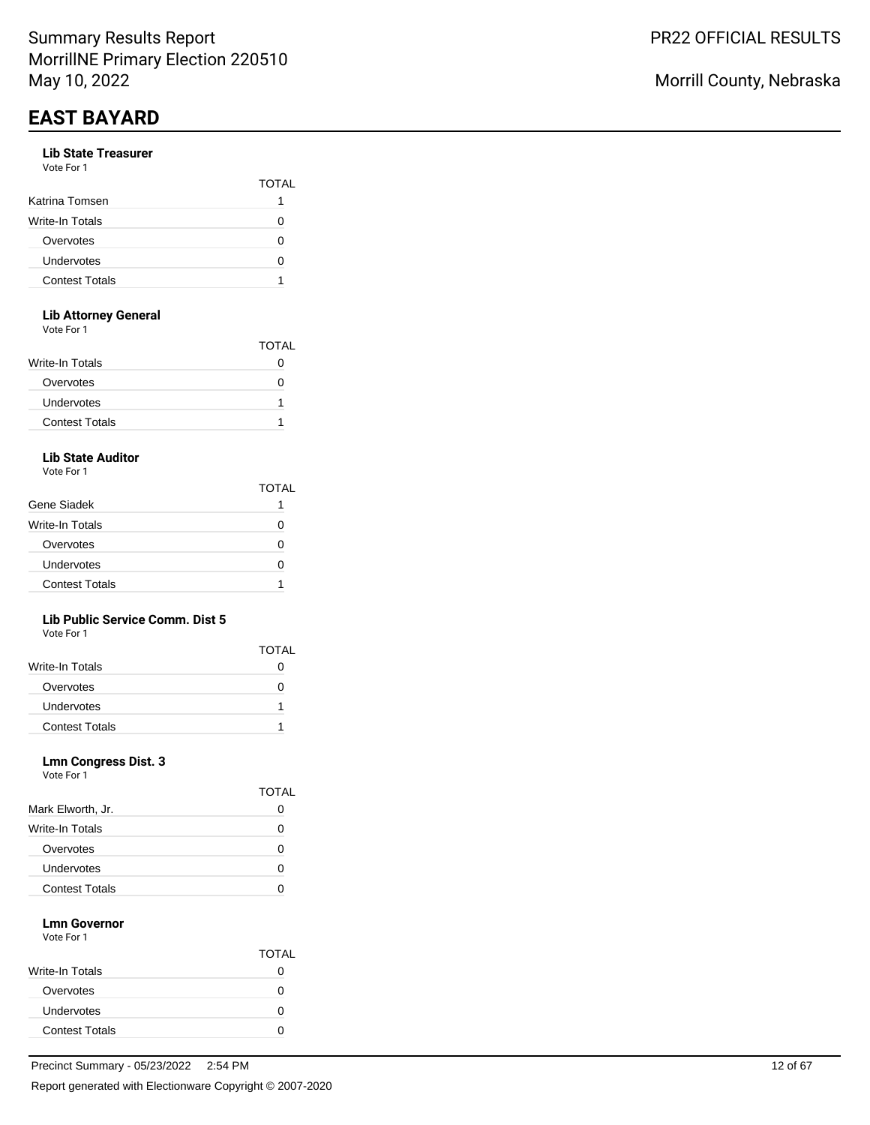#### **Lib State Treasurer**  $V_{\alpha}$ to E

| VOIE FOL L            |              |
|-----------------------|--------------|
|                       | <b>TOTAL</b> |
| Katrina Tomsen        |              |
| Write-In Totals       |              |
| Overvotes             | $\lceil$     |
| Undervotes            |              |
| <b>Contest Totals</b> |              |
|                       |              |

## **Lib Attorney General**

Vote For 1

|                       | <b>TOTAL</b> |
|-----------------------|--------------|
| Write-In Totals       |              |
| Overvotes             |              |
| Undervotes            |              |
| <b>Contest Totals</b> |              |

# **Lib State Auditor**

Vote For 1

|                       | TOTAL |
|-----------------------|-------|
| Gene Siadek           |       |
| Write-In Totals       | 0     |
| Overvotes             |       |
| Undervotes            |       |
| <b>Contest Totals</b> |       |

### **Lib Public Service Comm. Dist 5**

Vote For 1

|                       | <b>TOTAL</b> |
|-----------------------|--------------|
| Write-In Totals       |              |
| Overvotes             |              |
| Undervotes            |              |
| <b>Contest Totals</b> |              |

#### **Lmn Congress Dist. 3** Vote For 1

| VOLE FOL 1 |  |  |
|------------|--|--|
|            |  |  |
|            |  |  |

|                       | 1 V 1 / 1 L |
|-----------------------|-------------|
| Mark Elworth, Jr.     | 0           |
| Write-In Totals       | $\lceil$    |
| Overvotes             | $\lceil$    |
| Undervotes            | $\lceil$    |
| <b>Contest Totals</b> |             |

**TOTAL** 

#### **Lmn Governor** Vote For 1

|                       | <b>TOTAL</b> |
|-----------------------|--------------|
| Write-In Totals       | 0            |
| Overvotes             |              |
| Undervotes            | 0            |
| <b>Contest Totals</b> |              |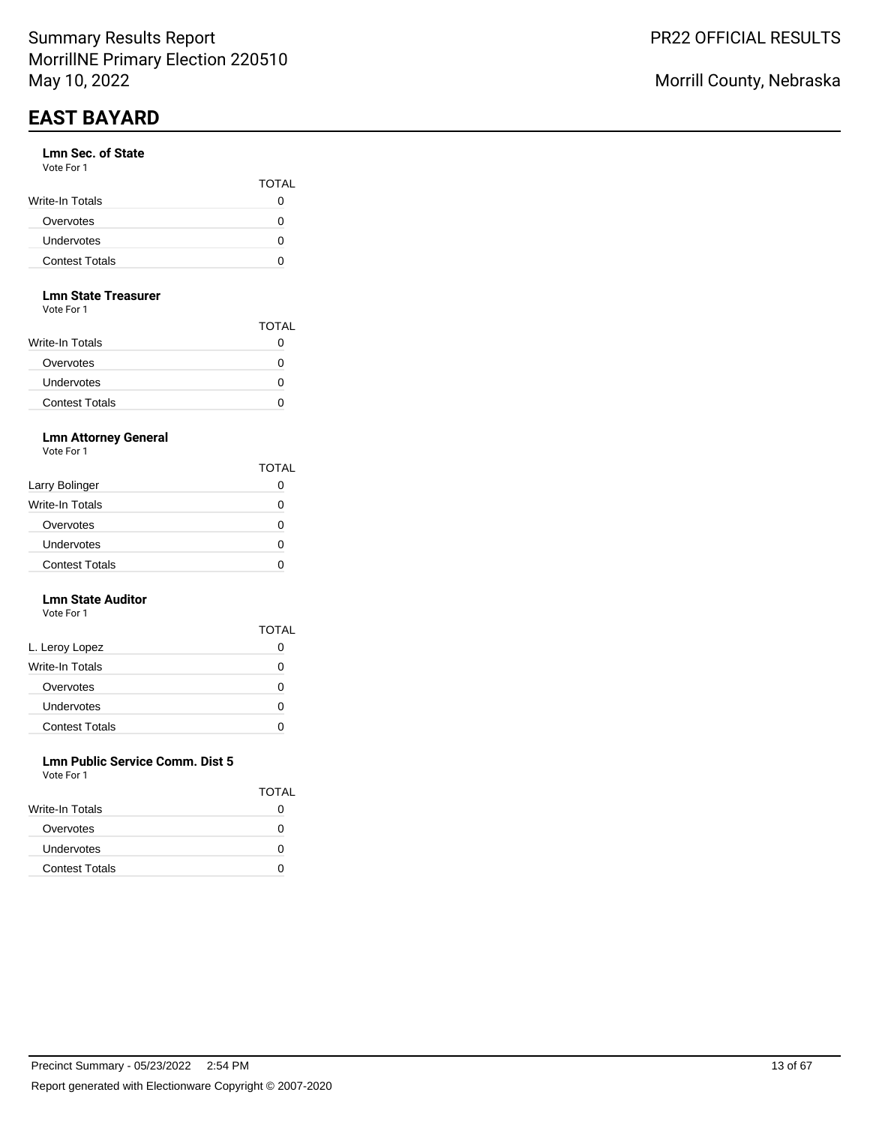#### **Lmn Sec. of State** Vote For 1

| .                     | <b>TOTAL</b> |
|-----------------------|--------------|
| Write-In Totals       |              |
| Overvotes             | $\mathbf{I}$ |
| Undervotes            |              |
| <b>Contest Totals</b> |              |

#### **Lmn State Treasurer**

Vote For 1

|                       | TOTAL |
|-----------------------|-------|
| Write-In Totals       |       |
| Overvotes             |       |
| Undervotes            |       |
| <b>Contest Totals</b> |       |

## **Lmn Attorney General**

Vote For 1

|                       | <b>TOTAL</b>      |
|-----------------------|-------------------|
| Larry Bolinger        |                   |
| Write-In Totals       | 0                 |
| Overvotes             | $\mathbf{\Omega}$ |
| Undervotes            |                   |
| <b>Contest Totals</b> |                   |

#### **Lmn State Auditor** Vote For 1

|                       | TOTAL |
|-----------------------|-------|
| L. Leroy Lopez        | 0     |
| Write-In Totals       | O     |
| Overvotes             | Ω     |
| Undervotes            | O     |
| <b>Contest Totals</b> |       |

#### **Lmn Public Service Comm. Dist 5** Vote For 1

| VULTE FUIT            |              |
|-----------------------|--------------|
|                       | <b>TOTAL</b> |
| Write-In Totals       |              |
| Overvotes             |              |
| <b>Undervotes</b>     | $\mathbf{I}$ |
| <b>Contest Totals</b> |              |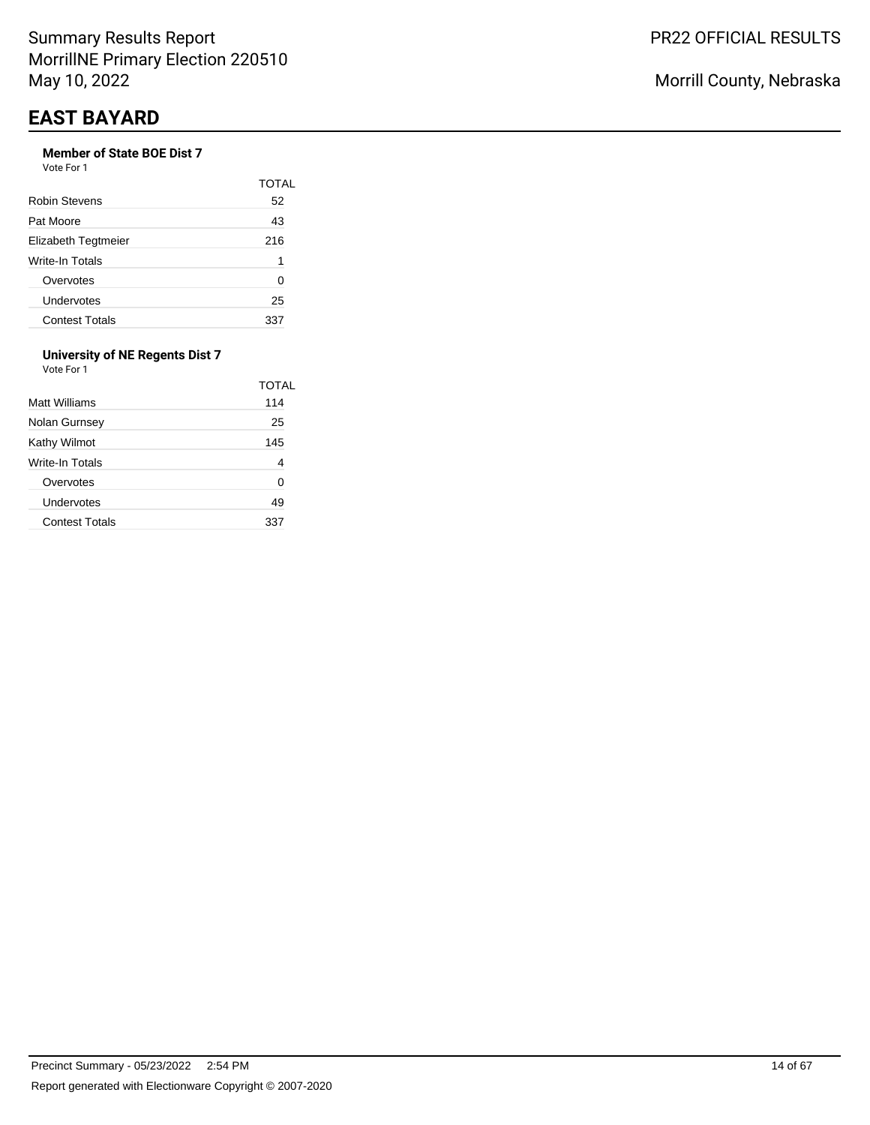# **Member of State BOE Dist 7**

Vote For 1

|                        | TOTAL |
|------------------------|-------|
| Robin Stevens          | 52    |
| Pat Moore              | 43    |
| Elizabeth Tegtmeier    | 216   |
| <b>Write-In Totals</b> | 1     |
| Overvotes              | O     |
| Undervotes             | 25    |
| <b>Contest Totals</b>  | 337   |

#### **University of NE Regents Dist 7** Vote For 1

| Matt Williams         | TOTAL<br>114 |
|-----------------------|--------------|
| Nolan Gurnsey         | 25           |
| Kathy Wilmot          | 145          |
| Write-In Totals       | 4            |
| Overvotes             | 0            |
| Undervotes            | 49           |
| <b>Contest Totals</b> |              |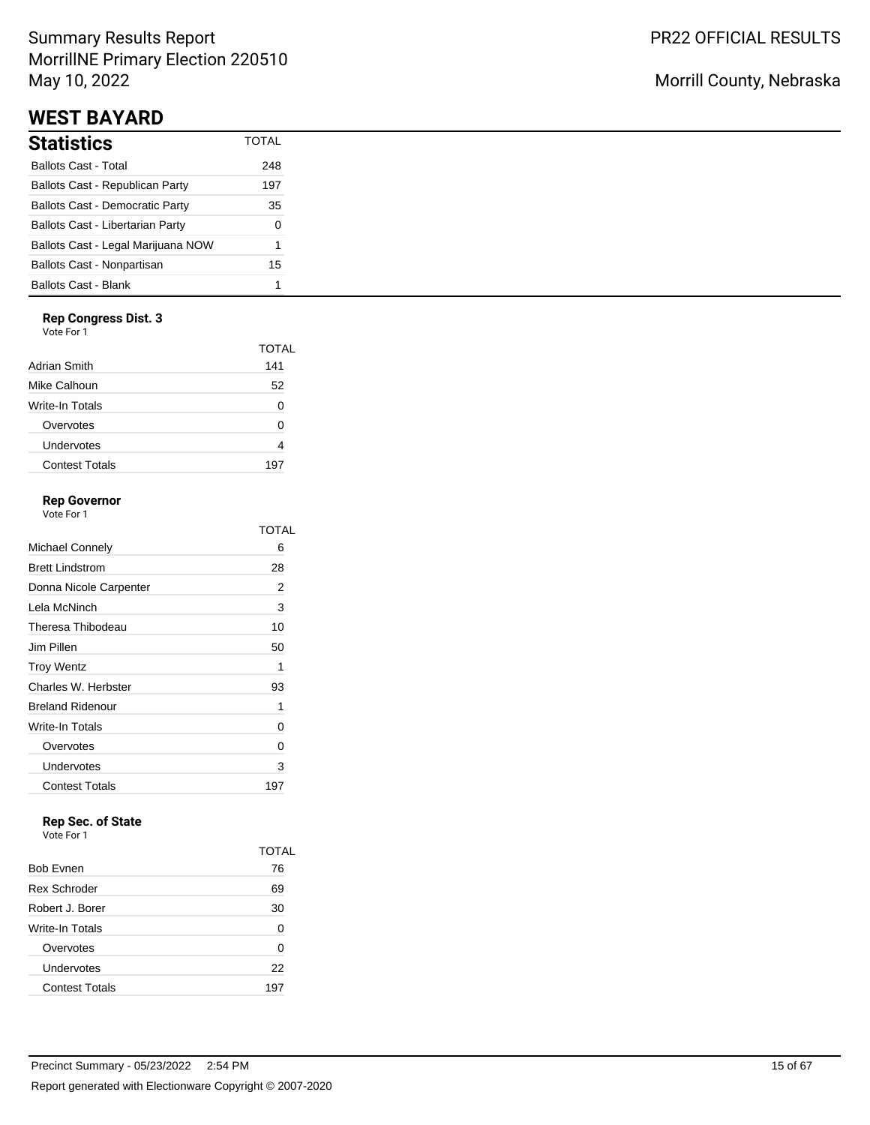# Summary Results Report MorrillNE Primary Election 220510 May 10, 2022

# **WEST BAYARD**

| Statistics                             | <b>TOTAL</b> |
|----------------------------------------|--------------|
| Ballots Cast - Total                   | 248          |
| Ballots Cast - Republican Party        | 197          |
| <b>Ballots Cast - Democratic Party</b> | 35           |
| Ballots Cast - Libertarian Party       | 0            |
| Ballots Cast - Legal Marijuana NOW     | 1            |
| Ballots Cast - Nonpartisan             | 15           |
| Ballots Cast - Blank                   | 1            |

### **Rep Congress Dist. 3**

Vote For 1

|                 | TOTAL |
|-----------------|-------|
| Adrian Smith    | 141   |
| Mike Calhoun    | 52    |
| Write-In Totals | O     |
| Overvotes       | O     |
| Undervotes      |       |
| Contest Totals  | 197   |
|                 |       |

## **Rep Governor**

Vote For 1

|                         | TOTAL |
|-------------------------|-------|
| Michael Connely         | 6     |
| <b>Brett Lindstrom</b>  | 28    |
| Donna Nicole Carpenter  | 2     |
| Lela McNinch            | 3     |
| Theresa Thibodeau       | 10    |
| Jim Pillen              | 50    |
| <b>Troy Wentz</b>       | 1     |
| Charles W. Herbster     | 93    |
| <b>Breland Ridenour</b> | 1     |
| Write-In Totals         | 0     |
| Overvotes               | 0     |
| Undervotes              | 3     |
| <b>Contest Totals</b>   | 197   |

# **Rep Sec. of State**

|                       | TOTAL |
|-----------------------|-------|
| <b>Bob Evnen</b>      | 76    |
| <b>Rex Schroder</b>   | 69    |
| Robert J. Borer       | 30    |
| Write-In Totals       | 0     |
| Overvotes             | 0     |
| Undervotes            | 22    |
| <b>Contest Totals</b> | 197   |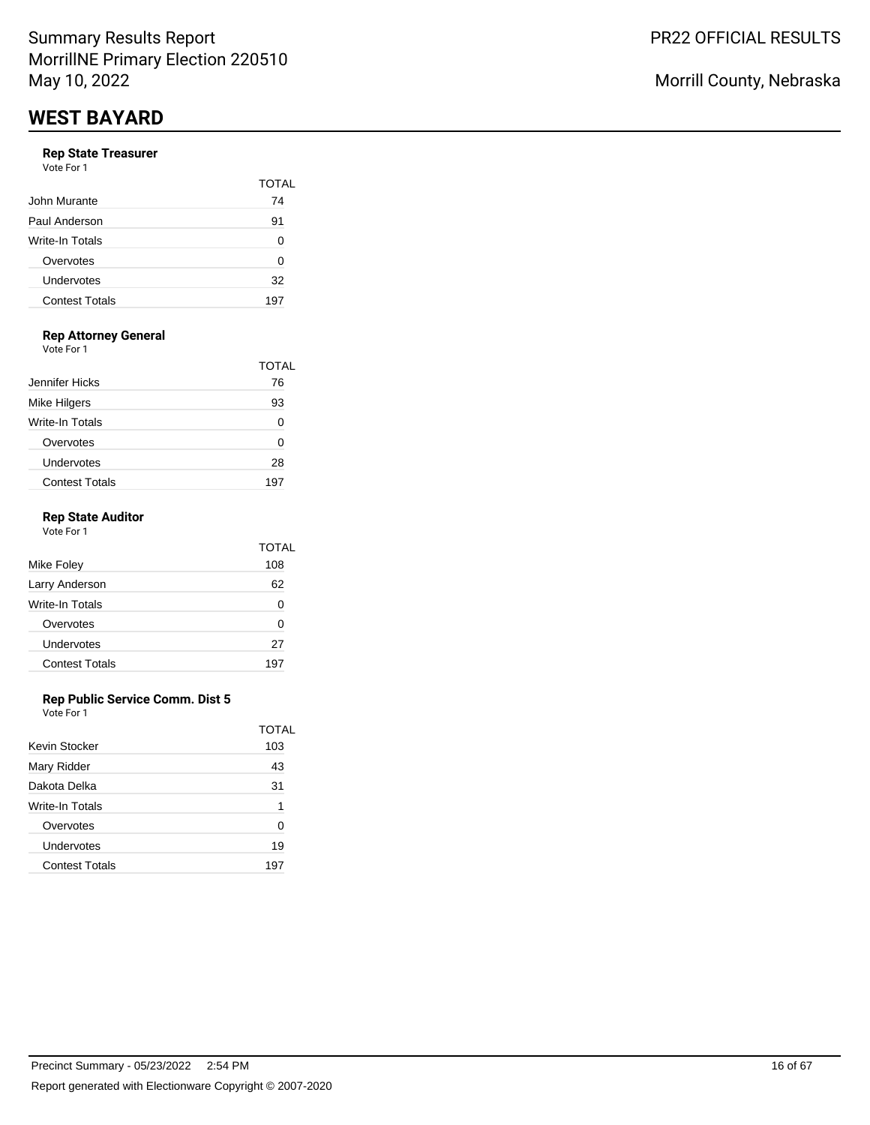#### **Rep State Treasurer** Vote For 1

| <b>VALLET LITTLE</b>  |       |
|-----------------------|-------|
|                       | TOTAL |
| John Murante          | 74    |
| Paul Anderson         | 91    |
| Write-In Totals       | 0     |
| Overvotes             | 0     |
| Undervotes            | 32    |
| <b>Contest Totals</b> | 197   |
|                       |       |

## **Rep Attorney General**

Vote For 1

|                       | TOTAL |
|-----------------------|-------|
| Jennifer Hicks        | 76    |
| Mike Hilgers          | 93    |
| Write-In Totals       |       |
| Overvotes             | O     |
| Undervotes            | 28    |
| <b>Contest Totals</b> | 19.   |

### **Rep State Auditor**

| Vote For 1            |              |
|-----------------------|--------------|
|                       | <b>TOTAL</b> |
| Mike Foley            | 108          |
| Larry Anderson        | 62           |
| Write-In Totals       | 0            |
| Overvotes             | ŋ            |
| Undervotes            | 27           |
| <b>Contest Totals</b> | 197          |
|                       |              |

### **Rep Public Service Comm. Dist 5**

|                       | TOTAL |
|-----------------------|-------|
| Kevin Stocker         | 103   |
| Mary Ridder           | 43    |
| Dakota Delka          | 31    |
| Write-In Totals       | 1     |
| Overvotes             | ∩     |
| Undervotes            | 19    |
| <b>Contest Totals</b> | 197   |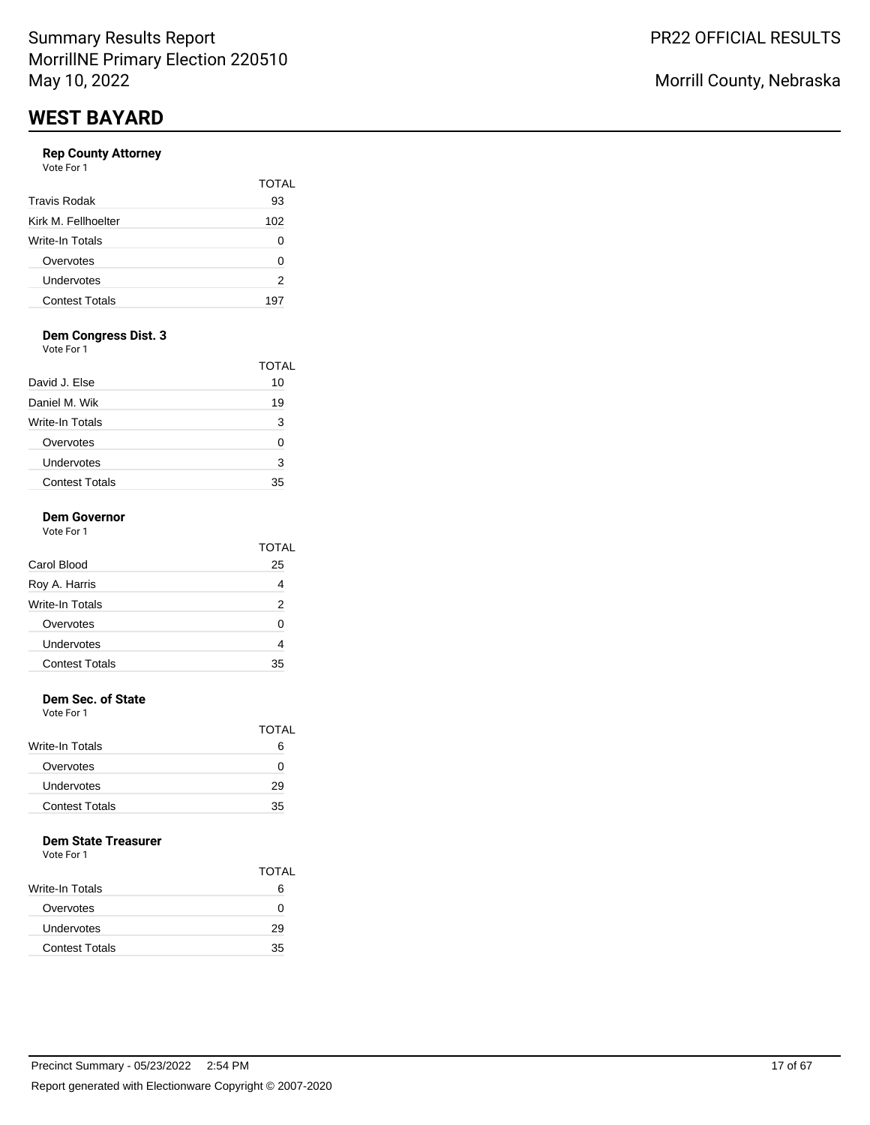## **Rep County Attorney**

| Vote For 1 |  |
|------------|--|
|------------|--|

|                       | TOTAI |
|-----------------------|-------|
| <b>Travis Rodak</b>   | 93    |
| Kirk M. Fellhoelter   | 102   |
| Write-In Totals       |       |
| Overvotes             | O     |
| Undervotes            | 2     |
| <b>Contest Totals</b> | 197   |

## **Dem Congress Dist. 3**

Vote For 1

|                       | TOTAL |
|-----------------------|-------|
| David J. Else         | 10    |
| Daniel M. Wik         | 19    |
| Write-In Totals       | з     |
| Overvotes             | O     |
| Undervotes            | 3     |
| <b>Contest Totals</b> | 35    |

# **Dem Governor**

| Vote For 1 |  |  |
|------------|--|--|
|            |  |  |

|                       | TOTAL |
|-----------------------|-------|
| Carol Blood           | 25    |
| Roy A. Harris         |       |
| Write-In Totals       | 2     |
| Overvotes             | O     |
| Undervotes            |       |
| <b>Contest Totals</b> | 35    |

### **Dem Sec. of State**

Vote For 1

|                        | TOTAL |
|------------------------|-------|
| <b>Write-In Totals</b> | 6     |
| Overvotes              | 0     |
| Undervotes             | 29    |
| <b>Contest Totals</b>  | 35    |

### **Dem State Treasurer**

|                        | <b>TOTAL</b> |
|------------------------|--------------|
| <b>Write-In Totals</b> | 6            |
| Overvotes              | 0            |
| Undervotes             | 29           |
| <b>Contest Totals</b>  | 35           |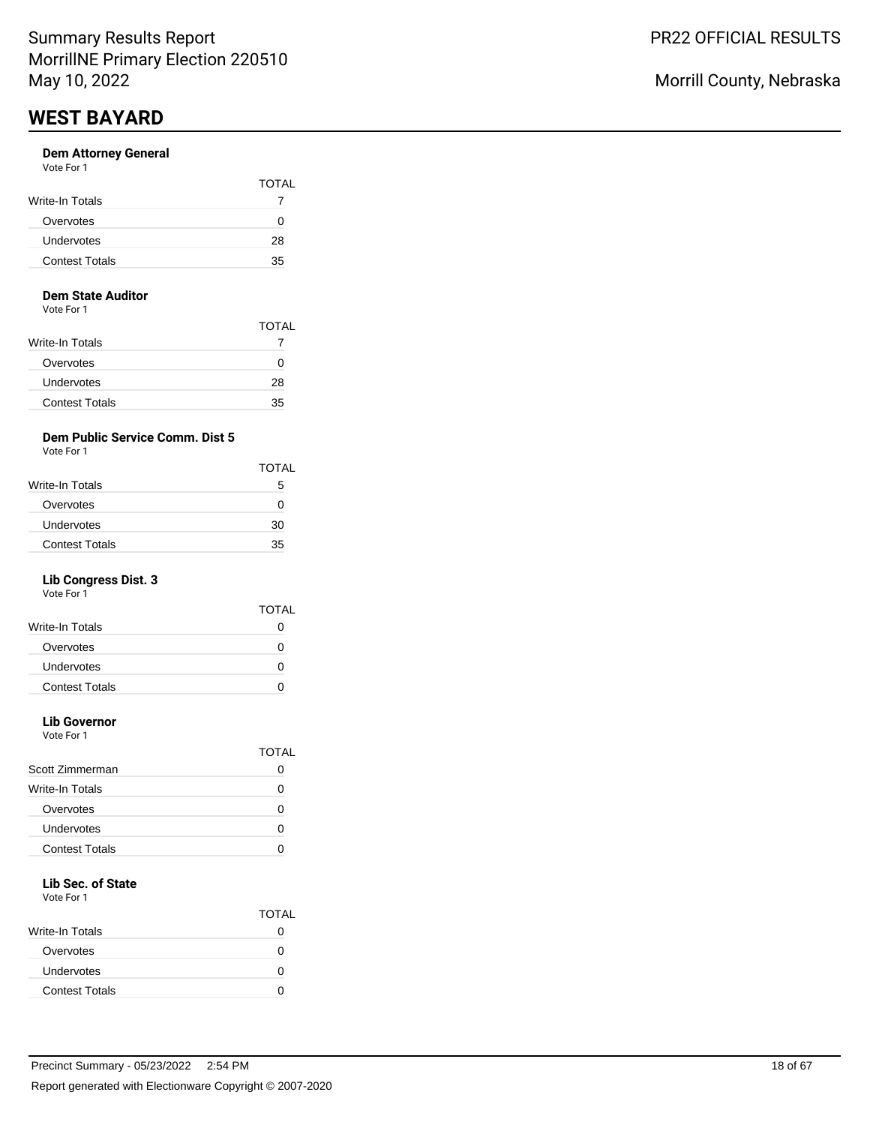#### **Dem Attorney General** Vote For 1

| <b>VAJILI I VJI I</b> |              |
|-----------------------|--------------|
|                       | <b>TOTAL</b> |
| Write-In Totals       |              |
| Overvotes             |              |
| Undervotes            | 28           |
| <b>Contest Totals</b> | 35           |
|                       |              |

#### **Dem State Auditor**

Vote For 1

|                        | TOTAL |
|------------------------|-------|
| <b>Write-In Totals</b> |       |
| Overvotes              | 0     |
| Undervotes             | 28    |
| <b>Contest Totals</b>  | 35    |

## **Dem Public Service Comm. Dist 5**

Vote For 1

| <b>TOTAL</b> |
|--------------|
| 5            |
| $^{(1)}$     |
| 30           |
| 35           |
|              |

## **Lib Congress Dist. 3**

Vote For 1

|                       | <b>TOTAL</b> |
|-----------------------|--------------|
| Write-In Totals       |              |
| Overvotes             | 0            |
| Undervotes            |              |
| <b>Contest Totals</b> |              |
|                       |              |

# **Lib Governor**

Vote For 1

|                       | TOTAI |
|-----------------------|-------|
| Scott Zimmerman       |       |
| Write-In Totals       |       |
| Overvotes             |       |
| Undervotes            |       |
| <b>Contest Totals</b> |       |
|                       |       |

# **Lib Sec. of State**

|                       | <b>TOTAL</b> |
|-----------------------|--------------|
| Write-In Totals       |              |
| Overvotes             |              |
| Undervotes            | O            |
| <b>Contest Totals</b> |              |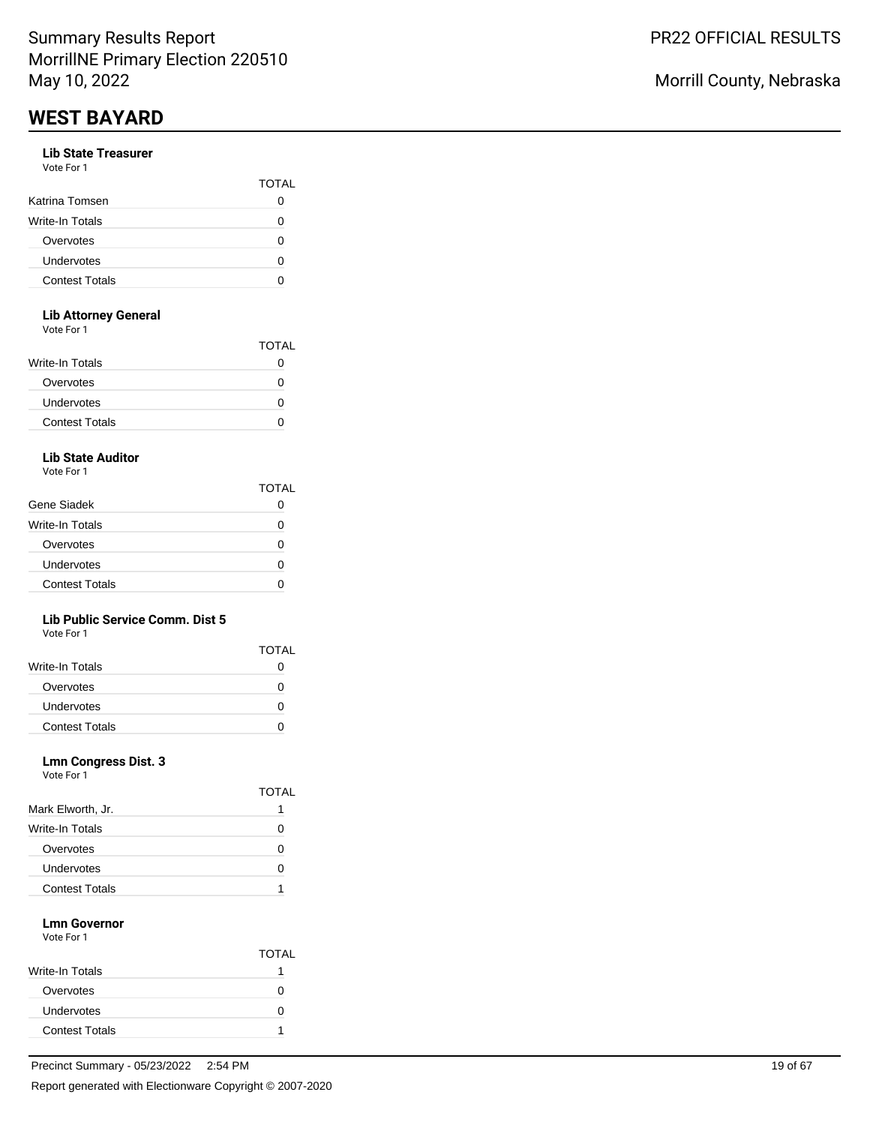#### **Lib State Treasurer** Vote For 1

| , , , , , , , , ,     |              |
|-----------------------|--------------|
|                       | <b>TOTAL</b> |
| Katrina Tomsen        |              |
| Write-In Totals       |              |
| Overvotes             |              |
| Undervotes            |              |
| <b>Contest Totals</b> |              |
|                       |              |

## **Lib Attorney General**

Vote For 1

| <u>vuusi uli</u>      |              |
|-----------------------|--------------|
|                       | <b>TOTAL</b> |
| Write-In Totals       | 0            |
| Overvotes             | O            |
| <b>Undervotes</b>     | O            |
| <b>Contest Totals</b> | 0            |
|                       |              |

## **Lib State Auditor**

Vote For 1

|                       | TOTAL |
|-----------------------|-------|
| Gene Siadek           |       |
| Write-In Totals       | n     |
| Overvotes             | O     |
| Undervotes            | O     |
| <b>Contest Totals</b> | 7     |

### **Lib Public Service Comm. Dist 5**

Vote For 1

|                        | <b>TOTAL</b> |
|------------------------|--------------|
| <b>Write-In Totals</b> |              |
| Overvotes              |              |
| <b>Undervotes</b>      |              |
| <b>Contest Totals</b>  |              |

### **Lmn Congress Dist. 3**

Vote For 1

|                       | IOTAL    |
|-----------------------|----------|
| Mark Elworth, Jr.     |          |
| Write-In Totals       | C        |
| Overvotes             | $\lceil$ |
| Undervotes            | O        |
| <b>Contest Totals</b> |          |

 $\overline{\phantom{0}}$ 

#### **Lmn Governor** Vote For 1

|                       | <b>TOTAL</b> |
|-----------------------|--------------|
| Write-In Totals       |              |
| Overvotes             |              |
| Undervotes            | 0            |
| <b>Contest Totals</b> |              |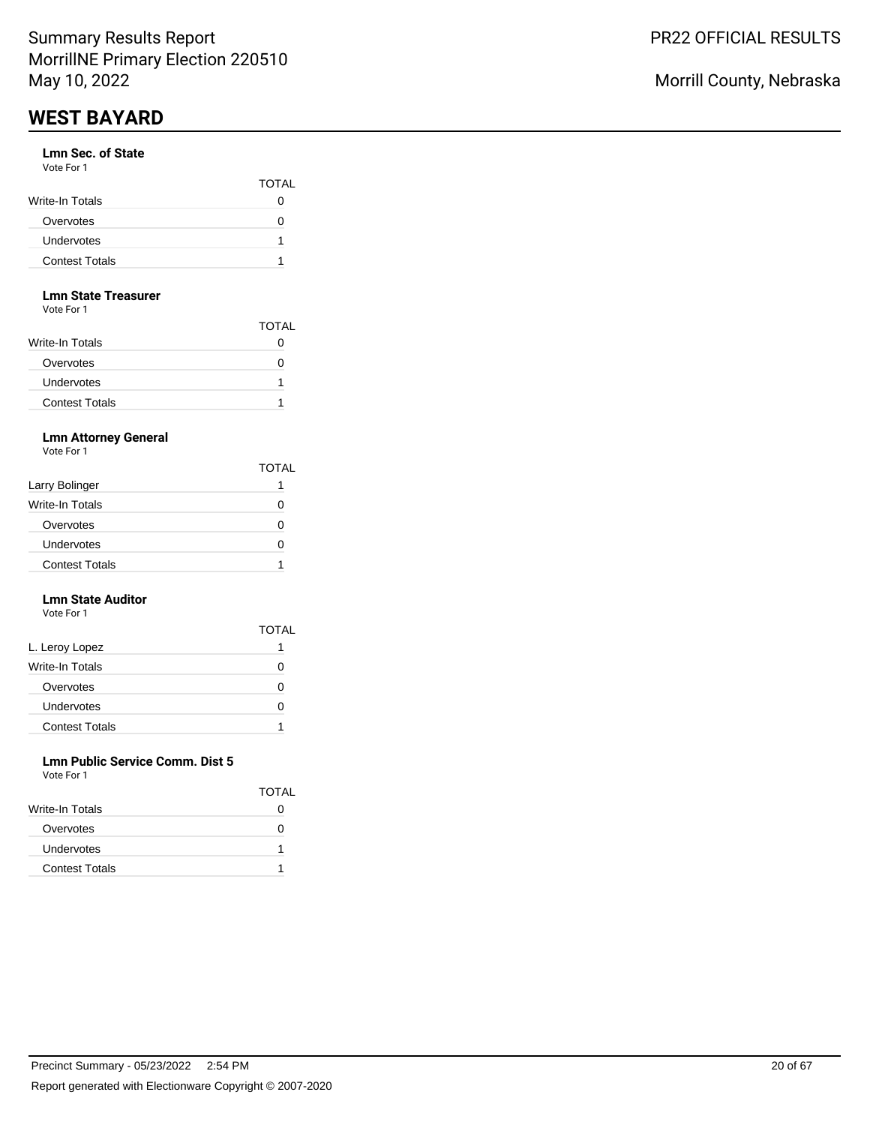#### **Lmn Sec. of State** Vote For 1

| .                     | <b>TOTAL</b> |
|-----------------------|--------------|
| Write-In Totals       | 0            |
| Overvotes             |              |
| <b>Undervotes</b>     |              |
| <b>Contest Totals</b> |              |

#### **Lmn State Treasurer**

Vote For 1

|                        | TOTAL |
|------------------------|-------|
| <b>Write-In Totals</b> |       |
| Overvotes              |       |
| Undervotes             |       |
| <b>Contest Totals</b>  |       |

## **Lmn Attorney General**

Vote For 1

|                       | <b>TOTAL</b> |
|-----------------------|--------------|
| Larry Bolinger        |              |
| Write-In Totals       | $\mathbf{I}$ |
| Overvotes             | $\mathbf{I}$ |
| Undervotes            |              |
| <b>Contest Totals</b> |              |

#### **Lmn State Auditor** Vote For 1

|                       | <b>TOTAL</b> |
|-----------------------|--------------|
| L. Leroy Lopez        |              |
| Write-In Totals       | 0            |
| Overvotes             | Ω            |
| Undervotes            |              |
| <b>Contest Totals</b> |              |

#### **Lmn Public Service Comm. Dist 5** Vote For 1

| <u>vuusi uli</u>      |              |
|-----------------------|--------------|
|                       | <b>TOTAL</b> |
| Write-In Totals       |              |
| Overvotes             |              |
| <b>Undervotes</b>     | 1            |
| <b>Contest Totals</b> |              |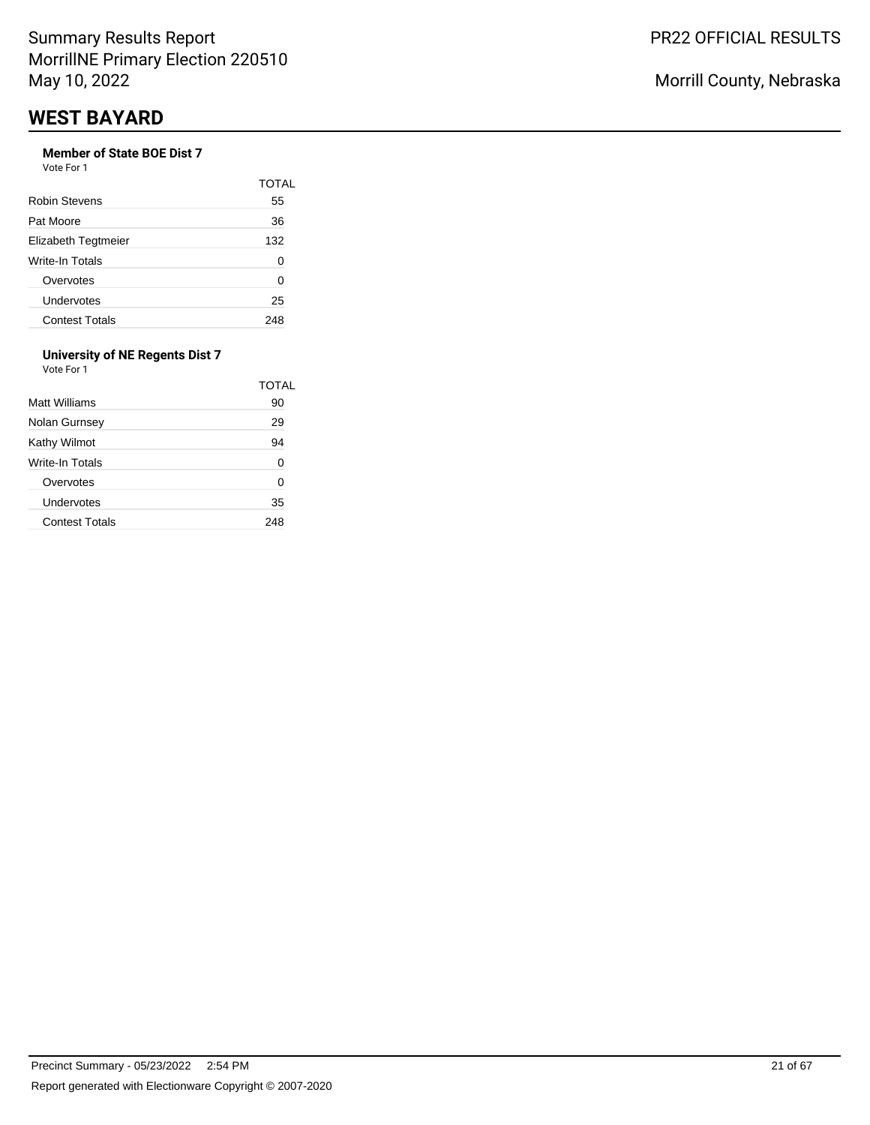# **Member of State BOE Dist 7**

Vote For 1

|                       | TOTAL |
|-----------------------|-------|
| Robin Stevens         | 55    |
| Pat Moore             | 36    |
| Elizabeth Tegtmeier   | 132   |
| Write-In Totals       | O     |
| Overvotes             | ი     |
| Undervotes            | 25    |
| <b>Contest Totals</b> | 248   |

#### **University of NE Regents Dist 7** Vote For 1

|                       | TOTAL |
|-----------------------|-------|
| Matt Williams         | 90    |
| Nolan Gurnsey         | 29    |
| Kathy Wilmot          | 94    |
| Write-In Totals       | 0     |
| Overvotes             | 0     |
| Undervotes            | 35    |
| <b>Contest Totals</b> | 248   |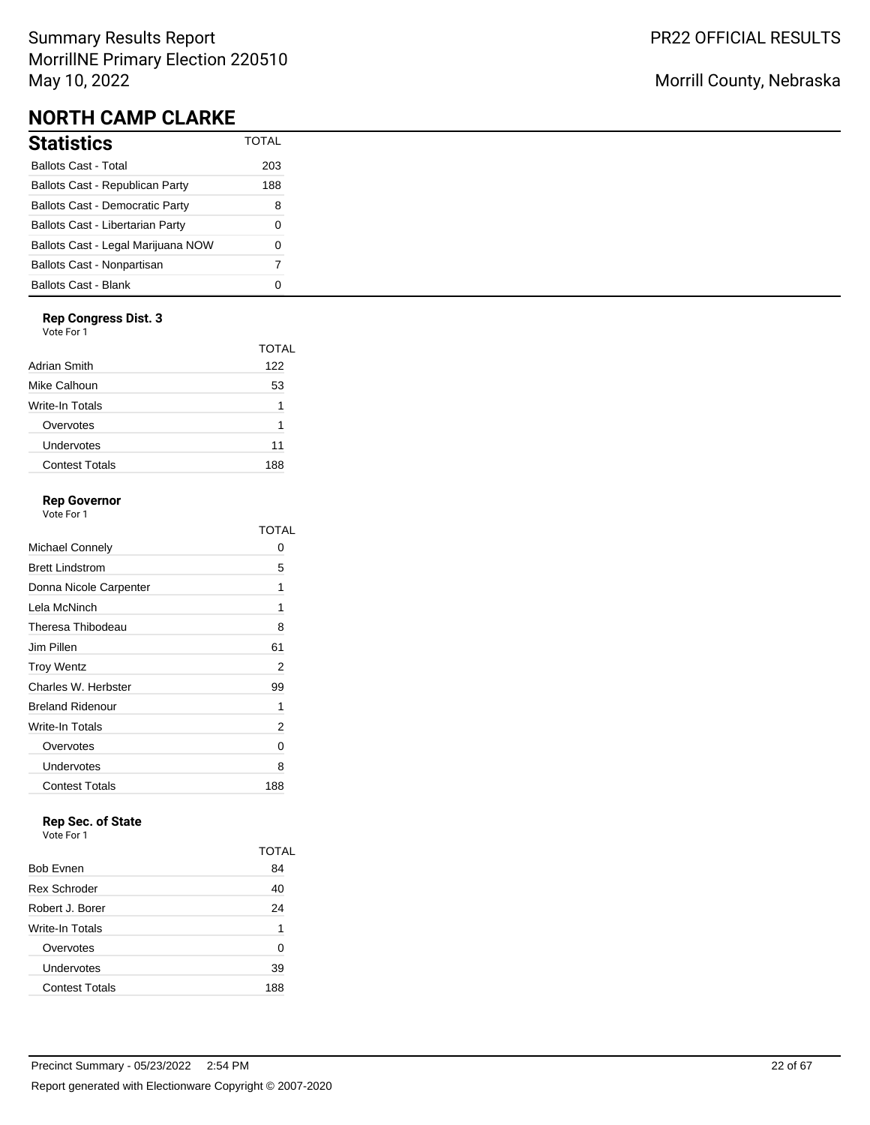# Summary Results Report MorrillNE Primary Election 220510 May 10, 2022

# **NORTH CAMP CLARKE**

| Statistics                             | <b>TOTAL</b> |
|----------------------------------------|--------------|
| Ballots Cast - Total                   | 203          |
| Ballots Cast - Republican Party        | 188          |
| <b>Ballots Cast - Democratic Party</b> | 8            |
| Ballots Cast - Libertarian Party       | 0            |
| Ballots Cast - Legal Marijuana NOW     | O            |
| Ballots Cast - Nonpartisan             | 7            |
| Ballots Cast - Blank                   |              |

### **Rep Congress Dist. 3**

Vote For 1

|                       | TOTAL |
|-----------------------|-------|
| Adrian Smith          | 122   |
| Mike Calhoun          | 53    |
| Write-In Totals       | 1     |
| Overvotes             | 1     |
| Undervotes            | 11    |
| <b>Contest Totals</b> | 188   |
|                       |       |

## **Rep Governor**

Vote For 1

|                         | TOTAI |
|-------------------------|-------|
| Michael Connely         | 0     |
| <b>Brett Lindstrom</b>  | 5     |
| Donna Nicole Carpenter  | 1     |
| Lela McNinch            | 1     |
| Theresa Thibodeau       | 8     |
| Jim Pillen              | 61    |
| <b>Troy Wentz</b>       | 2     |
| Charles W. Herbster     | 99    |
| <b>Breland Ridenour</b> | 1     |
| Write-In Totals         | 2     |
| Overvotes               | 0     |
| Undervotes              | 8     |
| <b>Contest Totals</b>   | 188   |

# **Rep Sec. of State**

Vote For 1

|                       | TOTAI |
|-----------------------|-------|
| <b>Bob Evnen</b>      | 84    |
| <b>Rex Schroder</b>   | 40    |
| Robert J. Borer       | 24    |
| Write-In Totals       | 1     |
| Overvotes             | 0     |
| Undervotes            | 39    |
| <b>Contest Totals</b> | 188   |

# Morrill County, Nebraska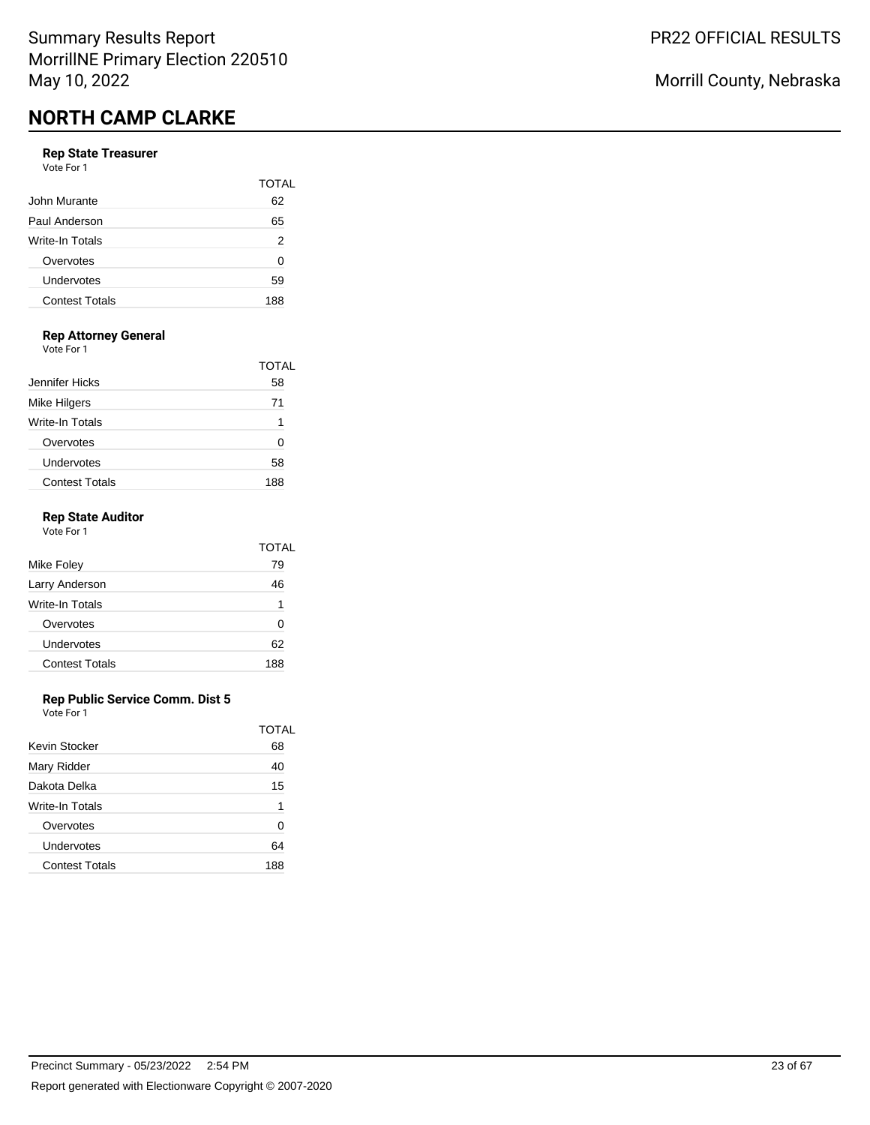#### **Rep State Treasurer**

| Vote For 1            |       |
|-----------------------|-------|
|                       | TOTAL |
| John Murante          | 62    |
| Paul Anderson         | 65    |
| Write-In Totals       | 2     |
| Overvotes             | 0     |
| Undervotes            | 59    |
| <b>Contest Totals</b> | 188   |
|                       |       |

# **Rep Attorney General**

Vote For 1

|                       | TOTAL |
|-----------------------|-------|
| Jennifer Hicks        | 58    |
| <b>Mike Hilgers</b>   | 71    |
| Write-In Totals       | 1     |
| Overvotes             |       |
| Undervotes            | 58    |
| <b>Contest Totals</b> | 188   |

### **Rep State Auditor**

| Vote For 1            |       |
|-----------------------|-------|
|                       | TOTAL |
| Mike Foley            | 79    |
| Larry Anderson        | 46    |
| Write-In Totals       | 1     |
| Overvotes             | ŋ     |
| Undervotes            | 62    |
| <b>Contest Totals</b> | 188   |
|                       |       |

### **Rep Public Service Comm. Dist 5**

|                       | TOTAL |
|-----------------------|-------|
| Kevin Stocker         | 68    |
| Mary Ridder           | 40    |
| Dakota Delka          | 15    |
| Write-In Totals       | 1     |
| Overvotes             | ∩     |
| Undervotes            | 64    |
| <b>Contest Totals</b> | 188   |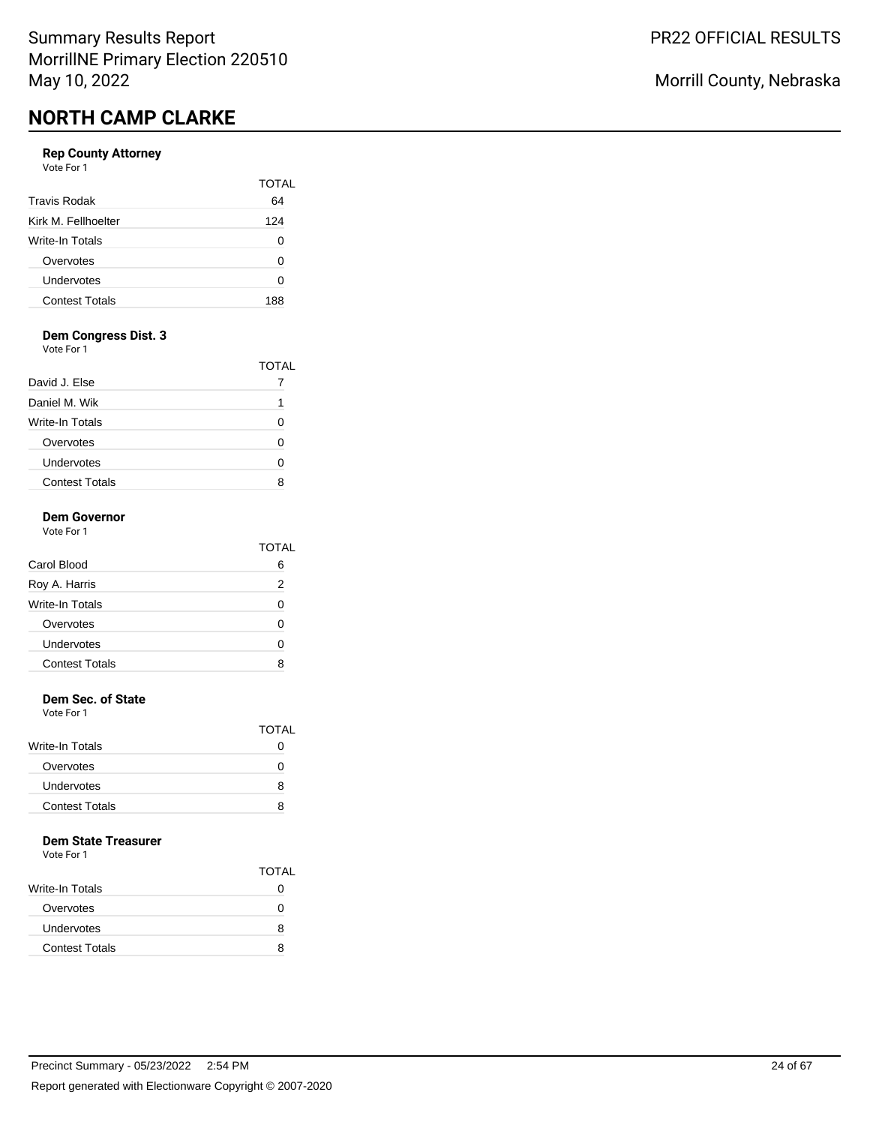### **Rep County Attorney**

Vote For 1

|                       | TOTAI |
|-----------------------|-------|
| <b>Travis Rodak</b>   | 64    |
| Kirk M. Fellhoelter   | 124   |
| Write-In Totals       | O     |
| Overvotes             | 0     |
| Undervotes            | ი     |
| <b>Contest Totals</b> | 188   |

## **Dem Congress Dist. 3**

Vote For 1

|                       | TOTAL |
|-----------------------|-------|
| David J. Else         |       |
| Daniel M. Wik         |       |
| Write-In Totals       |       |
| Overvotes             |       |
| Undervotes            |       |
| <b>Contest Totals</b> |       |

## **Dem Governor**

| Vote For 1            |       |
|-----------------------|-------|
|                       | TOTAL |
| Carol Blood           | 6     |
| Roy A. Harris         | 2     |
| Write-In Totals       | O     |
| Overvotes             | U     |
| Undervotes            | ŋ     |
| <b>Contest Totals</b> |       |

#### **Dem Sec. of State**

Vote For 1

|                        | <b>TOTAL</b> |
|------------------------|--------------|
| <b>Write-In Totals</b> |              |
| Overvotes              | $\mathbf{I}$ |
| Undervotes             | 8            |
| <b>Contest Totals</b>  | 8            |

### **Dem State Treasurer**

|                        | <b>TOTAL</b> |
|------------------------|--------------|
| <b>Write-In Totals</b> | $\mathbf{O}$ |
| Overvotes              | 0            |
| Undervotes             | 8            |
| <b>Contest Totals</b>  | 8            |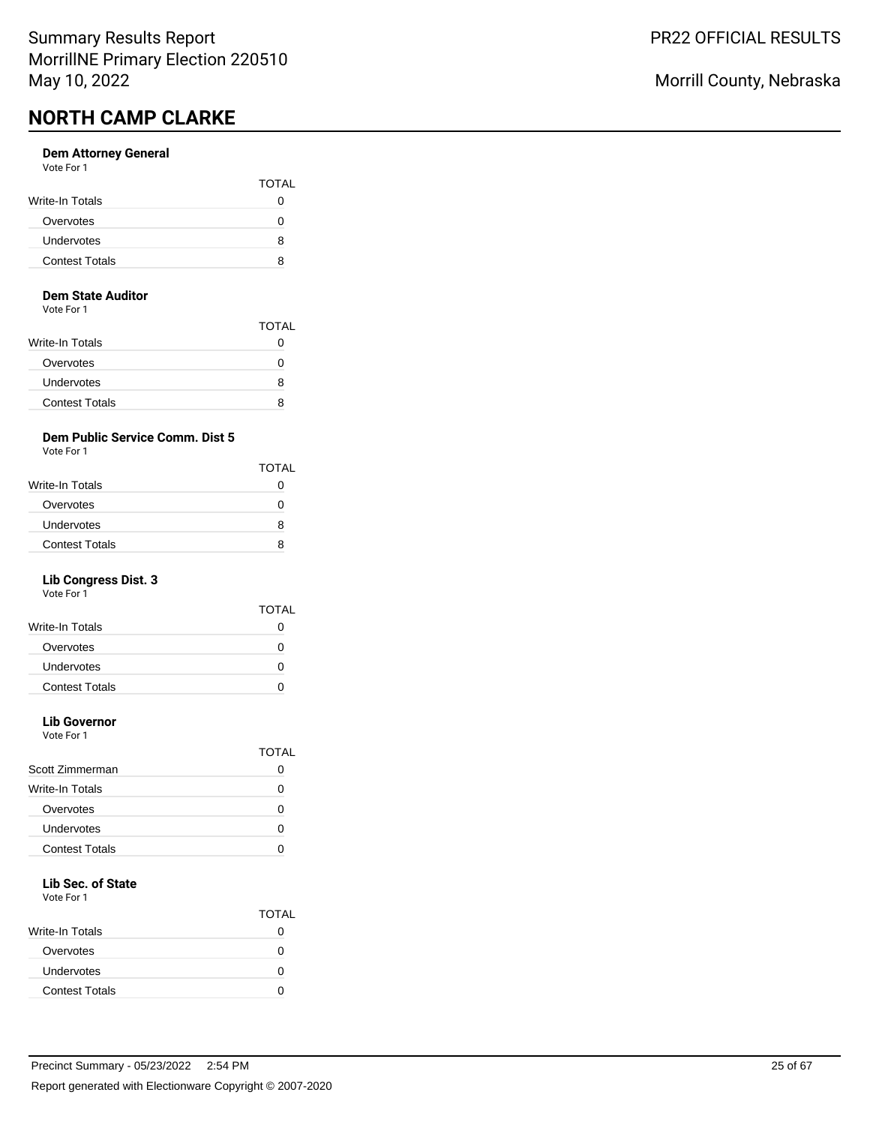#### **Dem Attorney General** Vote For 1

|                       | <b>TOTAL</b> |
|-----------------------|--------------|
| Write-In Totals       | 0            |
| Overvotes             |              |
| Undervotes            | 8            |
| <b>Contest Totals</b> | 8            |

#### **Dem State Auditor**

Vote For 1

|                        | <b>TOTAL</b> |
|------------------------|--------------|
| <b>Write-In Totals</b> | O            |
| Overvotes              | $\mathbf{I}$ |
| Undervotes             | 8            |
| <b>Contest Totals</b>  | 8            |

## **Dem Public Service Comm. Dist 5**

Vote For 1

|                       | <b>TOTAL</b> |
|-----------------------|--------------|
| Write-In Totals       | 0            |
| Overvotes             | 0            |
| <b>Undervotes</b>     | я            |
| <b>Contest Totals</b> | я            |
|                       |              |

## **Lib Congress Dist. 3**

Vote For 1

|                       | TOTAL |
|-----------------------|-------|
| Write-In Totals       | 0     |
| Overvotes             | 0     |
| Undervotes            | 0     |
| <b>Contest Totals</b> |       |
|                       |       |

# **Lib Governor**

Vote For 1

|                       | TOTAI |
|-----------------------|-------|
| Scott Zimmerman       |       |
| Write-In Totals       |       |
| Overvotes             |       |
| Undervotes            |       |
| <b>Contest Totals</b> |       |
|                       |       |

# **Lib Sec. of State**

Vote For 1

|                       | <b>TOTAL</b> |
|-----------------------|--------------|
| Write-In Totals       |              |
| Overvotes             |              |
| Undervotes            | O            |
| <b>Contest Totals</b> |              |

Morrill County, Nebraska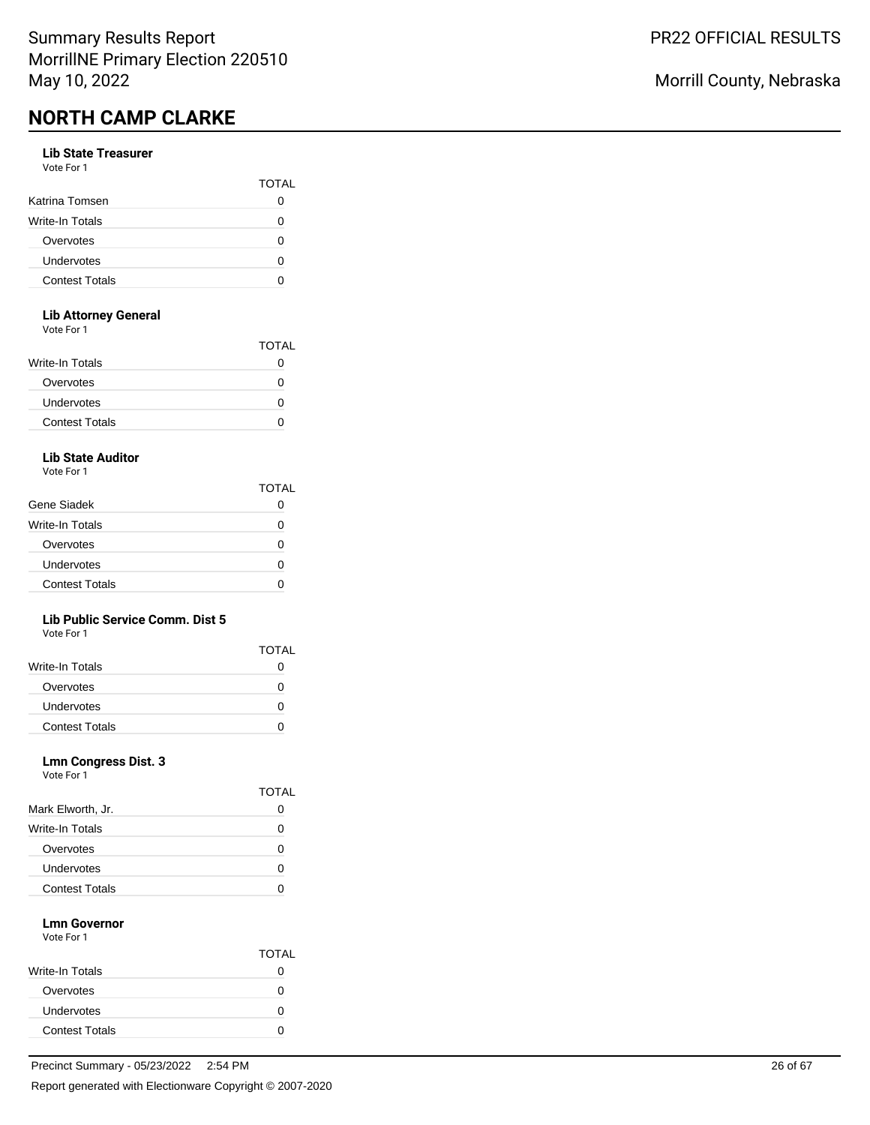#### **Lib State Treasurer**

| Vote For 1 |  |  |
|------------|--|--|
|------------|--|--|

|                       | <b>TOTAL</b> |
|-----------------------|--------------|
| Katrina Tomsen        |              |
| Write-In Totals       |              |
| Overvotes             |              |
| Undervotes            | $\mathbf{a}$ |
| <b>Contest Totals</b> |              |

### **Lib Attorney General**

Vote For 1

|                       | <b>TOTAL</b> |
|-----------------------|--------------|
| Write-In Totals       | 0            |
| Overvotes             | 0            |
| Undervotes            | 0            |
| <b>Contest Totals</b> |              |
|                       |              |

# **Lib State Auditor**

Vote For 1

|                       | <b>TOTAL</b> |
|-----------------------|--------------|
| Gene Siadek           |              |
| Write-In Totals       | n            |
| Overvotes             | n            |
| Undervotes            | O            |
| <b>Contest Totals</b> |              |

### **Lib Public Service Comm. Dist 5**

Vote For 1

|                        | <b>TOTAL</b> |
|------------------------|--------------|
| <b>Write-In Totals</b> |              |
| Overvotes              |              |
| <b>Undervotes</b>      |              |
| <b>Contest Totals</b>  |              |

### **Lmn Congress Dist. 3**

Vote For 1

|                       | <b>TOTAL</b> |
|-----------------------|--------------|
| Mark Elworth, Jr.     | O            |
| Write-In Totals       | 0            |
| Overvotes             | O            |
| Undervotes            | O            |
| <b>Contest Totals</b> |              |

#### **Lmn Governor** Vote For 1

|                       | <b>TOTAL</b> |
|-----------------------|--------------|
| Write-In Totals       |              |
| Overvotes             | 0            |
| Undervotes            |              |
| <b>Contest Totals</b> |              |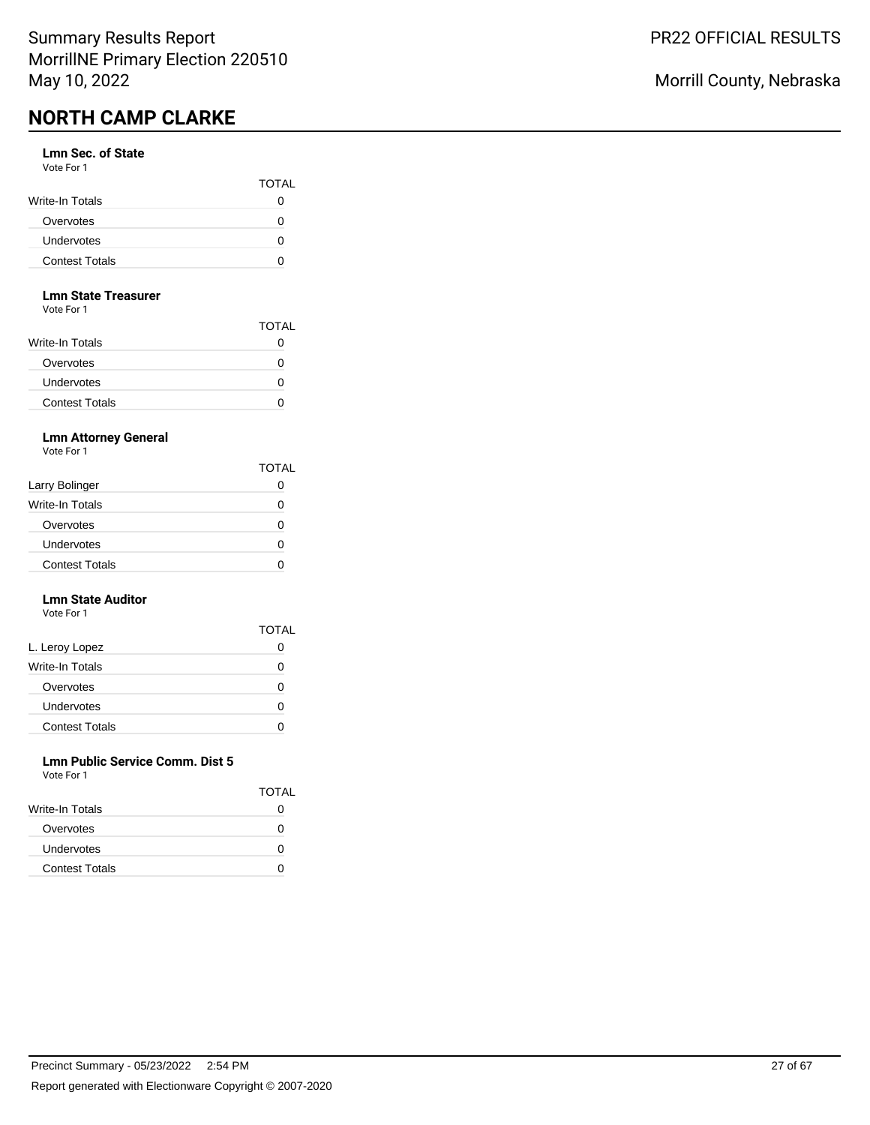### **Lmn Sec. of State**

| Vote For 1            |              |
|-----------------------|--------------|
|                       | <b>TOTAL</b> |
| Write-In Totals       | 0            |
| Overvotes             | n            |
| <b>Undervotes</b>     | n            |
| <b>Contest Totals</b> |              |

#### **Lmn State Treasurer**

Vote For 1

|                        | <b>TOTAL</b> |
|------------------------|--------------|
| <b>Write-In Totals</b> | 0            |
| Overvotes              | 0            |
| <b>Undervotes</b>      | 0            |
| <b>Contest Totals</b>  | 0            |

## **Lmn Attorney General**

Vote For 1

|                       | TOTAL |
|-----------------------|-------|
| Larry Bolinger        |       |
| Write-In Totals       |       |
| Overvotes             | 0     |
| Undervotes            |       |
| <b>Contest Totals</b> |       |

#### **Lmn State Auditor** Vote For 1

| .                     |       |
|-----------------------|-------|
|                       | TOTAL |
| L. Leroy Lopez        |       |
| Write-In Totals       | O     |
| Overvotes             | Ω     |
| Undervotes            | O     |
| <b>Contest Totals</b> |       |

#### **Lmn Public Service Comm. Dist 5** Vote For 1

| <u>vuusi uli</u>       |              |
|------------------------|--------------|
|                        | <b>TOTAL</b> |
| <b>Write-In Totals</b> | $\mathbf{O}$ |
| Overvotes              | $\mathbf{I}$ |
| <b>Undervotes</b>      | O            |
| <b>Contest Totals</b>  |              |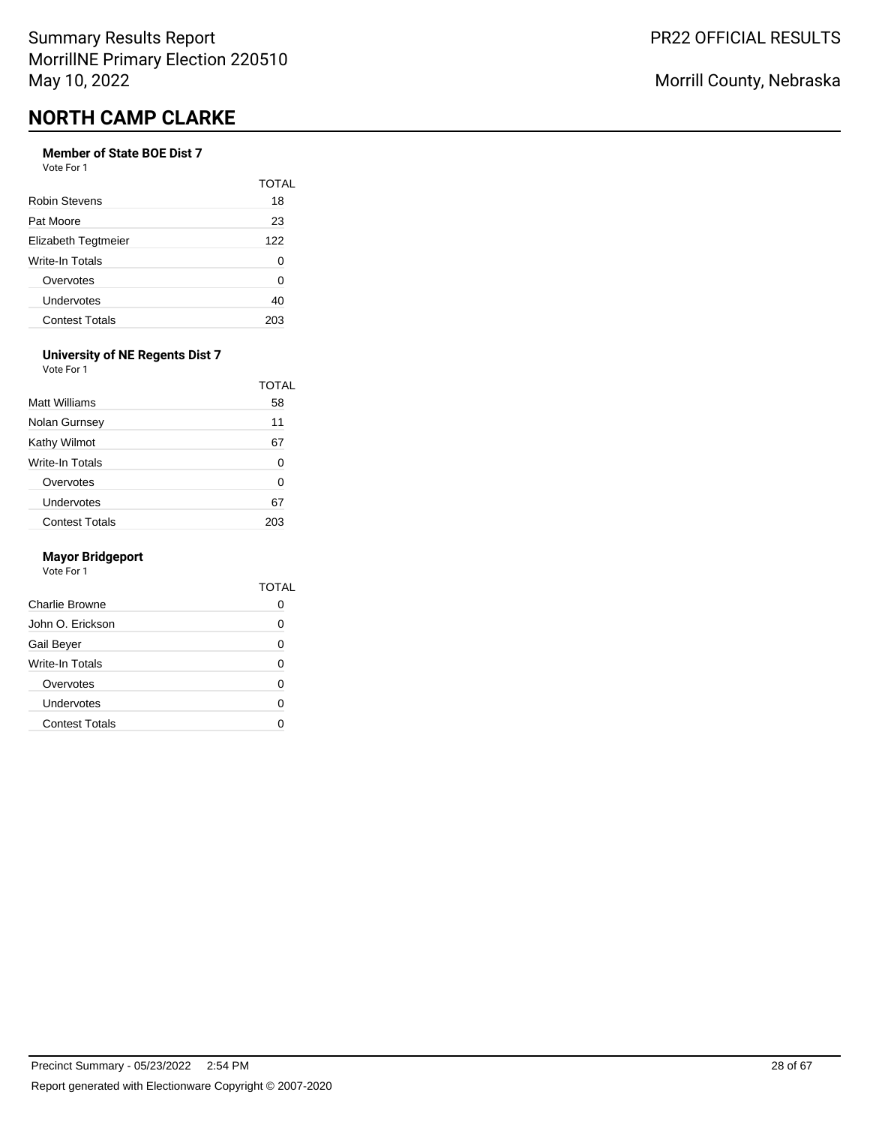# **Member of State BOE Dist 7**

Vote For 1

|                       | TOTAI |
|-----------------------|-------|
| <b>Robin Stevens</b>  | 18    |
| Pat Moore             | 23    |
| Elizabeth Tegtmeier   | 122   |
| Write-In Totals       | 0     |
| Overvotes             | O     |
| Undervotes            | 40    |
| <b>Contest Totals</b> | 203   |

#### **University of NE Regents Dist 7** Vote For 1

|                       | <b>TOTAL</b> |
|-----------------------|--------------|
| <b>Matt Williams</b>  | 58           |
| Nolan Gurnsey         | 11           |
| Kathy Wilmot          | 67           |
| Write-In Totals       | 0            |
| Overvotes             | 0            |
| Undervotes            | 67           |
| <b>Contest Totals</b> |              |

#### **Mayor Bridgeport**

|                       | TOTAI |
|-----------------------|-------|
| Charlie Browne        |       |
| John O. Erickson      | ∩     |
| Gail Beyer            | O     |
| Write-In Totals       | ŋ     |
| Overvotes             | ŋ     |
| Undervotes            | ∩     |
| <b>Contest Totals</b> |       |
|                       |       |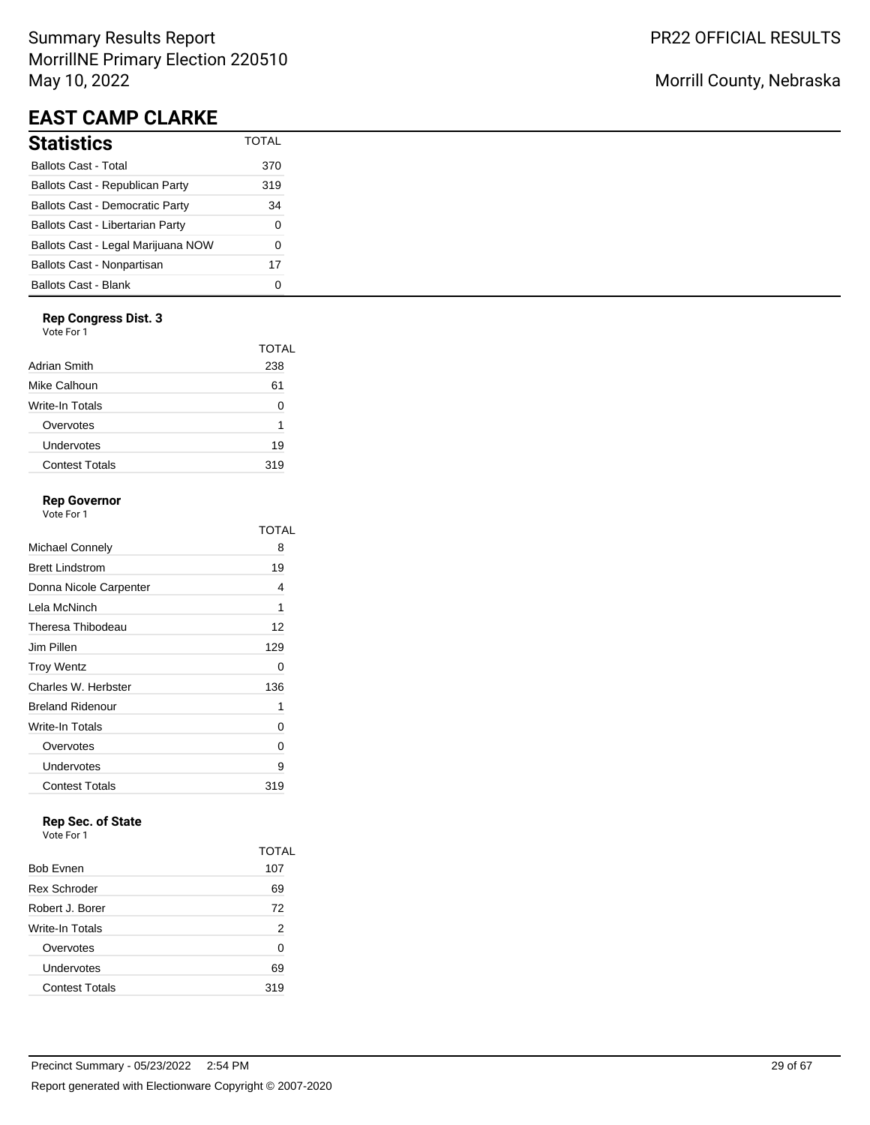# Summary Results Report MorrillNE Primary Election 220510 May 10, 2022

# **EAST CAMP CLARKE**

| Statistics                             | <b>TOTAL</b> |
|----------------------------------------|--------------|
| Ballots Cast - Total                   | 370          |
| Ballots Cast - Republican Party        | 319          |
| <b>Ballots Cast - Democratic Party</b> | 34           |
| Ballots Cast - Libertarian Party       | $\Omega$     |
| Ballots Cast - Legal Marijuana NOW     | 0            |
| Ballots Cast - Nonpartisan             | 17           |
| Ballots Cast - Blank                   |              |

#### **Rep Congress Dist. 3**

Vote For 1

|                       | TOTAL |
|-----------------------|-------|
| Adrian Smith          | 238   |
| Mike Calhoun          | 61    |
| Write-In Totals       | O     |
| Overvotes             | 1     |
| Undervotes            | 19    |
| <b>Contest Totals</b> | 319   |
|                       |       |

## **Rep Governor**

Vote For 1

|                         | TOTAL |
|-------------------------|-------|
| Michael Connely         | 8     |
| <b>Brett Lindstrom</b>  | 19    |
| Donna Nicole Carpenter  | 4     |
| Lela McNinch            | 1     |
| Theresa Thibodeau       | 12    |
| Jim Pillen              | 129   |
| <b>Troy Wentz</b>       | 0     |
| Charles W. Herbster     | 136   |
| <b>Breland Ridenour</b> | 1     |
| Write-In Totals         | 0     |
| Overvotes               | 0     |
| Undervotes              | 9     |
| <b>Contest Totals</b>   | 319   |

# **Rep Sec. of State**

|                       | TOTAL |
|-----------------------|-------|
| <b>Bob Evnen</b>      | 107   |
| <b>Rex Schroder</b>   | 69    |
| Robert J. Borer       | 72    |
| Write-In Totals       | 2     |
| Overvotes             | 0     |
| Undervotes            | 69    |
| <b>Contest Totals</b> | 319   |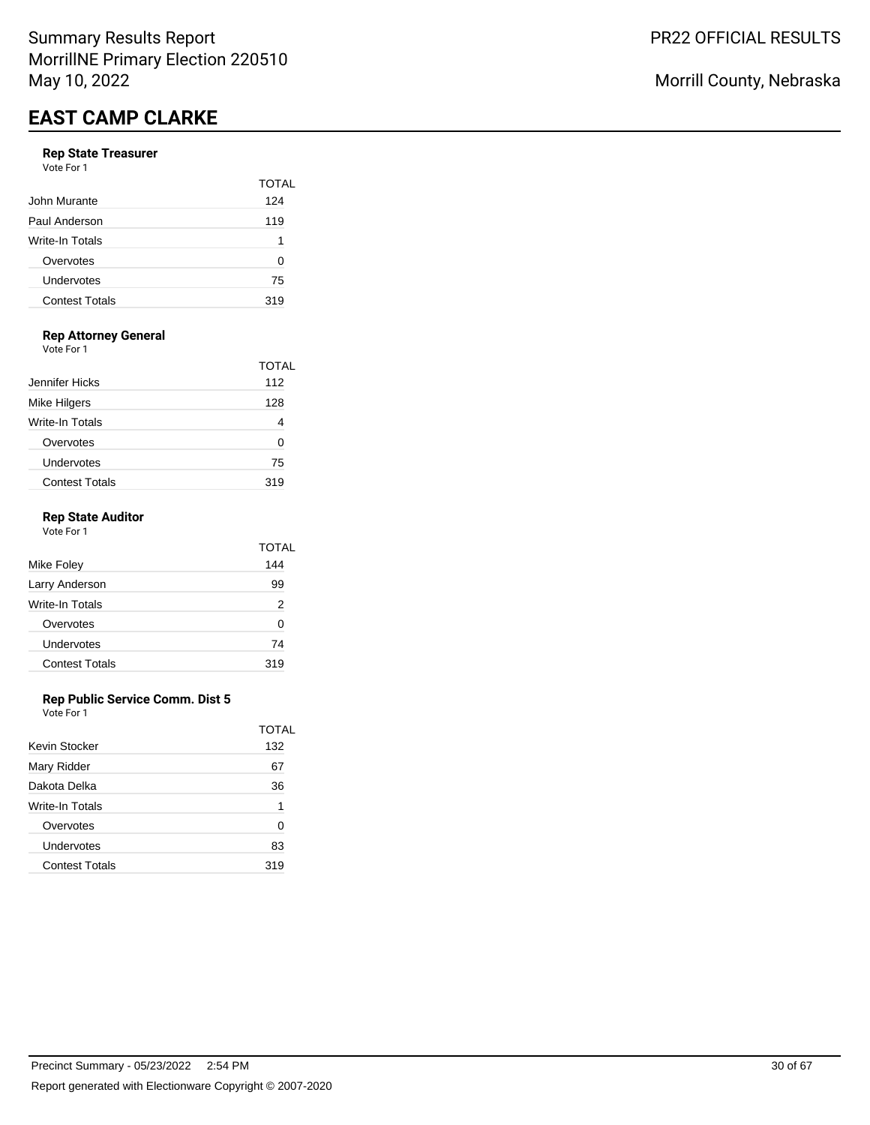#### **Rep State Treasurer** Vote For 1

| .                     |              |
|-----------------------|--------------|
|                       | <b>TOTAL</b> |
| John Murante          | 124          |
| Paul Anderson         | 119          |
| Write-In Totals       | 1            |
| Overvotes             | 0            |
| Undervotes            | 75           |
| <b>Contest Totals</b> | 319          |
|                       |              |

# **Rep Attorney General**

Vote For 1

|                       | TOTAL |
|-----------------------|-------|
| Jennifer Hicks        | 112   |
| Mike Hilgers          | 128   |
| Write-In Totals       |       |
| Overvotes             | O     |
| Undervotes            | 75    |
| <b>Contest Totals</b> | 319   |

### **Rep State Auditor**

| Vote For 1            |       |
|-----------------------|-------|
|                       | TOTAL |
| Mike Foley            | 144   |
| Larry Anderson        | 99    |
| Write-In Totals       | 2     |
| Overvotes             | ŋ     |
| Undervotes            | 74    |
| <b>Contest Totals</b> | 319   |
|                       |       |

### **Rep Public Service Comm. Dist 5**

|                       | TOTAL |
|-----------------------|-------|
| Kevin Stocker         | 132   |
| Mary Ridder           | 67    |
| Dakota Delka          | 36    |
| Write-In Totals       | 1     |
| Overvotes             | O     |
| Undervotes            | 83    |
| <b>Contest Totals</b> | 319   |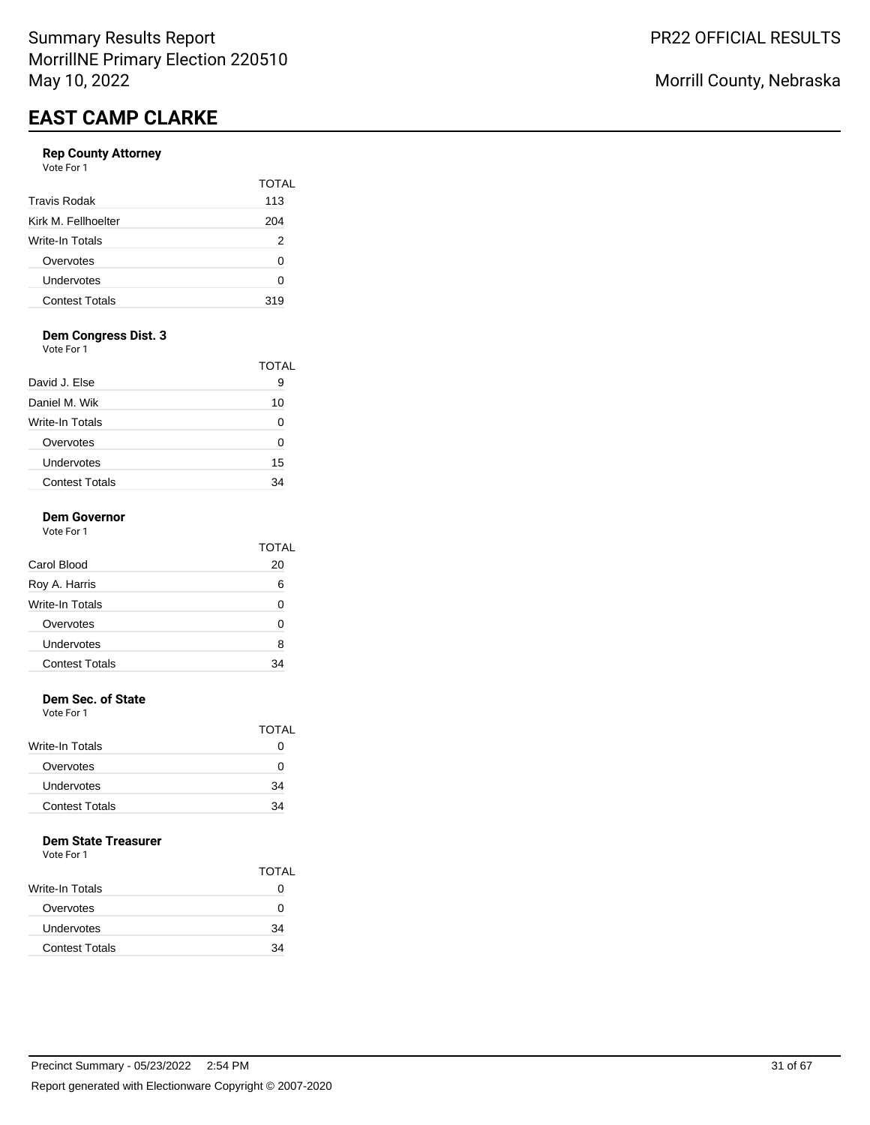# **Rep County Attorney**

|                       | <b>TOTAL</b> |
|-----------------------|--------------|
| Travis Rodak          | 113          |
| Kirk M. Fellhoelter   | 204          |
| Write-In Totals       | 2            |
| Overvotes             | ი            |
| Undervotes            | ი            |
| <b>Contest Totals</b> | 319          |

### **Dem Congress Dist. 3**

Vote For 1

|                       | TOTAL |
|-----------------------|-------|
| David J. Else         | 9     |
| Daniel M. Wik         | 10    |
| Write-In Totals       |       |
| Overvotes             |       |
| Undervotes            | 15    |
| <b>Contest Totals</b> | 34    |

# **Dem Governor**

| Vote For 1            |              |
|-----------------------|--------------|
|                       | <b>TOTAL</b> |
| Carol Blood           | 20           |
| Roy A. Harris         | 6            |
| Write-In Totals       | ŋ            |
| Overvotes             | U            |
| Undervotes            | 8            |
| <b>Contest Totals</b> |              |

#### **Dem Sec. of State**

Vote For 1

|                       | <b>TOTAL</b> |
|-----------------------|--------------|
| Write-In Totals       | $\lceil$     |
| Overvotes             | 0            |
| Undervotes            | 34           |
| <b>Contest Totals</b> | 34           |

### **Dem State Treasurer**

|                        | <b>TOTAL</b> |
|------------------------|--------------|
| <b>Write-In Totals</b> | 0            |
| Overvotes              | O            |
| Undervotes             | 34           |
| <b>Contest Totals</b>  | 34           |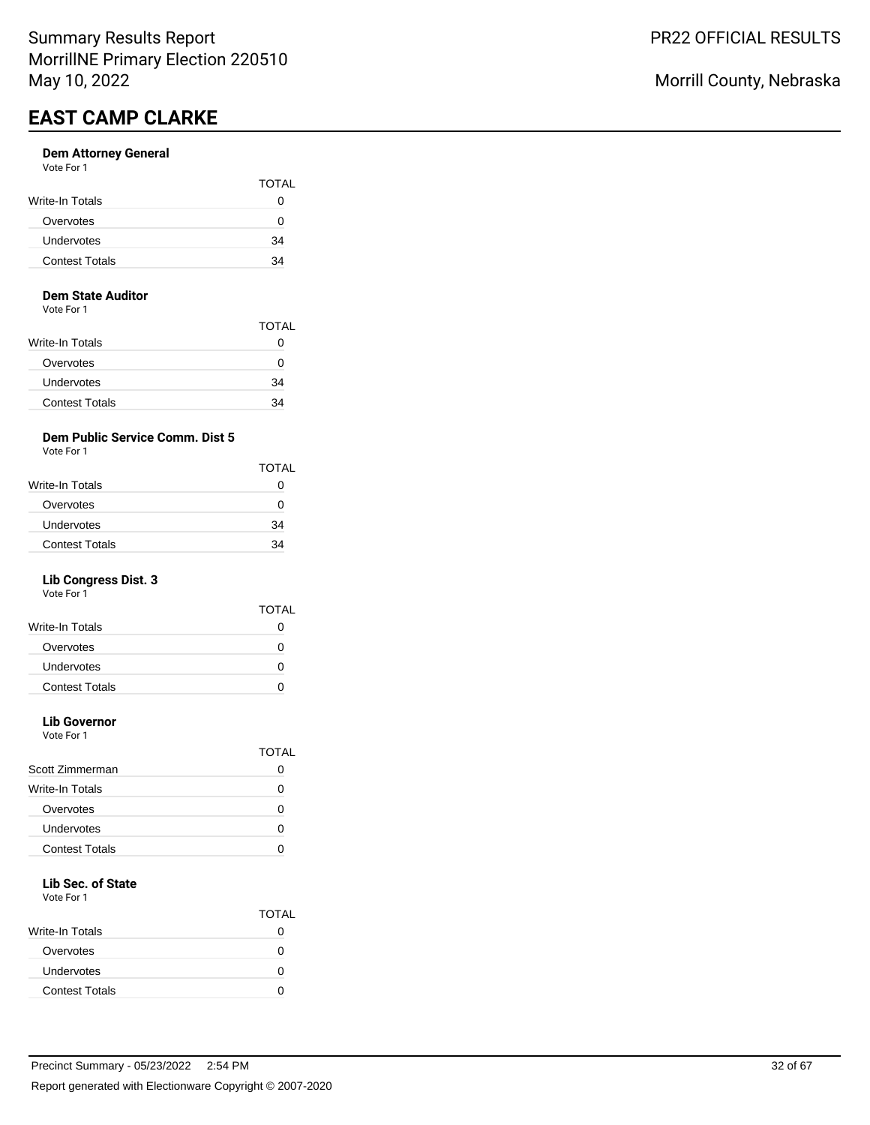#### **Dem Attorney General** Vote For 1

| <b>VAJILI I VJI I</b>  |              |
|------------------------|--------------|
|                        | <b>TOTAL</b> |
| <b>Write-In Totals</b> |              |
| Overvotes              |              |
| <b>Undervotes</b>      | 34           |
| <b>Contest Totals</b>  | 34           |
|                        |              |

#### **Dem State Auditor**

Vote For 1

|                        | TOTAL |
|------------------------|-------|
| <b>Write-In Totals</b> | 0     |
| Overvotes              | O     |
| Undervotes             | 34    |
| <b>Contest Totals</b>  | 34    |

## **Dem Public Service Comm. Dist 5**

Vote For 1

| Write-In Totals<br>Overvotes |    |
|------------------------------|----|
|                              | 0  |
|                              | O  |
| Undervotes                   | 34 |
| <b>Contest Totals</b>        | 34 |

## **Lib Congress Dist. 3**

Vote For 1

|                       | TOTAL |
|-----------------------|-------|
| Write-In Totals       | 0     |
| Overvotes             | 0     |
| Undervotes            | 0     |
| <b>Contest Totals</b> |       |
|                       |       |

# **Lib Governor**

Vote For 1

|                       | TOTAI |
|-----------------------|-------|
| Scott Zimmerman       |       |
| Write-In Totals       |       |
| Overvotes             |       |
| Undervotes            |       |
| <b>Contest Totals</b> |       |
|                       |       |

# **Lib Sec. of State**

|                       | <b>TOTAL</b> |
|-----------------------|--------------|
| Write-In Totals       |              |
| Overvotes             |              |
| Undervotes            | n            |
| <b>Contest Totals</b> |              |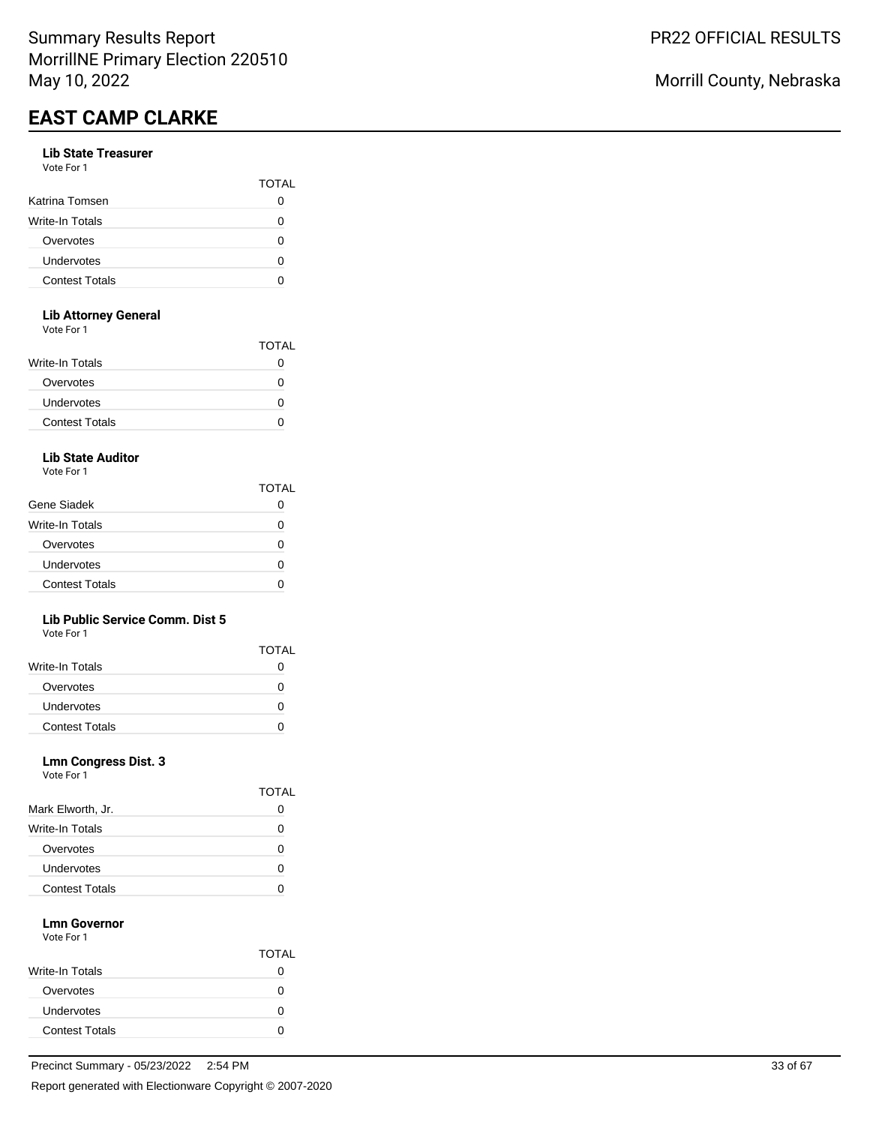#### **Lib State Treasurer** Vote For 1

| .                     |              |
|-----------------------|--------------|
|                       | <b>TOTAL</b> |
| Katrina Tomsen        |              |
| Write-In Totals       | O            |
| Overvotes             | ი            |
| Undervotes            | ი            |
| <b>Contest Totals</b> |              |
|                       |              |

### **Lib Attorney General**

Vote For 1

| <u>vuusi uli</u>      |              |
|-----------------------|--------------|
|                       | <b>TOTAL</b> |
| Write-In Totals       | 0            |
| Overvotes             | O            |
| <b>Undervotes</b>     | O            |
| <b>Contest Totals</b> | 0            |
|                       |              |

# **Lib State Auditor**

Vote For 1

|                       | <b>TOTAL</b> |
|-----------------------|--------------|
| Gene Siadek           |              |
| Write-In Totals       | n            |
| Overvotes             | n            |
| Undervotes            | O            |
| <b>Contest Totals</b> |              |

### **Lib Public Service Comm. Dist 5**

Vote For 1

|                       | <b>TOTAL</b> |
|-----------------------|--------------|
| Write-In Totals       |              |
| Overvotes             | 0            |
| Undervotes            |              |
| <b>Contest Totals</b> |              |

### **Lmn Congress Dist. 3**

Vote For 1

|                       | <b>TOTAL</b> |
|-----------------------|--------------|
| Mark Elworth, Jr.     | 0            |
| Write-In Totals       | O            |
| Overvotes             | O            |
| Undervotes            | 0            |
| <b>Contest Totals</b> |              |

#### **Lmn Governor** Vote For 1

|                       | <b>TOTAL</b> |
|-----------------------|--------------|
| Write-In Totals       |              |
| Overvotes             | 0            |
| Undervotes            |              |
| <b>Contest Totals</b> |              |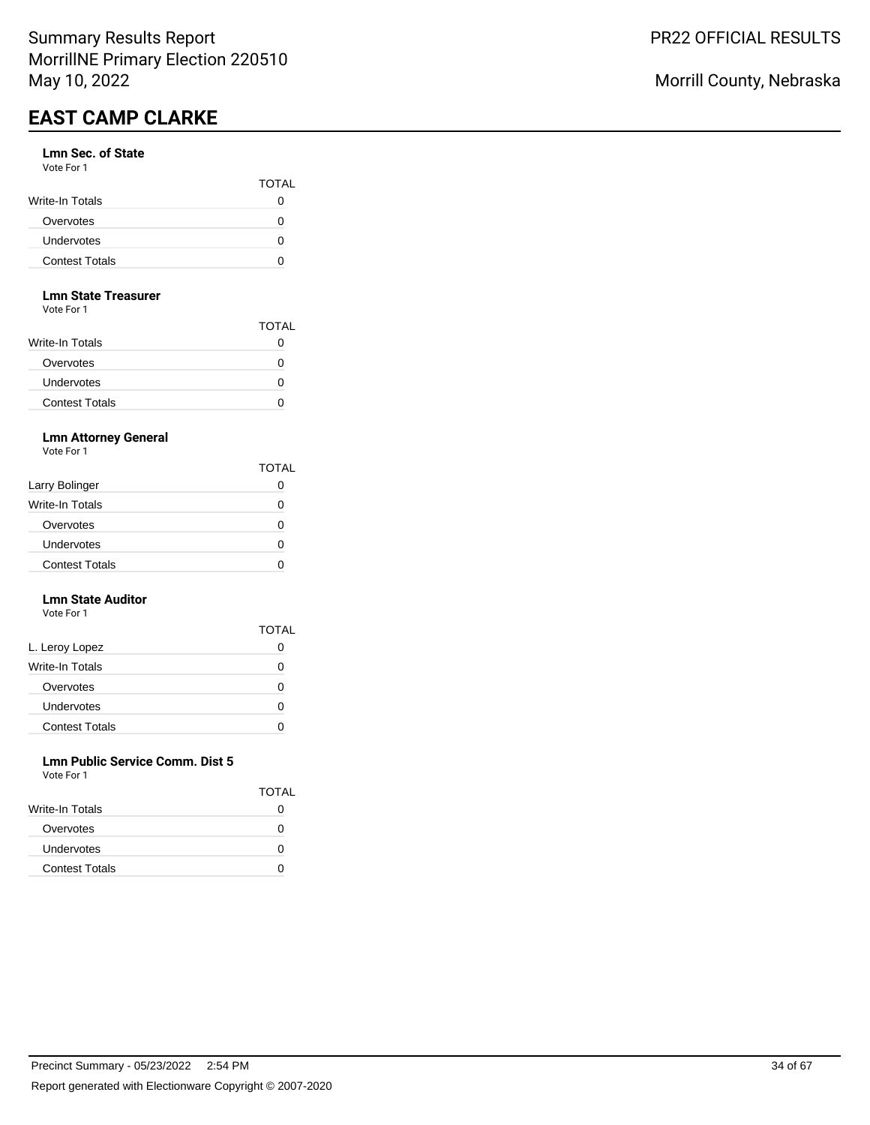#### **Lmn Sec. of State** Vote For 1

| .                     | <b>TOTAL</b> |
|-----------------------|--------------|
| Write-In Totals       |              |
| Overvotes             |              |
| <b>Undervotes</b>     |              |
| <b>Contest Totals</b> |              |

#### **Lmn State Treasurer**

Vote For 1

|                       | <b>TOTAL</b> |
|-----------------------|--------------|
| Write-In Totals       |              |
| Overvotes             |              |
| Undervotes            | U            |
| <b>Contest Totals</b> |              |

## **Lmn Attorney General**

Vote For 1

|                        | TOTAL             |
|------------------------|-------------------|
| Larry Bolinger         |                   |
| <b>Write-In Totals</b> | $\mathbf{\Omega}$ |
| Overvotes              | $\mathbf{\Omega}$ |
| Undervotes             |                   |
| <b>Contest Totals</b>  |                   |

#### **Lmn State Auditor** Vote For 1

|                       | <b>TOTAL</b> |
|-----------------------|--------------|
| L. Leroy Lopez        | O            |
| Write-In Totals       | Ω            |
| Overvotes             | Ω            |
| Undervotes            | Ω            |
| <b>Contest Totals</b> |              |

#### **Lmn Public Service Comm. Dist 5** Vote For 1

| <u>vuusi uli</u>       |              |
|------------------------|--------------|
|                        | <b>TOTAL</b> |
| <b>Write-In Totals</b> | $\mathbf{O}$ |
| Overvotes              | 0            |
| Undervotes             | n            |
| <b>Contest Totals</b>  |              |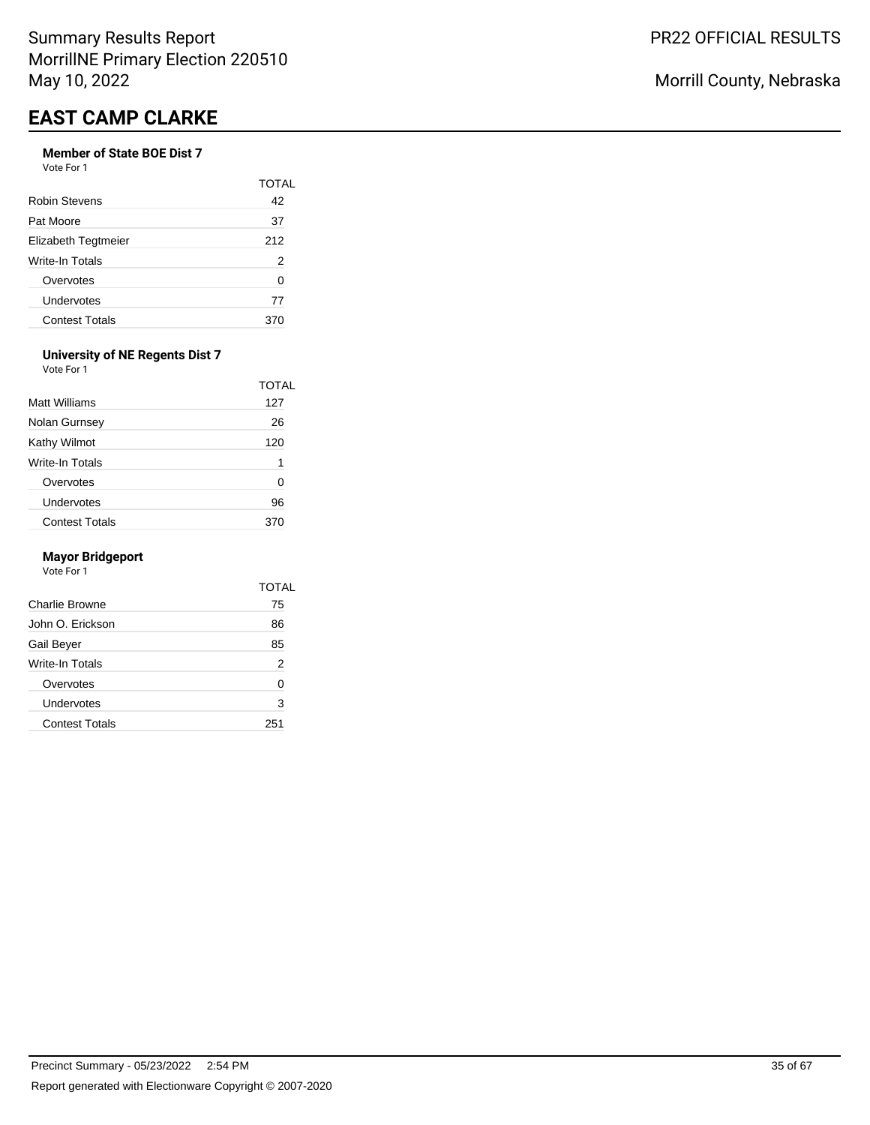# **Member of State BOE Dist 7**

Vote For 1

|                       | TOTAL |
|-----------------------|-------|
| <b>Robin Stevens</b>  | 42    |
| Pat Moore             | 37    |
| Elizabeth Tegtmeier   | 212   |
| Write-In Totals       | 2     |
| Overvotes             | ი     |
| Undervotes            | 77    |
| <b>Contest Totals</b> | 370   |

#### **University of NE Regents Dist 7** Vote For 1

| Matt Williams         | TOTAL<br>127 |
|-----------------------|--------------|
| Nolan Gurnsey         | 26           |
| Kathy Wilmot          | 120          |
| Write-In Totals       | 1            |
| Overvotes             | 0            |
| Undervotes            | 96           |
| <b>Contest Totals</b> |              |

#### **Mayor Bridgeport**

|                        | TOTAL |
|------------------------|-------|
| Charlie Browne         | 75    |
| John O. Erickson       | 86    |
| Gail Beyer             | 85    |
| <b>Write-In Totals</b> | 2     |
| Overvotes              | O     |
| Undervotes             | 3     |
| <b>Contest Totals</b>  | 251   |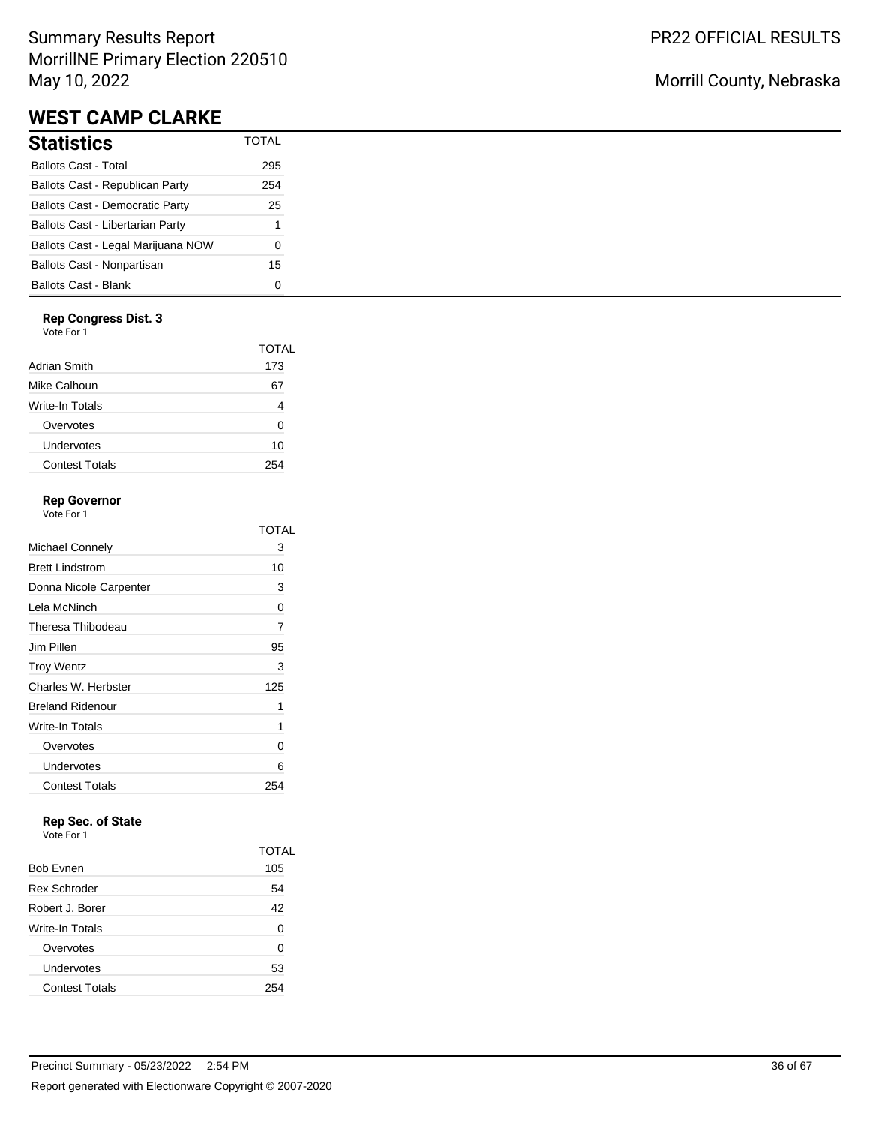# Summary Results Report MorrillNE Primary Election 220510 May 10, 2022

# **WEST CAMP CLARKE**

| <b>Statistics</b>                       | <b>TOTAL</b> |
|-----------------------------------------|--------------|
| <b>Ballots Cast - Total</b>             | 295          |
| Ballots Cast - Republican Party         | 254          |
| <b>Ballots Cast - Democratic Party</b>  | 25           |
| <b>Ballots Cast - Libertarian Party</b> | 1            |
| Ballots Cast - Legal Marijuana NOW      | ი            |
| Ballots Cast - Nonpartisan              | 15           |
| <b>Ballots Cast - Blank</b>             |              |

### **Rep Congress Dist. 3**

Vote For 1

|                        | TOTAL |
|------------------------|-------|
| Adrian Smith           | 173   |
| Mike Calhoun           | 67    |
| <b>Write-In Totals</b> |       |
| Overvotes              | Ω     |
| Undervotes             | 10    |
| <b>Contest Totals</b>  | 254   |

## **Rep Governor**

Vote For 1

|                         | TOTAL |
|-------------------------|-------|
| Michael Connely         | З     |
| <b>Brett Lindstrom</b>  | 10    |
| Donna Nicole Carpenter  | 3     |
| Lela McNinch            | 0     |
| Theresa Thibodeau       | 7     |
| Jim Pillen              | 95    |
| <b>Troy Wentz</b>       | 3     |
| Charles W. Herbster     | 125   |
| <b>Breland Ridenour</b> | 1     |
| Write-In Totals         | 1     |
| Overvotes               | 0     |
| Undervotes              | 6     |
| <b>Contest Totals</b>   | 254   |

# **Rep Sec. of State**

Vote For 1

|                       | <b>TOTAL</b> |
|-----------------------|--------------|
| <b>Bob Evnen</b>      | 105          |
| <b>Rex Schroder</b>   | 54           |
| Robert J. Borer       | 42           |
| Write-In Totals       | 0            |
| Overvotes             | 0            |
| Undervotes            | 53           |
| <b>Contest Totals</b> | 254          |
|                       |              |

# Morrill County, Nebraska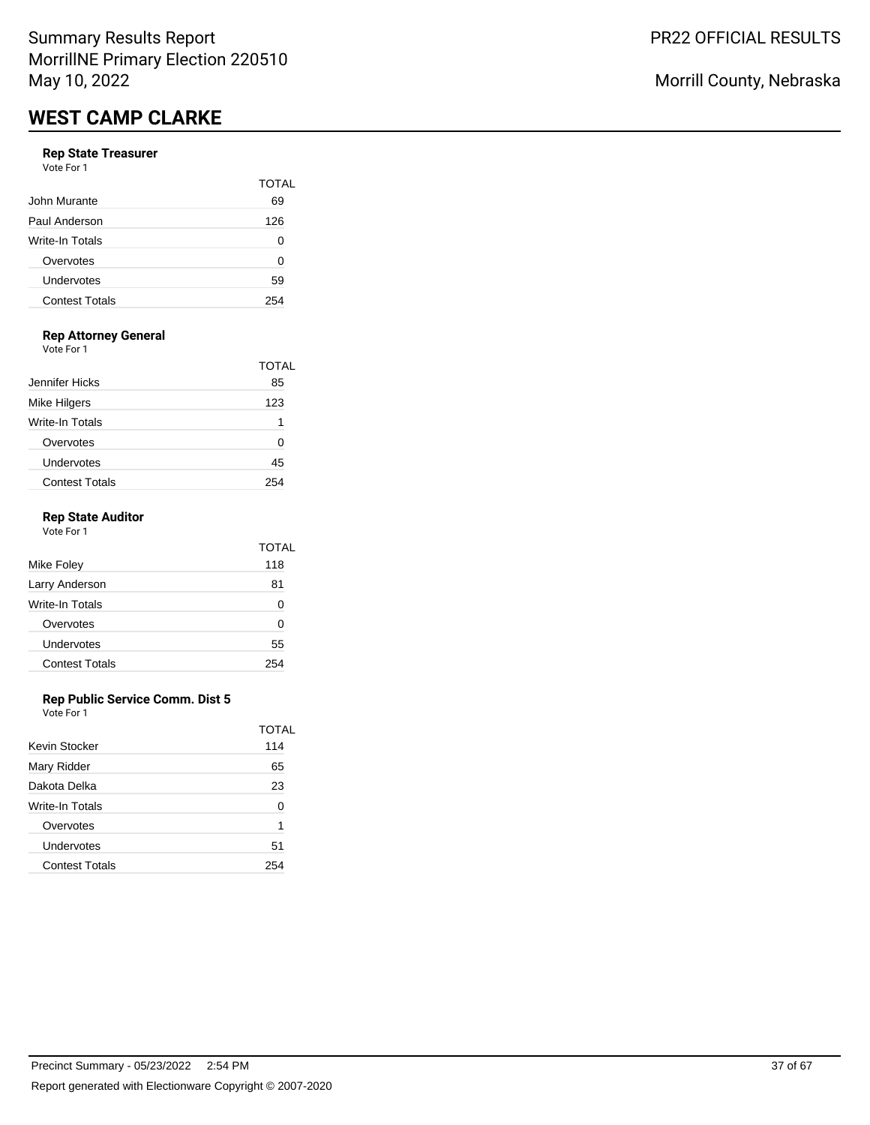#### **Rep State Treasurer** Vote For 1

| .                     |              |
|-----------------------|--------------|
|                       | <b>TOTAL</b> |
| John Murante          | 69           |
| Paul Anderson         | 126          |
| Write-In Totals       | 0            |
| Overvotes             | 0            |
| Undervotes            | 59           |
| <b>Contest Totals</b> | 254          |
|                       |              |

# **Rep Attorney General**

Vote For 1

|                       | TOTAL |
|-----------------------|-------|
| Jennifer Hicks        | 85    |
| Mike Hilgers          | 123   |
| Write-In Totals       |       |
| Overvotes             | O     |
| Undervotes            | 45    |
| <b>Contest Totals</b> | ソヘ    |

### **Rep State Auditor**

| Vote For 1            |       |
|-----------------------|-------|
|                       | TOTAL |
| Mike Foley            | 118   |
| Larry Anderson        | 81    |
| Write-In Totals       | 0     |
| Overvotes             | ŋ     |
| Undervotes            | 55    |
| <b>Contest Totals</b> | 254   |
|                       |       |

#### **Rep Public Service Comm. Dist 5**

|                       | TOTAL |
|-----------------------|-------|
| Kevin Stocker         | 114   |
| Mary Ridder           | 65    |
| Dakota Delka          | 23    |
| Write-In Totals       | 0     |
| Overvotes             | 1     |
| Undervotes            | 51    |
| <b>Contest Totals</b> | 254   |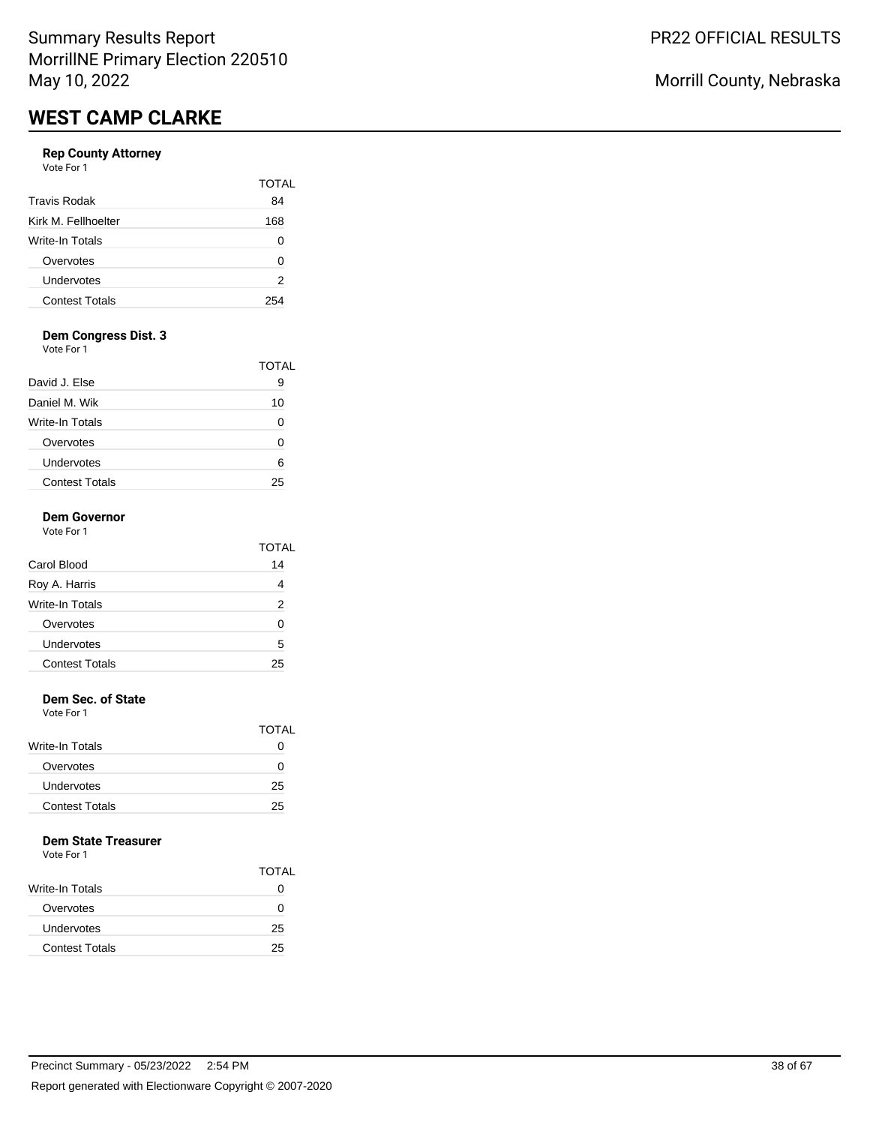### **Rep County Attorney**

Vote For 1

|                       | TOTAI |
|-----------------------|-------|
| <b>Travis Rodak</b>   | 84    |
| Kirk M. Fellhoelter   | 168   |
| Write-In Totals       |       |
| Overvotes             | O     |
| Undervotes            | 2     |
| <b>Contest Totals</b> | 254   |

## **Dem Congress Dist. 3**

Vote For 1

|                       | TOTAL |
|-----------------------|-------|
| David J. Else         | 9     |
| Daniel M. Wik         | 10    |
| Write-In Totals       |       |
| Overvotes             |       |
| Undervotes            | ค     |
| <b>Contest Totals</b> | 25    |

### **Dem Governor**

| Vote For 1            | <b>TOTAL</b> |
|-----------------------|--------------|
| Carol Blood           | 14           |
| Roy A. Harris         | 4            |
| Write-In Totals       | 2            |
| Overvotes             | ŋ            |
| Undervotes            | 5            |
| <b>Contest Totals</b> | 25           |

### **Dem Sec. of State**

Vote For 1

|                       | <b>TOTAL</b> |
|-----------------------|--------------|
| Write-In Totals       | $\lceil$     |
| Overvotes             | $\mathbf{I}$ |
| <b>Undervotes</b>     | 25           |
| <b>Contest Totals</b> | 25           |

### **Dem State Treasurer**

|                       | <b>TOTAL</b> |
|-----------------------|--------------|
| Write-In Totals       | 0            |
| Overvotes             | O            |
| Undervotes            | 25           |
| <b>Contest Totals</b> | 25           |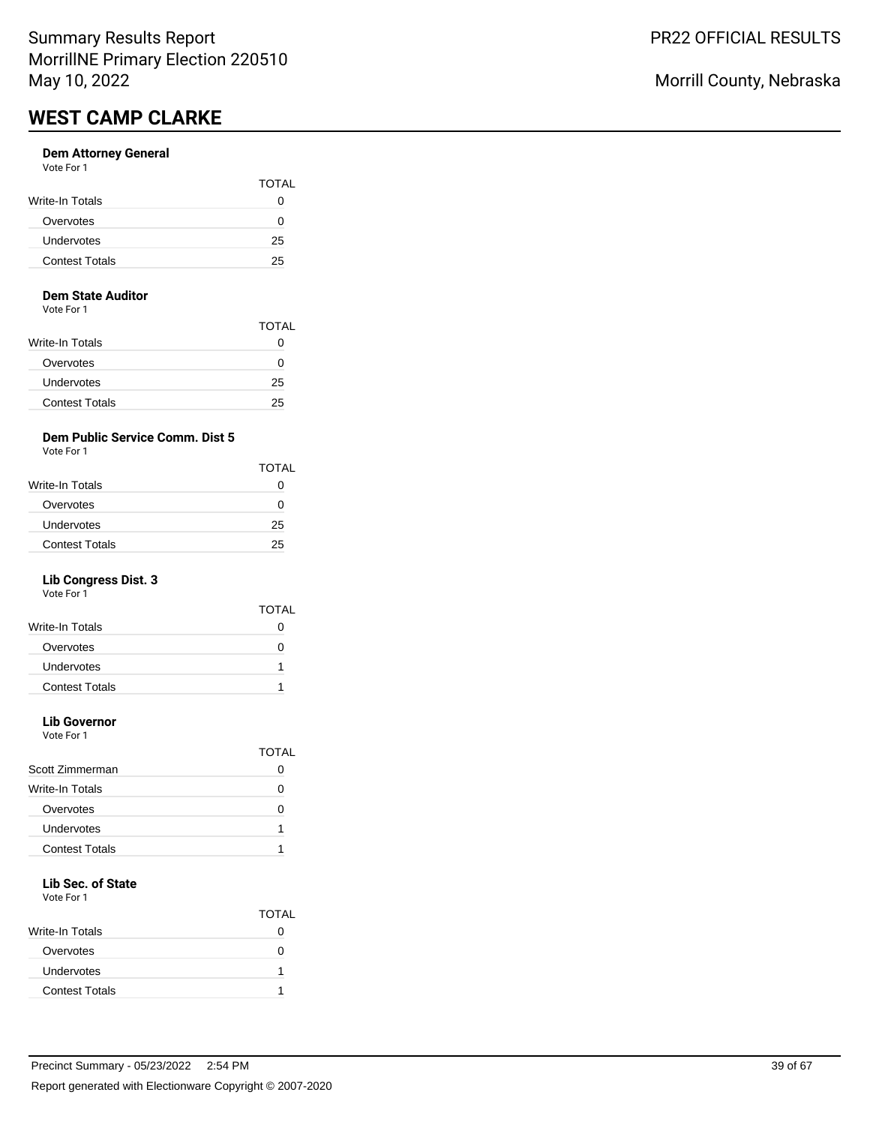#### **Dem Attorney General** Vote For 1

| VULE FUIT             |              |
|-----------------------|--------------|
|                       | <b>TOTAL</b> |
| Write-In Totals       |              |
| Overvotes             | $\mathbf{I}$ |
| Undervotes            | 25           |
| <b>Contest Totals</b> | 25           |
|                       |              |

#### **Dem State Auditor**

Vote For 1

|                       | TOTAL |
|-----------------------|-------|
| Write-In Totals       | 0     |
| Overvotes             | O     |
| Undervotes            | 25    |
| <b>Contest Totals</b> | 25    |

## **Dem Public Service Comm. Dist 5**

Vote For 1

| <b>TOTAL</b> |
|--------------|
| $^{(1)}$     |
| $^{(1)}$     |
| 25           |
| 25           |
|              |

## **Lib Congress Dist. 3**

Vote For 1

|                       | TOTAL |
|-----------------------|-------|
| Write-In Totals       |       |
| Overvotes             | 0     |
| Undervotes            |       |
| <b>Contest Totals</b> |       |
|                       |       |

# **Lib Governor**

Vote For 1

|                       | TOTAI |
|-----------------------|-------|
| Scott Zimmerman       |       |
| Write-In Totals       |       |
| Overvotes             |       |
| Undervotes            |       |
| <b>Contest Totals</b> |       |
|                       |       |

# **Lib Sec. of State**

Vote For 1

|                       | <b>TOTAL</b> |
|-----------------------|--------------|
| Write-In Totals       |              |
| Overvotes             |              |
| Undervotes            |              |
| <b>Contest Totals</b> |              |

Morrill County, Nebraska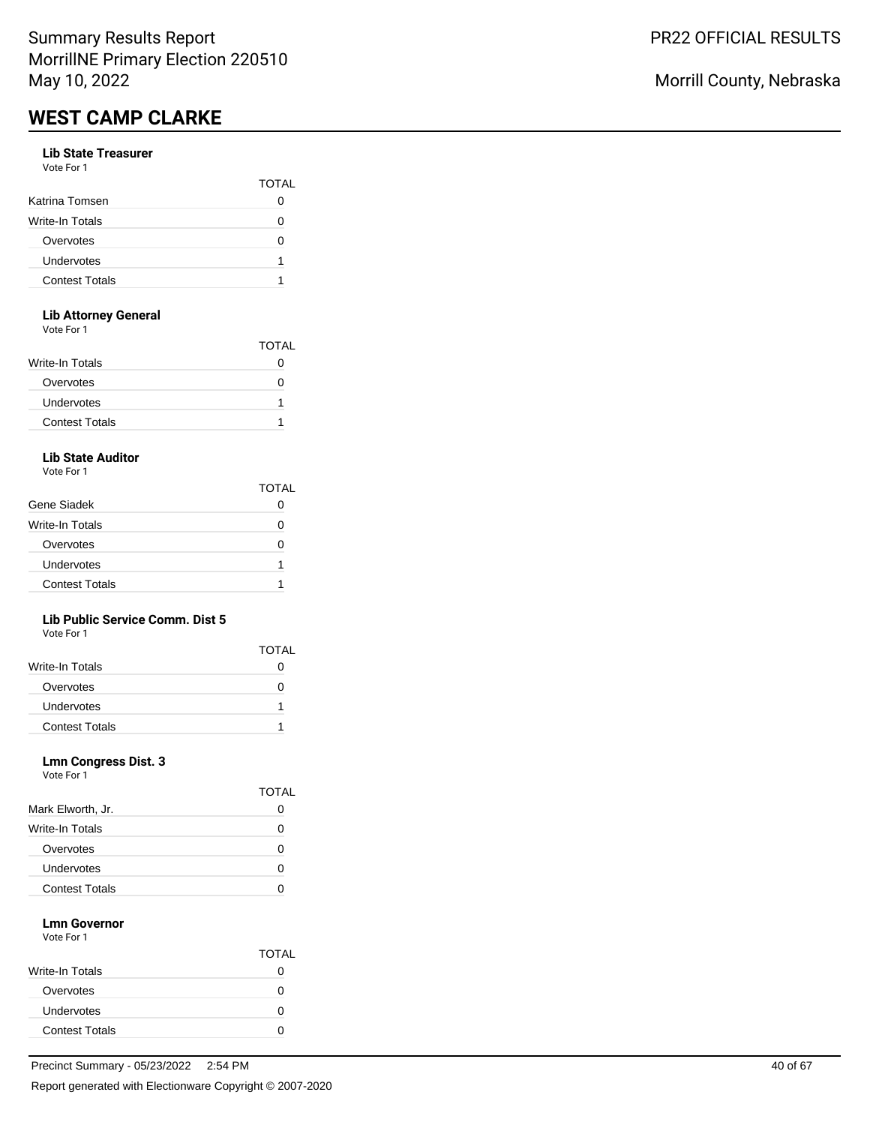#### **Lib State Treasurer** Vote For 1

| , , , , , , , , ,      |              |
|------------------------|--------------|
|                        | <b>TOTAL</b> |
| Katrina Tomsen         | O            |
| <b>Write-In Totals</b> | O            |
| Overvotes              | Ω            |
| Undervotes             | 1            |
| <b>Contest Totals</b>  |              |
|                        |              |

### **Lib Attorney General**

Vote For 1

| <u>vuusi uli</u>      |              |
|-----------------------|--------------|
|                       | <b>TOTAL</b> |
| Write-In Totals       | $\mathbf{I}$ |
| Overvotes             | $\lceil$     |
| <b>Undervotes</b>     |              |
| <b>Contest Totals</b> |              |
|                       |              |

## **Lib State Auditor**

Vote For 1

|                       | TOTAL |
|-----------------------|-------|
| Gene Siadek           |       |
| Write-In Totals       | n     |
| Overvotes             | n     |
| Undervotes            | 1     |
| <b>Contest Totals</b> |       |

### **Lib Public Service Comm. Dist 5**

Vote For 1

|                        | <b>TOTAL</b> |
|------------------------|--------------|
| <b>Write-In Totals</b> |              |
| Overvotes              |              |
| Undervotes             |              |
| <b>Contest Totals</b>  |              |

#### **Lmn Congress Dist. 3**

| Vote For 1 |  |  |
|------------|--|--|
|            |  |  |

|                       | 1 V 1 / 1 L |
|-----------------------|-------------|
| Mark Elworth, Jr.     | 0           |
| Write-In Totals       | 0           |
| Overvotes             | $\lceil$    |
| Undervotes            | O           |
| <b>Contest Totals</b> |             |

**TOTAL** 

#### **Lmn Governor** Vote For 1

|                       | <b>TOTAL</b> |
|-----------------------|--------------|
| Write-In Totals       |              |
| Overvotes             | 0            |
| Undervotes            |              |
| <b>Contest Totals</b> |              |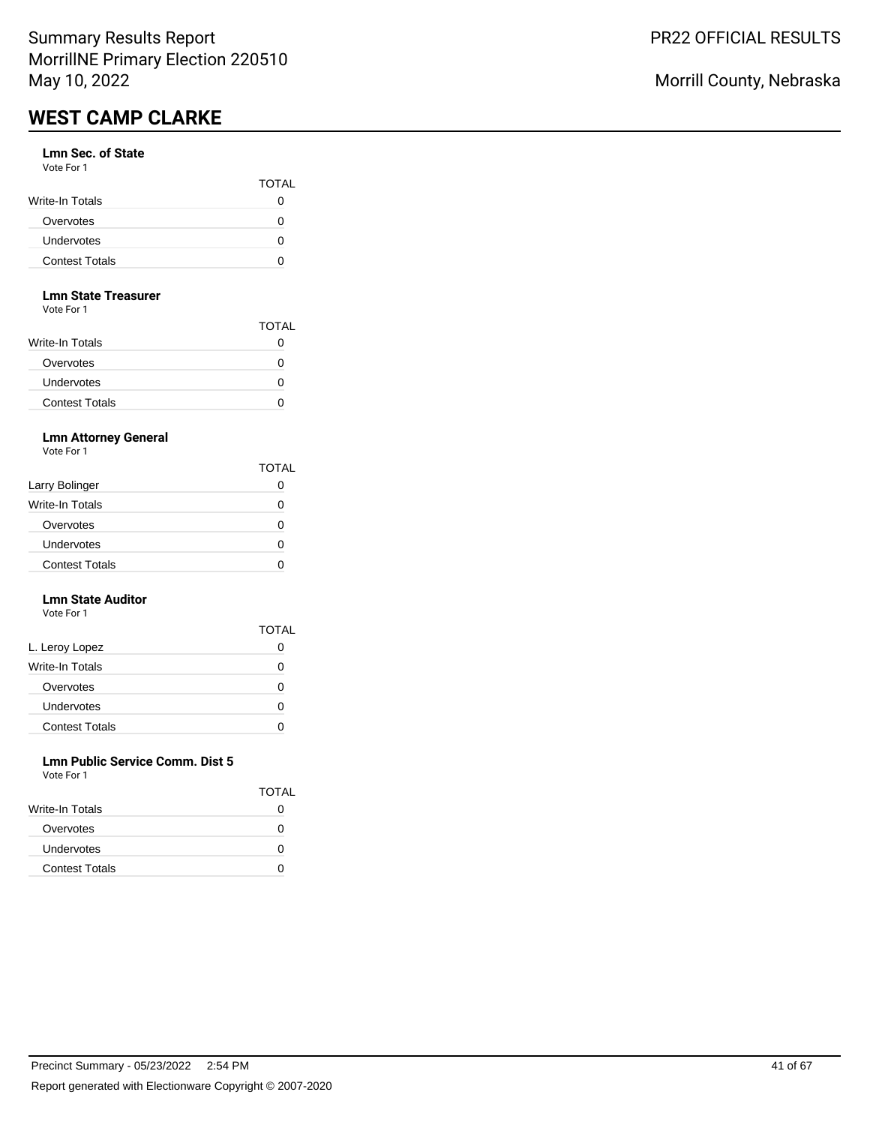#### **Lmn Sec. of State** Vote For 1

| .                     | <b>TOTAL</b> |
|-----------------------|--------------|
| Write-In Totals       |              |
| Overvotes             |              |
| Undervotes            |              |
| <b>Contest Totals</b> |              |

#### **Lmn State Treasurer**

Vote For 1

|                        | <b>TOTAL</b> |
|------------------------|--------------|
| <b>Write-In Totals</b> | 0            |
| Overvotes              | 0            |
| Undervotes             | 0            |
| <b>Contest Totals</b>  | 0            |

## **Lmn Attorney General**

Vote For 1

|                       | TOTAL |
|-----------------------|-------|
| Larry Bolinger        |       |
| Write-In Totals       |       |
| Overvotes             | 0     |
| Undervotes            |       |
| <b>Contest Totals</b> |       |

#### **Lmn State Auditor** Vote For 1

|                       | TOTAL |
|-----------------------|-------|
| L. Leroy Lopez        | 0     |
| Write-In Totals       | O     |
| Overvotes             | Ω     |
| Undervotes            | O     |
| <b>Contest Totals</b> |       |

#### **Lmn Public Service Comm. Dist 5** Vote For 1

| <b>VALLET LITTLE</b>  |              |
|-----------------------|--------------|
|                       | <b>TOTAL</b> |
| Write-In Totals       |              |
| Overvotes             | $\mathbf{I}$ |
| <b>Undervotes</b>     | $\lceil$     |
| <b>Contest Totals</b> |              |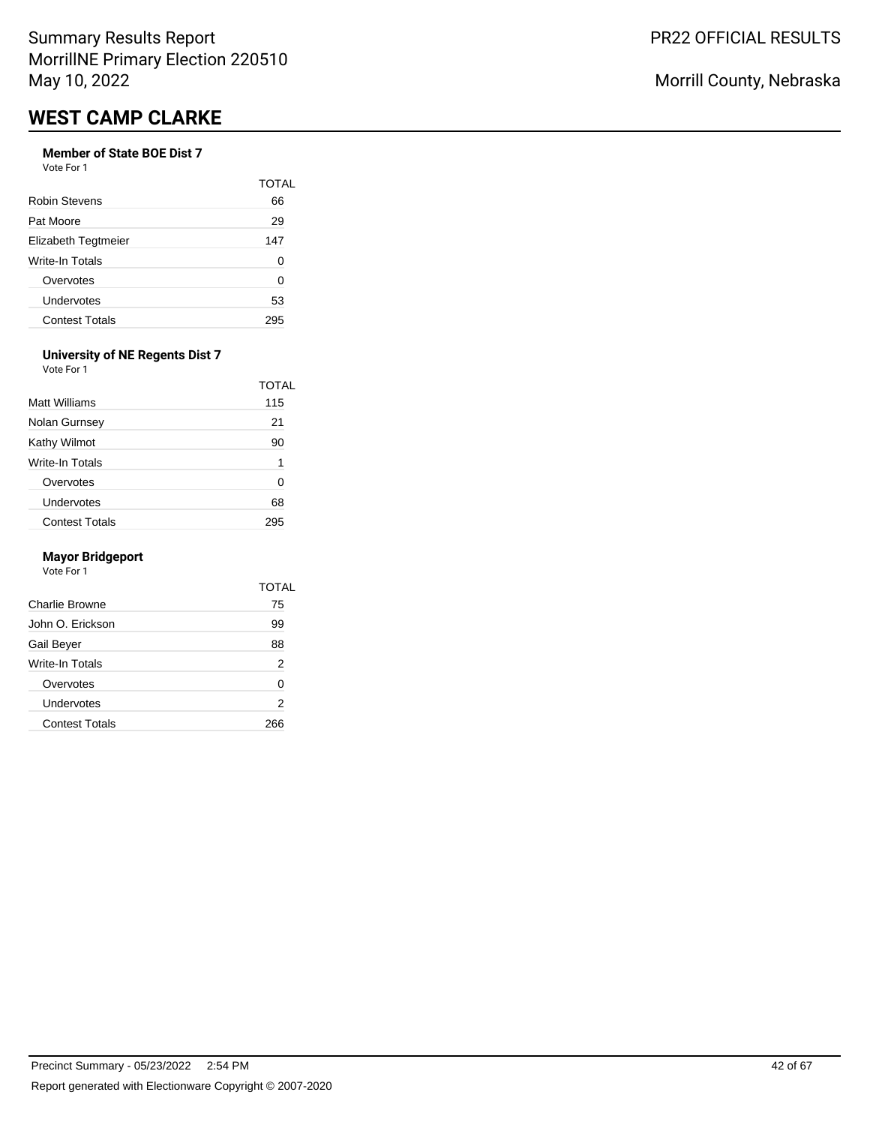# **Member of State BOE Dist 7**

Vote For 1

|                       | TOTAL |
|-----------------------|-------|
| Robin Stevens         | 66    |
| Pat Moore             | 29    |
| Elizabeth Tegtmeier   | 147   |
| Write-In Totals       | O     |
| Overvotes             | ი     |
| Undervotes            | 53    |
| <b>Contest Totals</b> |       |

#### **University of NE Regents Dist 7** Vote For 1

| Matt Williams         | TOTAL<br>115 |
|-----------------------|--------------|
| Nolan Gurnsey         | 21           |
| Kathy Wilmot          | 90           |
| Write-In Totals       | 1            |
| Overvotes             | 0            |
| Undervotes            | 68           |
| <b>Contest Totals</b> |              |

#### **Mayor Bridgeport**

| Charlie Browne<br>John O. Erickson<br>Gail Beyer<br>Write-In Totals<br>Overvotes<br>Undervotes<br><b>Contest Totals</b> | TOTAL |
|-------------------------------------------------------------------------------------------------------------------------|-------|
|                                                                                                                         | 75    |
|                                                                                                                         | 99    |
|                                                                                                                         | 88    |
|                                                                                                                         | 2     |
|                                                                                                                         | 0     |
|                                                                                                                         | 2     |
|                                                                                                                         | 266   |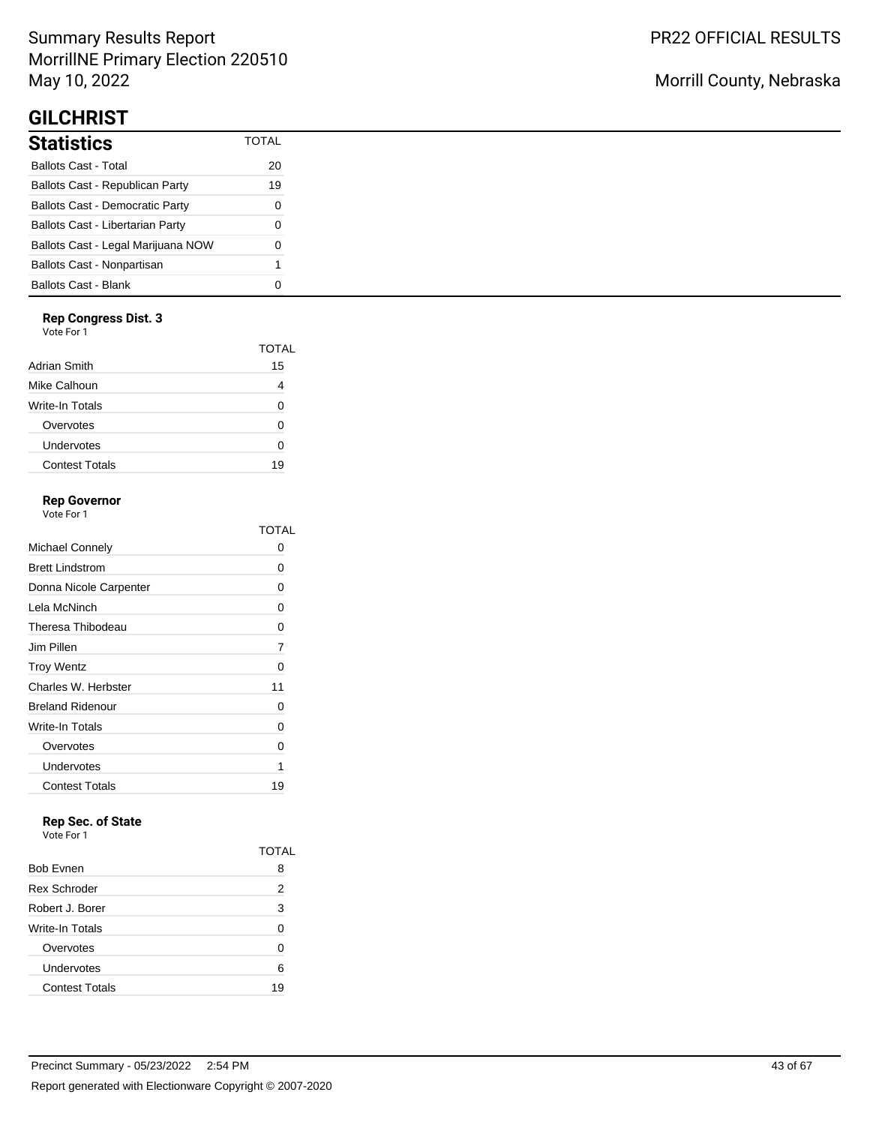# Summary Results Report MorrillNE Primary Election 220510 May 10, 2022

# **GILCHRIST**

| <b>Statistics</b>                       | TOTAI |
|-----------------------------------------|-------|
| <b>Ballots Cast - Total</b>             | 20    |
| Ballots Cast - Republican Party         | 19    |
| <b>Ballots Cast - Democratic Party</b>  | O     |
| <b>Ballots Cast - Libertarian Party</b> | 0     |
| Ballots Cast - Legal Marijuana NOW      | O     |
| Ballots Cast - Nonpartisan              | 1     |
| <b>Ballots Cast - Blank</b>             |       |

## **Rep Congress Dist. 3**

Vote For 1

|                       | TOTAL |
|-----------------------|-------|
| Adrian Smith          | 15    |
| Mike Calhoun          |       |
| Write-In Totals       | ∩     |
| Overvotes             | O     |
| Undervotes            | ∩     |
| <b>Contest Totals</b> | 19    |
|                       |       |

## **Rep Governor**

Vote For 1

|                         | TOTAI |
|-------------------------|-------|
| Michael Connely         | 0     |
| <b>Brett Lindstrom</b>  | 0     |
| Donna Nicole Carpenter  | 0     |
| Lela McNinch            | 0     |
| Theresa Thibodeau       | 0     |
| Jim Pillen              | 7     |
| <b>Troy Wentz</b>       | 0     |
| Charles W. Herbster     | 11    |
| <b>Breland Ridenour</b> | 0     |
| Write-In Totals         | 0     |
| Overvotes               | 0     |
| Undervotes              | 1     |
| <b>Contest Totals</b>   | 19    |

# **Rep Sec. of State**

Vote For 1

|                       | TOTAL |
|-----------------------|-------|
| <b>Bob Evnen</b>      | 8     |
| <b>Rex Schroder</b>   | 2     |
| Robert J. Borer       | 3     |
| Write-In Totals       | U     |
| Overvotes             | ი     |
| Undervotes            | 6     |
| <b>Contest Totals</b> | 19    |

# Morrill County, Nebraska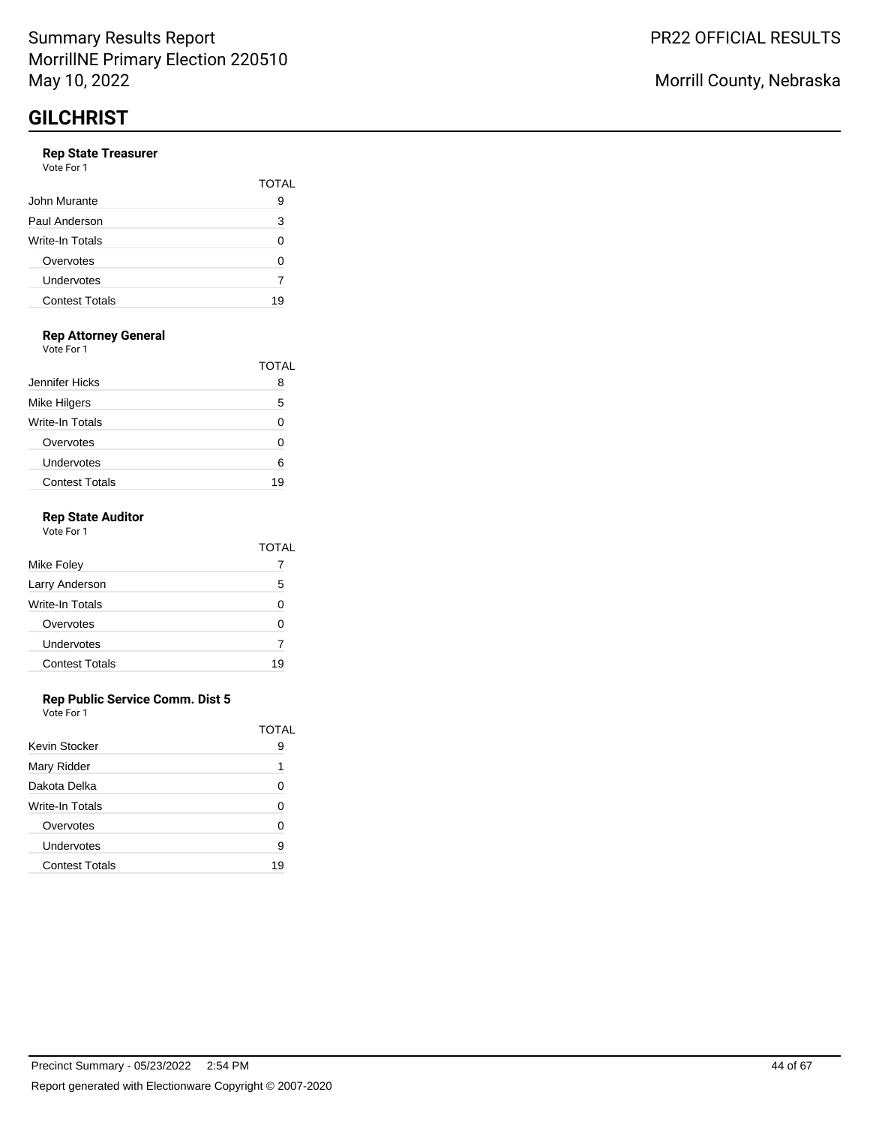#### **Rep State Treasurer** Vote For 1

| VULTE FUIT            |              |
|-----------------------|--------------|
|                       | <b>TOTAL</b> |
| John Murante          | 9            |
| Paul Anderson         | 3            |
| Write-In Totals       | U            |
| Overvotes             | O            |
| Undervotes            |              |
| <b>Contest Totals</b> | 19           |
|                       |              |

## **Rep Attorney General**

Vote For 1

|                       | TOTAL |
|-----------------------|-------|
| Jennifer Hicks        | я     |
| <b>Mike Hilgers</b>   | 5     |
| Write-In Totals       |       |
| Overvotes             | O     |
| Undervotes            | ค     |
| <b>Contest Totals</b> | 19    |

### **Rep State Auditor**

|                       | TOTAL |
|-----------------------|-------|
| Mike Foley            |       |
| Larry Anderson        | 5     |
| Write-In Totals       | ŋ     |
| Overvotes             | U     |
| Undervotes            |       |
| <b>Contest Totals</b> | 19    |

### **Rep Public Service Comm. Dist 5**

|                       | TOTAI |
|-----------------------|-------|
| Kevin Stocker         | 9     |
| Mary Ridder           | 1     |
| Dakota Delka          | U     |
| Write-In Totals       | O     |
| Overvotes             | O     |
| Undervotes            | 9     |
| <b>Contest Totals</b> | 19    |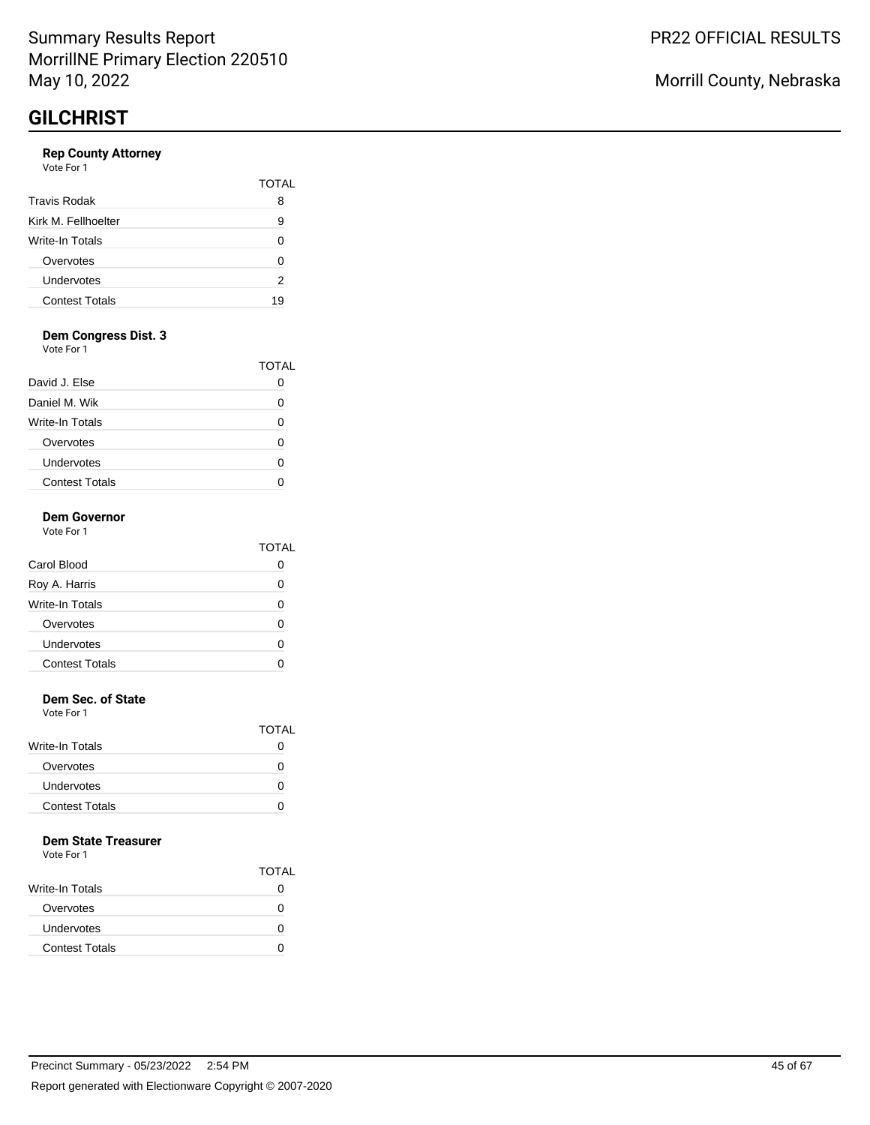### **Rep County Attorney**

| Vote For 1 |  |
|------------|--|
|------------|--|

|                       | TOTAI |
|-----------------------|-------|
| <b>Travis Rodak</b>   | 8     |
| Kirk M. Fellhoelter   | 9     |
| Write-In Totals       | O     |
| Overvotes             | n     |
| Undervotes            | 2     |
| <b>Contest Totals</b> | 19    |

## **Dem Congress Dist. 3**

Vote For 1

|                       | TOTAL |
|-----------------------|-------|
| David J. Else         |       |
| Daniel M. Wik         |       |
| Write-In Totals       |       |
| Overvotes             |       |
| Undervotes            |       |
| <b>Contest Totals</b> |       |

#### **Dem Governor** Vote For 1

|                       | TOTAL        |
|-----------------------|--------------|
| Carol Blood           | $\mathbf{I}$ |
| Roy A. Harris         | O            |
| Write-In Totals       | O            |
| Overvotes             | ∩            |
| Undervotes            |              |
| <b>Contest Totals</b> |              |
|                       |              |

### **Dem Sec. of State**

Vote For 1

|                       | <b>TOTAL</b> |
|-----------------------|--------------|
| Write-In Totals       | 0            |
| Overvotes             | 0            |
| Undervotes            | 0            |
| <b>Contest Totals</b> |              |

### **Dem State Treasurer**

|                       | <b>TOTAL</b> |
|-----------------------|--------------|
| Write-In Totals       | 0            |
| Overvotes             | 0            |
| Undervotes            | O            |
| <b>Contest Totals</b> |              |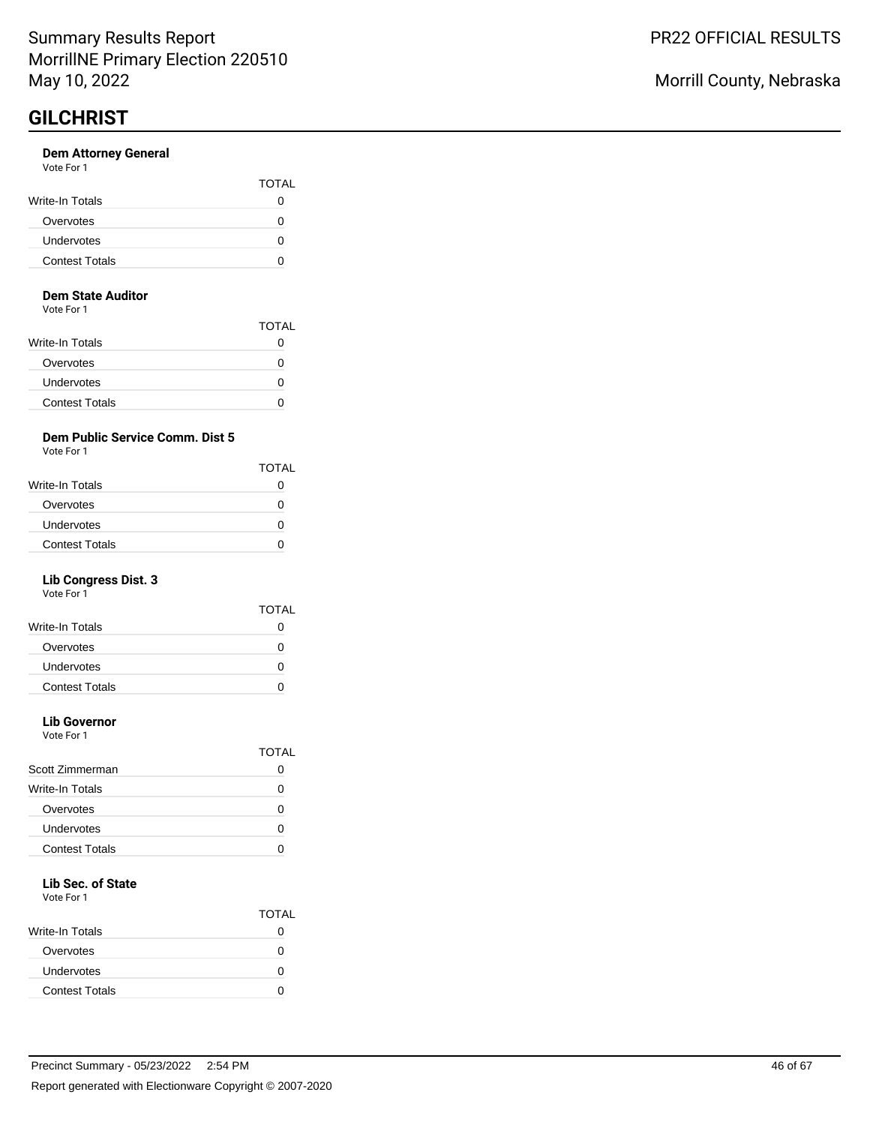#### **Dem Attorney General** Vote For 1

| <b>VAJIL I MI I</b>   |                   |
|-----------------------|-------------------|
|                       | <b>TOTAL</b>      |
| Write-In Totals       |                   |
| Overvotes             |                   |
| Undervotes            | $\mathbf{\Omega}$ |
| <b>Contest Totals</b> |                   |
|                       |                   |

#### **Dem State Auditor**

Vote For 1

|                        | <b>TOTAL</b> |
|------------------------|--------------|
| <b>Write-In Totals</b> |              |
| Overvotes              |              |
| Undervotes             | 0            |
| <b>Contest Totals</b>  |              |

# **Dem Public Service Comm. Dist 5**

Vote For 1

|                       | <b>TOTAL</b>      |
|-----------------------|-------------------|
| Write-In Totals       |                   |
| Overvotes             | $\mathbf{\Omega}$ |
| Undervotes            |                   |
| <b>Contest Totals</b> |                   |
|                       |                   |

## **Lib Congress Dist. 3**

Vote For 1

|                       | TOTAL |
|-----------------------|-------|
| Write-In Totals       |       |
| Overvotes             | 0     |
| Undervotes            | 0     |
| <b>Contest Totals</b> |       |
|                       |       |

# **Lib Governor**

Vote For 1

|                       | TOTAL |
|-----------------------|-------|
| Scott Zimmerman       |       |
| Write-In Totals       |       |
| Overvotes             |       |
| Undervotes            |       |
| <b>Contest Totals</b> |       |
|                       |       |

# **Lib Sec. of State**

Vote For 1

|                       | <b>TOTAL</b> |
|-----------------------|--------------|
| Write-In Totals       |              |
| Overvotes             |              |
| Undervotes            | n            |
| <b>Contest Totals</b> |              |

Morrill County, Nebraska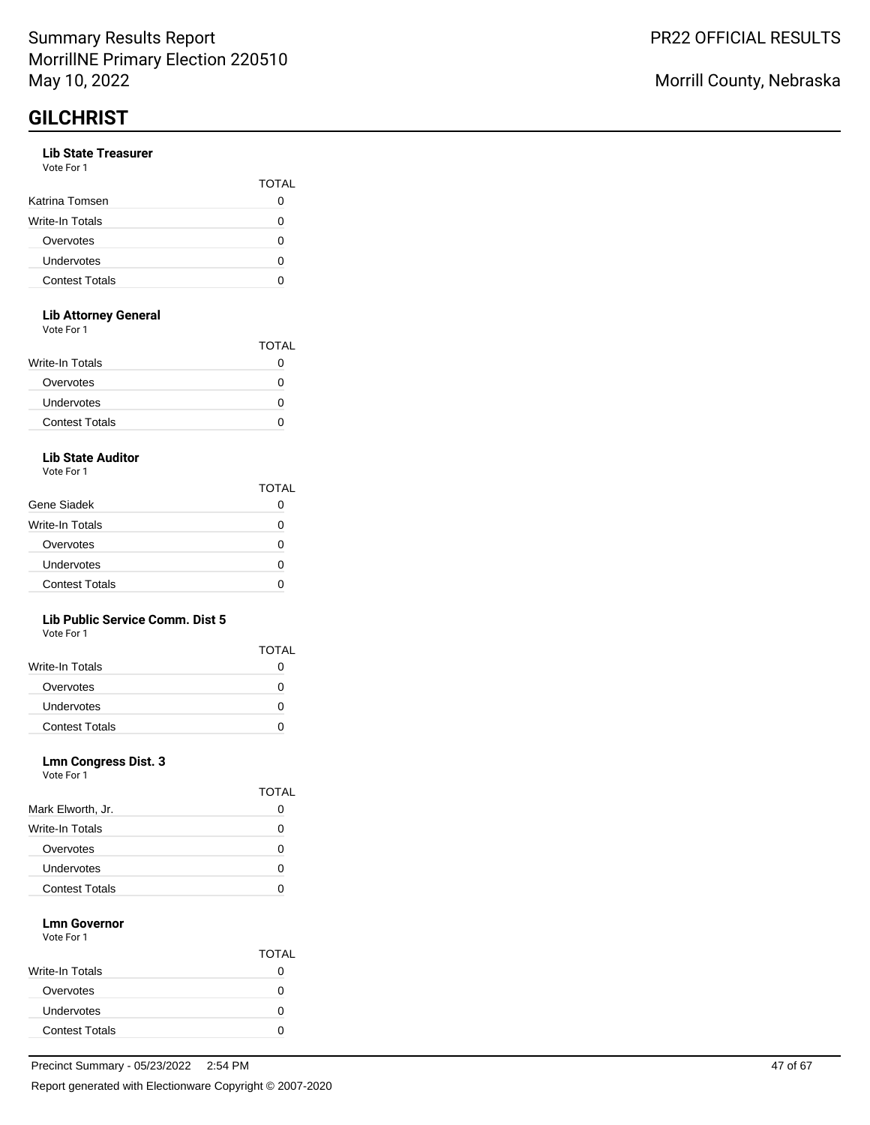### **Lib State Treasurer**

| Vote For 1 |  |
|------------|--|
|            |  |

|                       | TOTAL |
|-----------------------|-------|
| Katrina Tomsen        |       |
| Write-In Totals       |       |
| Overvotes             | 0     |
| Undervotes            |       |
| <b>Contest Totals</b> |       |
|                       |       |

### **Lib Attorney General**

Vote For 1

|                       | <b>TOTAL</b> |
|-----------------------|--------------|
| Write-In Totals       | 0            |
| Overvotes             | 0            |
| Undervotes            | 0            |
| <b>Contest Totals</b> |              |
|                       |              |

## **Lib State Auditor**

Vote For 1

|                       | TOTAL |
|-----------------------|-------|
| Gene Siadek           |       |
| Write-In Totals       | O     |
| Overvotes             | n     |
| Undervotes            | O     |
| <b>Contest Totals</b> | n     |

### **Lib Public Service Comm. Dist 5**

Vote For 1

|                       | <b>TOTAL</b> |
|-----------------------|--------------|
| Write-In Totals       |              |
| Overvotes             |              |
| Undervotes            |              |
| <b>Contest Totals</b> |              |

### **Lmn Congress Dist. 3**

|                       | 10 I AL |
|-----------------------|---------|
| Mark Elworth, Jr.     | O       |
| Write-In Totals       | 0       |
| Overvotes             | O       |
| Undervotes            | 0       |
| <b>Contest Totals</b> |         |

 $\overline{\phantom{0}}$ 

#### **Lmn Governor** Vote For 1

|                        | <b>TOTAL</b> |
|------------------------|--------------|
| <b>Write-In Totals</b> |              |
| Overvotes              | 0            |
| Undervotes             |              |
| <b>Contest Totals</b>  | 0            |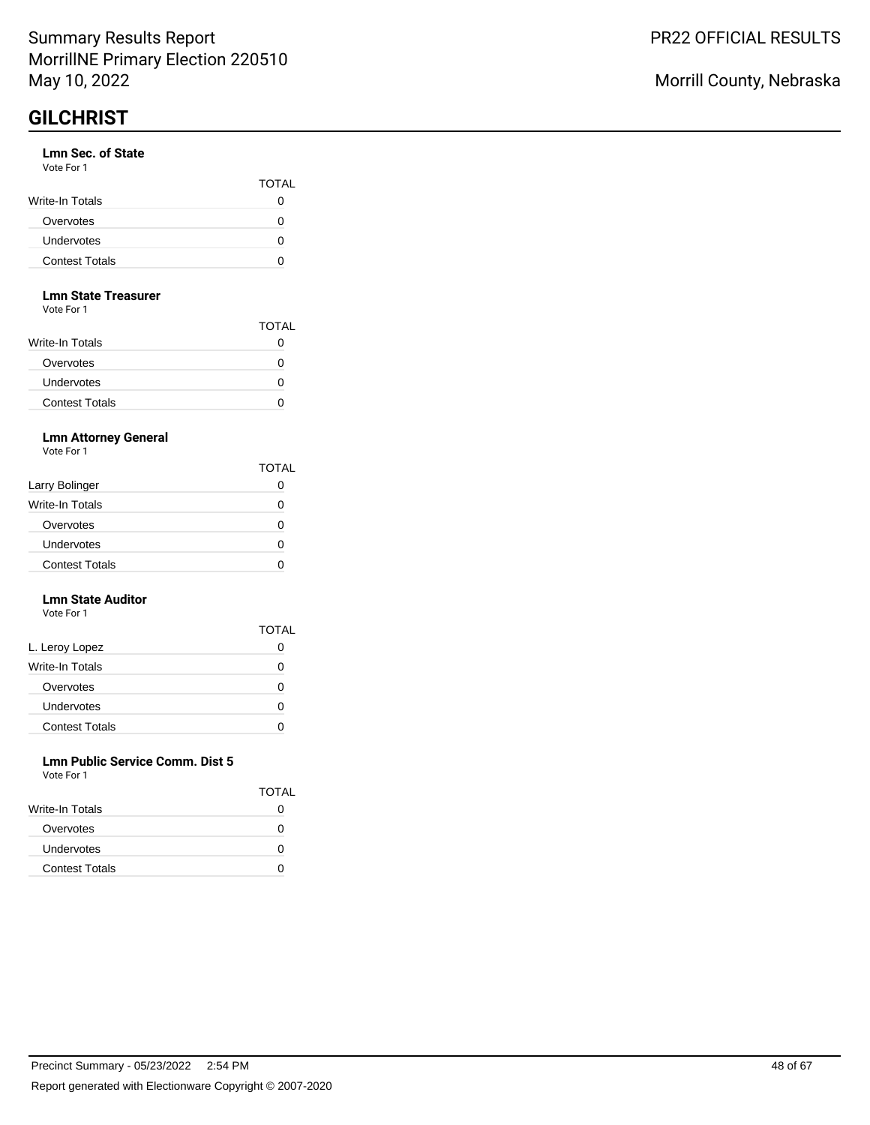#### **Lmn Sec. of State** Vote For 1

| .                     | <b>TOTAL</b> |
|-----------------------|--------------|
| Write-In Totals       |              |
| Overvotes             |              |
| <b>Undervotes</b>     |              |
| <b>Contest Totals</b> |              |

#### **Lmn State Treasurer**

Vote For 1

|                        | <b>TOTAL</b> |
|------------------------|--------------|
| <b>Write-In Totals</b> |              |
| Overvotes              | 0            |
| Undervotes             | 0            |
| <b>Contest Totals</b>  | 0            |

### **Lmn Attorney General**

Vote For 1

|                       | <b>TOTAL</b>      |
|-----------------------|-------------------|
| Larry Bolinger        |                   |
| Write-In Totals       | 0                 |
| Overvotes             | $\mathbf{\Omega}$ |
| Undervotes            |                   |
| <b>Contest Totals</b> |                   |

#### **Lmn State Auditor** Vote For 1

|                       | <b>TOTAL</b> |
|-----------------------|--------------|
| L. Leroy Lopez        |              |
| Write-In Totals       | Ω            |
| Overvotes             | Ω            |
| Undervotes            | O            |
| <b>Contest Totals</b> |              |

#### **Lmn Public Service Comm. Dist 5** Vote For 1

| VULTE FUIL            |              |
|-----------------------|--------------|
|                       | <b>TOTAL</b> |
| Write-In Totals       |              |
| Overvotes             |              |
| <b>Undervotes</b>     | $\mathbf{I}$ |
| <b>Contest Totals</b> |              |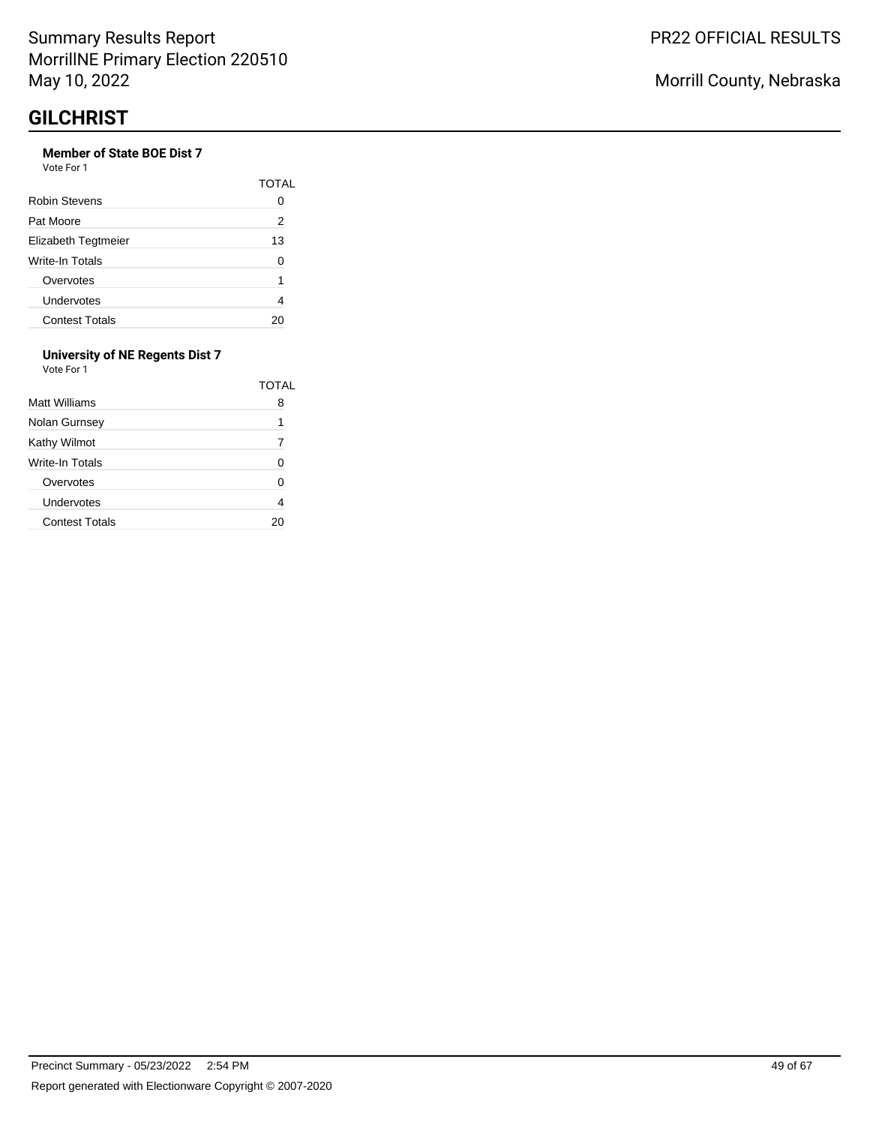# **Member of State BOE Dist 7**

| Vote For 1 |  |
|------------|--|
|            |  |

|                        | TOTAI |
|------------------------|-------|
| Robin Stevens          |       |
| Pat Moore              | 2     |
| Elizabeth Tegtmeier    | 13    |
| <b>Write-In Totals</b> | n     |
| Overvotes              | 1     |
| Undervotes             |       |
| <b>Contest Totals</b>  |       |

#### **University of NE Regents Dist 7** Vote For 1

| Matt Williams         | TOTAL<br>8 |
|-----------------------|------------|
| Nolan Gurnsey         | 1          |
| Kathy Wilmot          | 7          |
| Write-In Totals       | O          |
| Overvotes             | U          |
| Undervotes            |            |
| <b>Contest Totals</b> |            |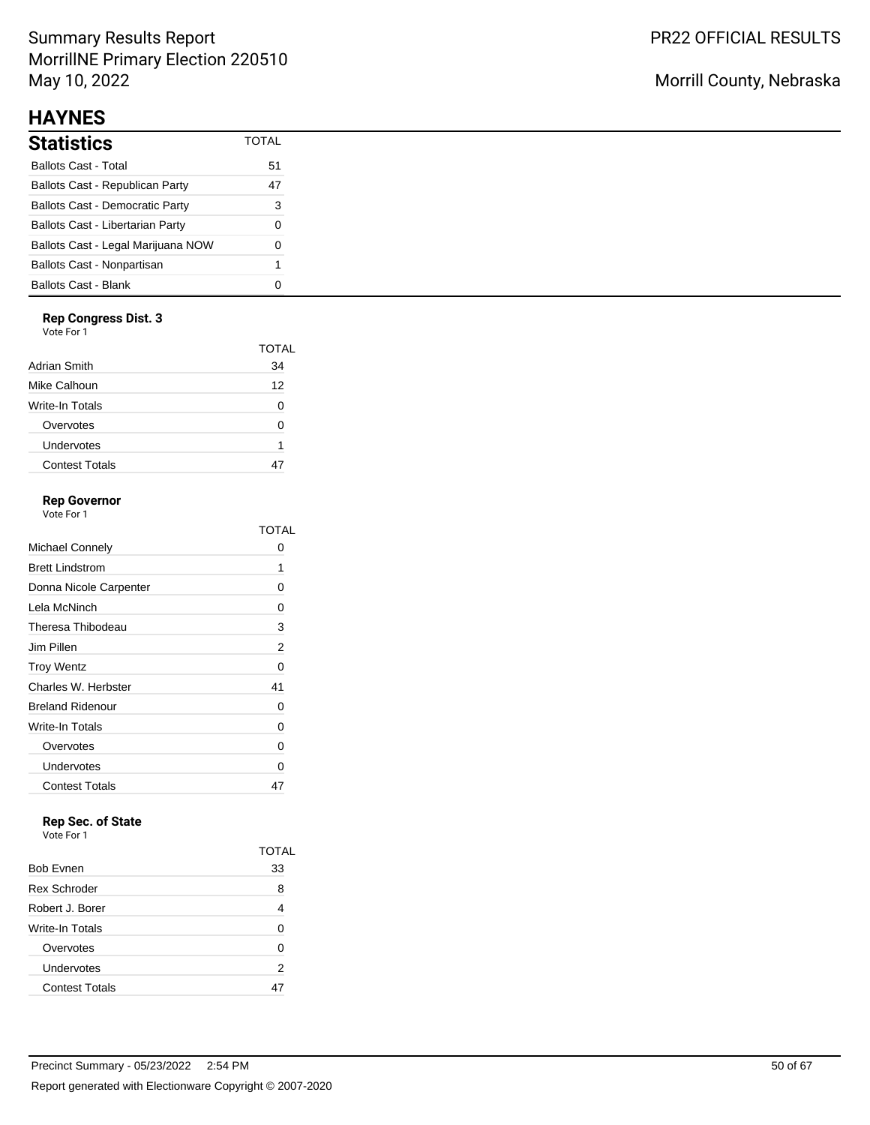# Summary Results Report MorrillNE Primary Election 220510 May 10, 2022

# **HAYNES**

| <b>Statistics</b>                       | TOTAI |
|-----------------------------------------|-------|
| <b>Ballots Cast - Total</b>             | 51    |
| <b>Ballots Cast - Republican Party</b>  | 47    |
| <b>Ballots Cast - Democratic Party</b>  | 3     |
| <b>Ballots Cast - Libertarian Party</b> | O     |
| Ballots Cast - Legal Marijuana NOW      | O     |
| Ballots Cast - Nonpartisan              | 1     |
| <b>Ballots Cast - Blank</b>             |       |

### **Rep Congress Dist. 3**

Vote For 1

|                       | TOTAL |
|-----------------------|-------|
| Adrian Smith          | 34    |
| Mike Calhoun          | 12    |
| Write-In Totals       | O     |
| Overvotes             | O     |
| Undervotes            | 1     |
| <b>Contest Totals</b> |       |
|                       |       |

## **Rep Governor**

Vote For 1

|                         | TOTAI |
|-------------------------|-------|
| Michael Connely         | O     |
| <b>Brett Lindstrom</b>  | 1     |
| Donna Nicole Carpenter  | 0     |
| Lela McNinch            | 0     |
| Theresa Thibodeau       | 3     |
| Jim Pillen              | 2     |
| <b>Troy Wentz</b>       | 0     |
| Charles W. Herbster     | 41    |
| <b>Breland Ridenour</b> | 0     |
| Write-In Totals         | 0     |
| Overvotes               | 0     |
| Undervotes              | 0     |
| <b>Contest Totals</b>   | 47    |

# **Rep Sec. of State**

|                       | TOTAL |
|-----------------------|-------|
| <b>Bob Evnen</b>      | 33    |
| <b>Rex Schroder</b>   | 8     |
| Robert J. Borer       | 4     |
| Write-In Totals       | 0     |
| Overvotes             | 0     |
| Undervotes            | 2     |
| <b>Contest Totals</b> |       |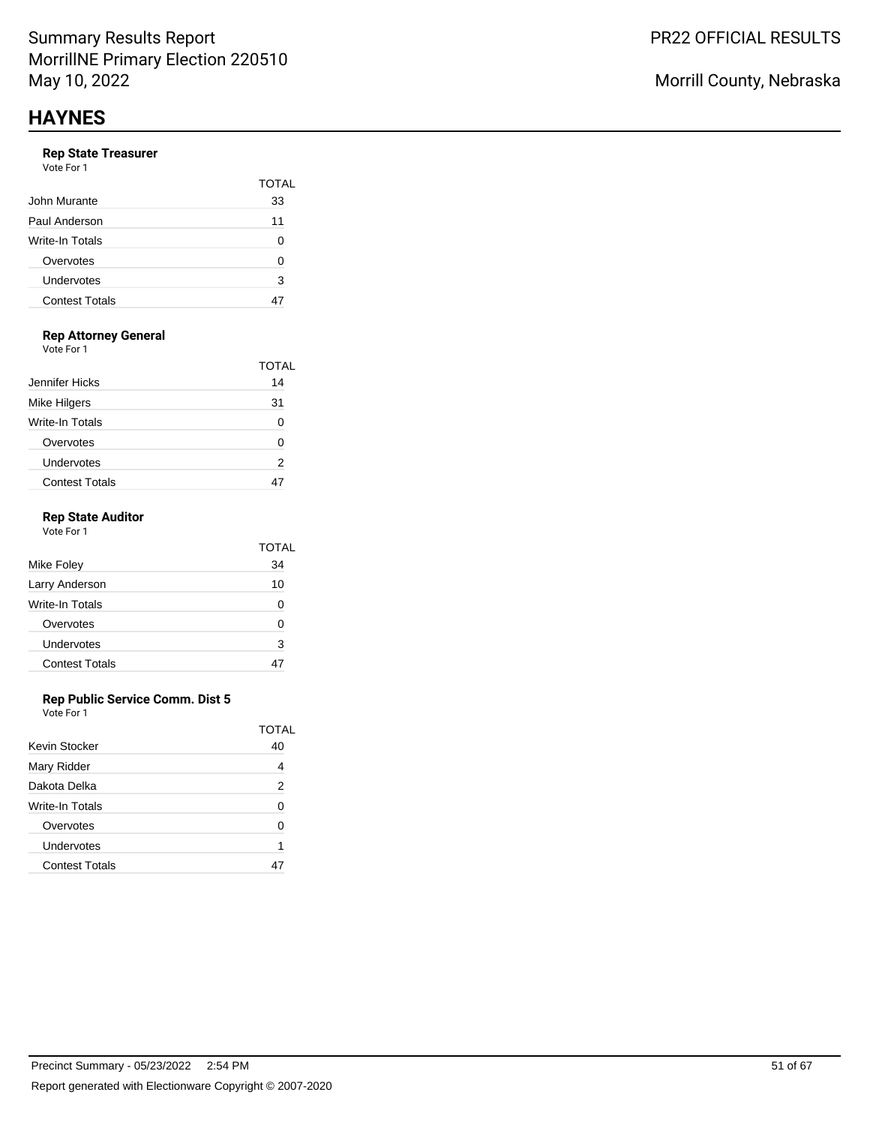#### **Rep State Treasurer** Vote Fo

| vue rui i             |              |
|-----------------------|--------------|
|                       | <b>TOTAL</b> |
| John Murante          | 33           |
| Paul Anderson         | 11           |
| Write-In Totals       | U            |
| Overvotes             | U            |
| Undervotes            | 3            |
| <b>Contest Totals</b> |              |
|                       |              |

# **Rep Attorney General**

Vote For 1

|                       | TOTAL |
|-----------------------|-------|
| Jennifer Hicks        | 14    |
| <b>Mike Hilgers</b>   | 31    |
| Write-In Totals       |       |
| Overvotes             | O     |
| Undervotes            | 2     |
| <b>Contest Totals</b> |       |

### **Rep State Auditor**

| Vote For 1            |       |
|-----------------------|-------|
|                       | TOTAL |
| Mike Foley            | 34    |
| Larry Anderson        | 10    |
| Write-In Totals       | 0     |
| Overvotes             | U     |
| Undervotes            | 3     |
| <b>Contest Totals</b> |       |
|                       |       |

#### **Rep Public Service Comm. Dist 5**

|                       | TOTAI |
|-----------------------|-------|
| Kevin Stocker         | 40    |
| Mary Ridder           |       |
| Dakota Delka          | 2     |
| Write-In Totals       | O     |
| Overvotes             | U     |
| Undervotes            | 1     |
| <b>Contest Totals</b> |       |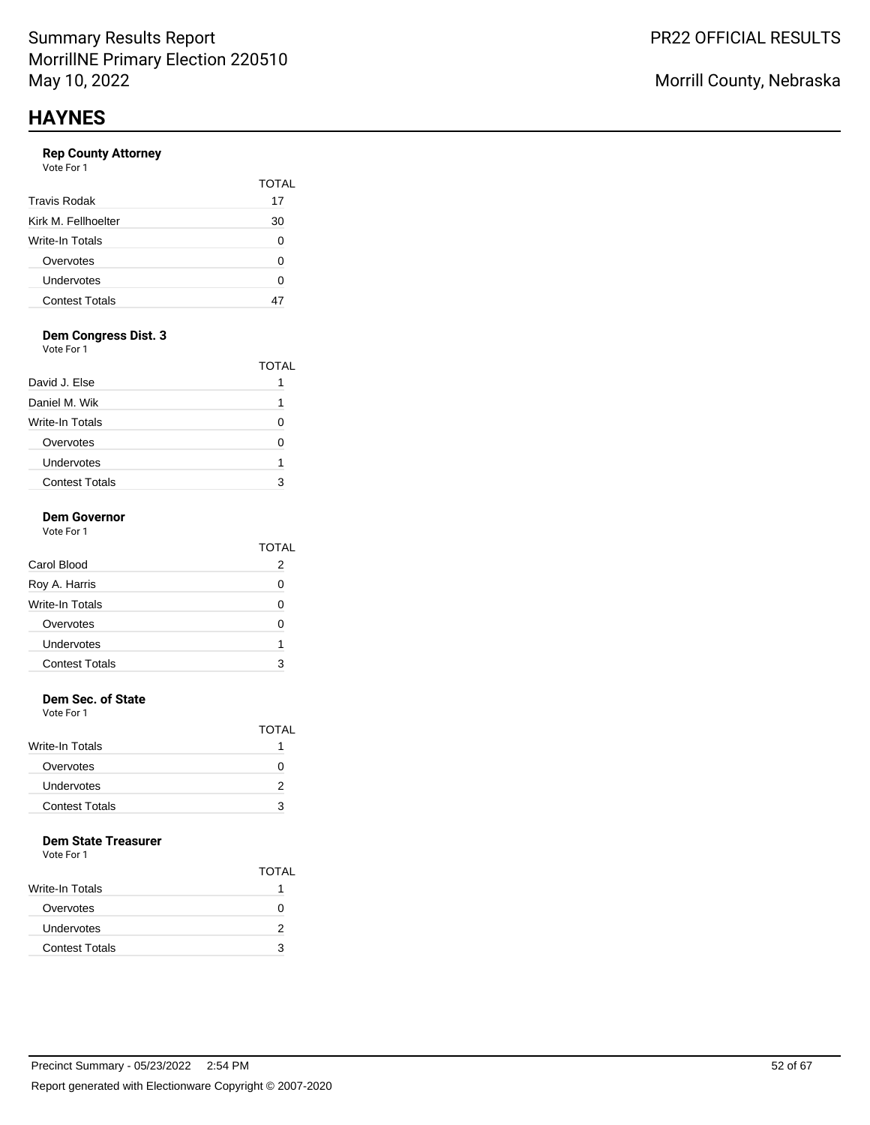## **Rep County Attorney**

| Vote For 1 |  |
|------------|--|
|------------|--|

|                        | TOTAL |
|------------------------|-------|
| <b>Travis Rodak</b>    | 17    |
| Kirk M. Fellhoelter    | 30    |
| <b>Write-In Totals</b> | 0     |
| Overvotes              | 0     |
| Undervotes             | ი     |
| <b>Contest Totals</b>  |       |

## **Dem Congress Dist. 3**

Vote For 1

|                       | TOTAL |
|-----------------------|-------|
| David J. Else         |       |
| Daniel M. Wik         |       |
| Write-In Totals       |       |
| Overvotes             |       |
| Undervotes            |       |
| <b>Contest Totals</b> |       |

#### **Dem Governor** Vote For 1

|                       | TOTAL |
|-----------------------|-------|
| Carol Blood           | 2     |
| Roy A. Harris         | O     |
| Write-In Totals       |       |
| Overvotes             | ∩     |
| Undervotes            | 1     |
| <b>Contest Totals</b> |       |
|                       |       |

## **Dem Sec. of State**

Vote For 1

|                       | <b>TOTAL</b> |
|-----------------------|--------------|
| Write-In Totals       |              |
| Overvotes             | $\mathbf{I}$ |
| Undervotes            | 2            |
| <b>Contest Totals</b> | 3            |

### **Dem State Treasurer**

|                       | <b>TOTAL</b> |
|-----------------------|--------------|
| Write-In Totals       |              |
| Overvotes             |              |
| <b>Undervotes</b>     | 2            |
| <b>Contest Totals</b> | 3            |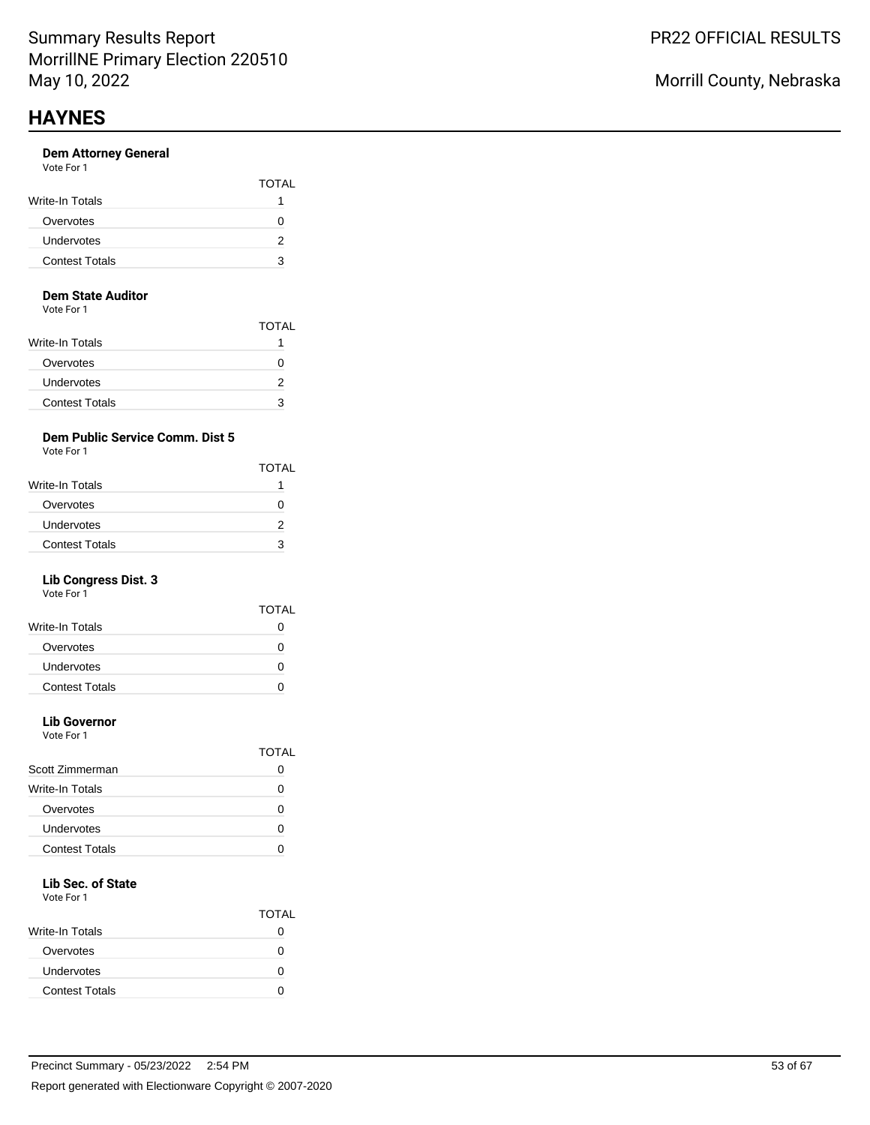#### **Dem Attorney General** Vote For 1

| , , , , , , , , ,     | <b>TOTAL</b> |
|-----------------------|--------------|
| Write-In Totals       |              |
| Overvotes             |              |
| Undervotes            |              |
| <b>Contest Totals</b> | з            |

#### **Dem State Auditor**

Vote For 1

|                       | <b>TOTAL</b> |
|-----------------------|--------------|
| Write-In Totals       |              |
| Overvotes             |              |
| Undervotes            |              |
| <b>Contest Totals</b> | з            |

## **Dem Public Service Comm. Dist 5**

Vote For 1

|                       | <b>TOTAL</b> |
|-----------------------|--------------|
| Write-In Totals       |              |
| Overvotes             | 0            |
| Undervotes            |              |
| <b>Contest Totals</b> | З            |

## **Lib Congress Dist. 3**

Vote For 1

|                       | TOTAL |
|-----------------------|-------|
| Write-In Totals       | 0     |
| Overvotes             | 0     |
| Undervotes            | 0     |
| <b>Contest Totals</b> |       |
|                       |       |

# **Lib Governor**

Vote For 1

|                       | TOTAI |
|-----------------------|-------|
| Scott Zimmerman       |       |
| Write-In Totals       |       |
| Overvotes             |       |
| Undervotes            |       |
| <b>Contest Totals</b> |       |
|                       |       |

# **Lib Sec. of State**

|                       | <b>TOTAL</b> |
|-----------------------|--------------|
| Write-In Totals       |              |
| Overvotes             |              |
| Undervotes            | n            |
| <b>Contest Totals</b> |              |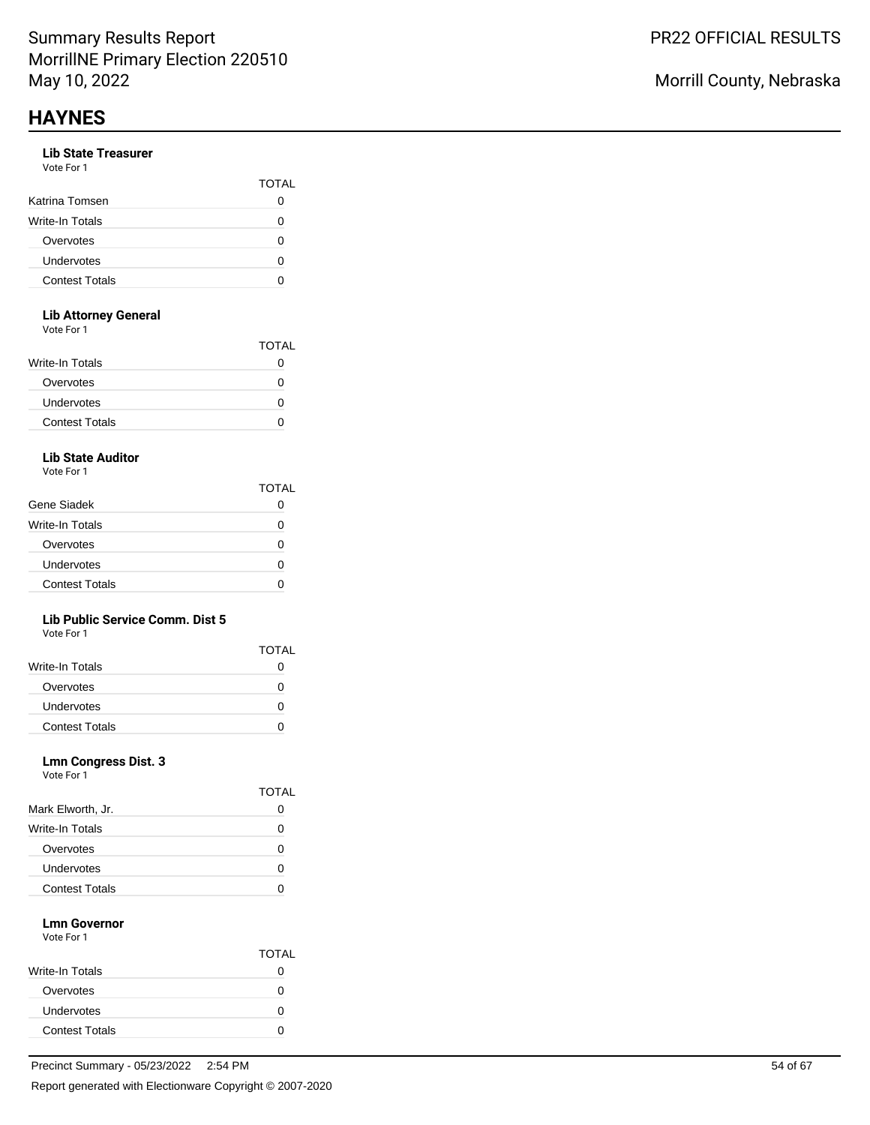## **Lib State Treasurer**

| Vote For 1 |  |  |
|------------|--|--|
|------------|--|--|

|                       | <b>TOTAL</b> |
|-----------------------|--------------|
| Katrina Tomsen        |              |
| Write-In Totals       | $\mathbf{I}$ |
| Overvotes             |              |
| Undervotes            |              |
| <b>Contest Totals</b> | 7            |

### **Lib Attorney General**

Vote For 1

| <u>vuusi uli</u>      |              |
|-----------------------|--------------|
|                       | <b>TOTAL</b> |
| Write-In Totals       | 0            |
| Overvotes             | O            |
| <b>Undervotes</b>     | O            |
| <b>Contest Totals</b> | 0            |
|                       |              |

## **Lib State Auditor**

Vote For 1

|                       | TOTAL |
|-----------------------|-------|
| Gene Siadek           |       |
| Write-In Totals       | n     |
| Overvotes             | O     |
| Undervotes            | O     |
| <b>Contest Totals</b> |       |

### **Lib Public Service Comm. Dist 5**

Vote For 1

|                       | <b>TOTAL</b> |
|-----------------------|--------------|
| Write-In Totals       |              |
| Overvotes             |              |
| <b>Undervotes</b>     |              |
| <b>Contest Totals</b> |              |

### **Lmn Congress Dist. 3**

Vote For 1

|                       | IO LAI   |
|-----------------------|----------|
| Mark Elworth, Jr.     | O        |
| Write-In Totals       | $\lceil$ |
| Overvotes             | 0        |
| Undervotes            | O        |
| <b>Contest Totals</b> |          |

 $\overline{\phantom{0}}$ 

#### **Lmn Governor** Vote For 1

|                       | <b>TOTAL</b> |
|-----------------------|--------------|
| Write-In Totals       |              |
| Overvotes             | 0            |
| Undervotes            |              |
| <b>Contest Totals</b> |              |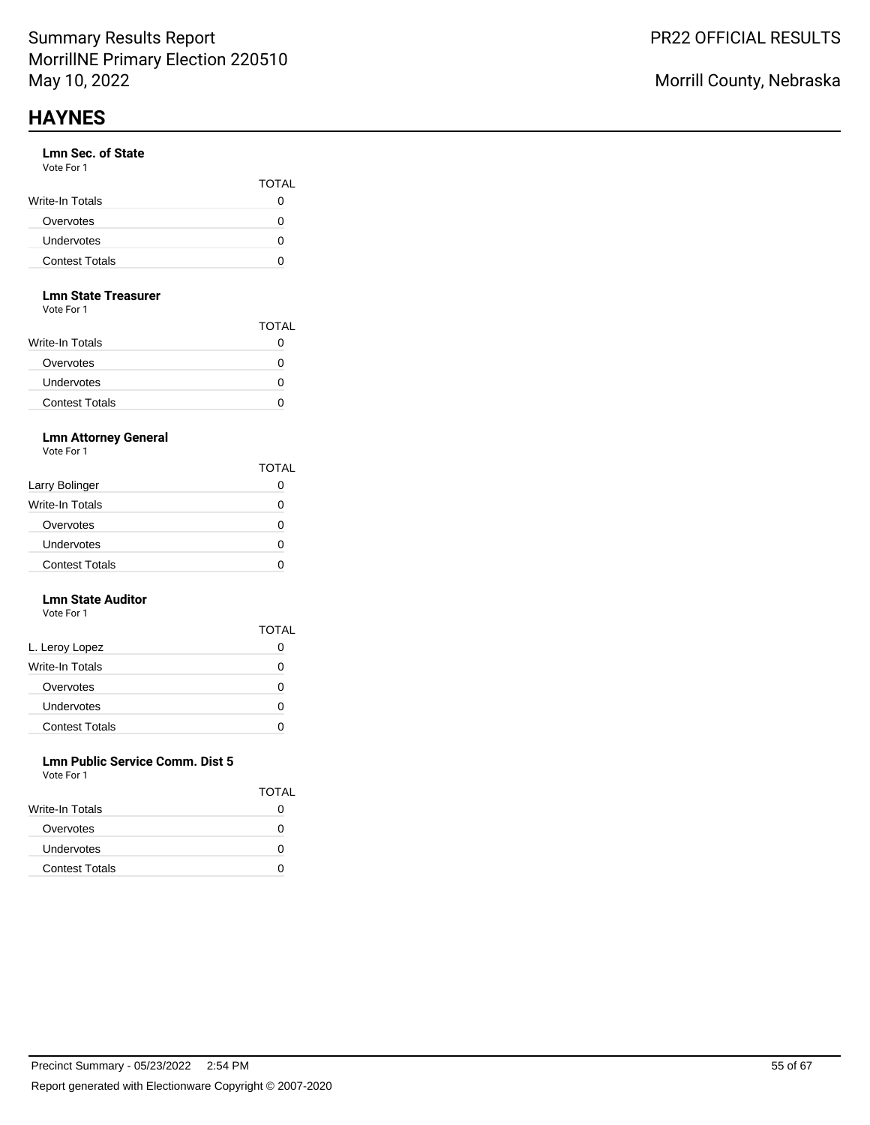### **Lmn Sec. of State**

| Vote For 1 |  |  |
|------------|--|--|
|            |  |  |

|                       | <b>TOTAL</b> |
|-----------------------|--------------|
| Write-In Totals       |              |
| Overvotes             |              |
| <b>Undervotes</b>     | $\mathbf{a}$ |
| <b>Contest Totals</b> |              |

#### **Lmn State Treasurer**

Vote For 1

|                        | <b>TOTAL</b> |
|------------------------|--------------|
| <b>Write-In Totals</b> | 0            |
| Overvotes              | 0            |
| <b>Undervotes</b>      | 0            |
| <b>Contest Totals</b>  |              |

## **Lmn Attorney General**

Vote For 1

|                       | <b>TOTAL</b> |
|-----------------------|--------------|
| Larry Bolinger        |              |
| Write-In Totals       | 0            |
| Overvotes             |              |
| Undervotes            | 0            |
| <b>Contest Totals</b> |              |

#### **Lmn State Auditor** Vote For 1

|                       | <b>TOTAL</b> |
|-----------------------|--------------|
| L. Leroy Lopez        | O            |
| Write-In Totals       | O            |
| Overvotes             | O            |
| Undervotes            | 0            |
| <b>Contest Totals</b> |              |

#### **Lmn Public Service Comm. Dist 5** Vote For 1

| VULTE FUIT            |              |
|-----------------------|--------------|
|                       | <b>TOTAL</b> |
| Write-In Totals       |              |
| Overvotes             |              |
| <b>Undervotes</b>     | $\mathbf{I}$ |
| <b>Contest Totals</b> |              |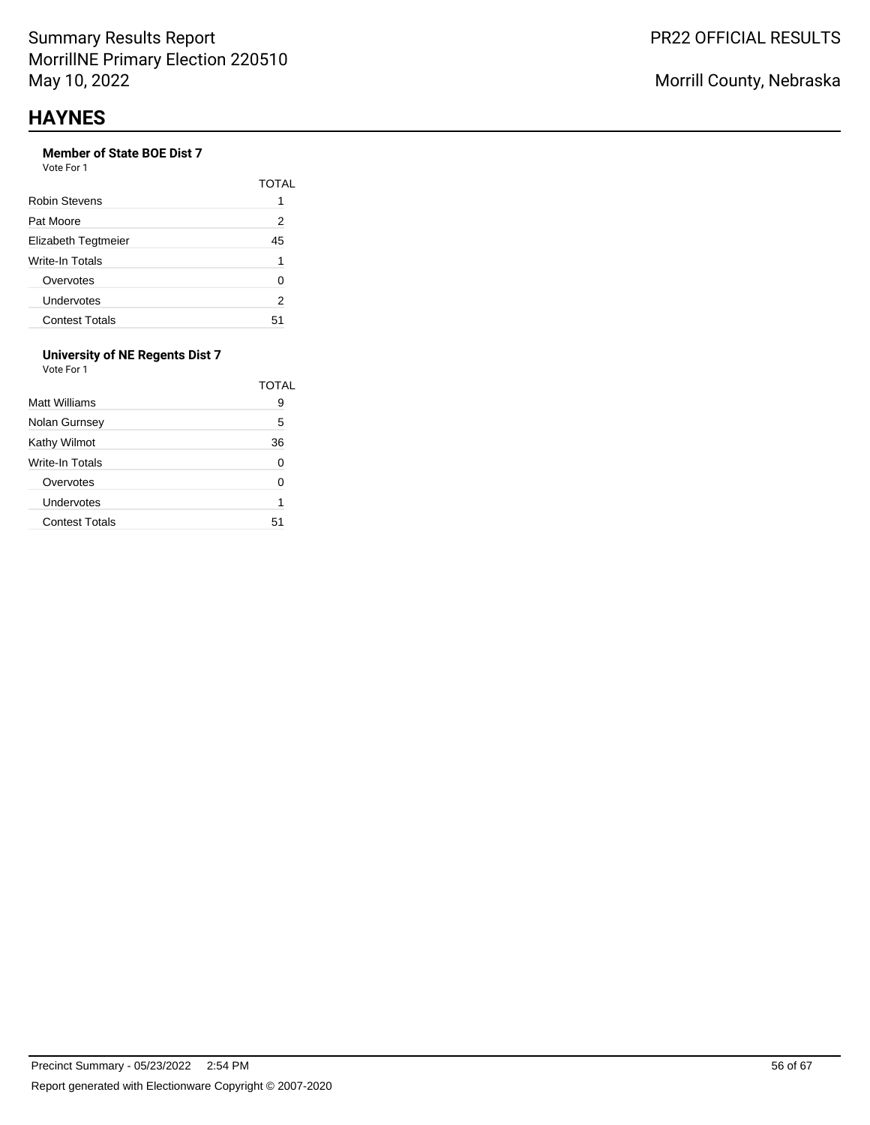# **Member of State BOE Dist 7**

Vote For 1

|                        | TOTAI |
|------------------------|-------|
| Robin Stevens          | 1     |
| Pat Moore              | 2     |
| Elizabeth Tegtmeier    | 45    |
| <b>Write-In Totals</b> | 1     |
| Overvotes              | O     |
| Undervotes             | 2     |
| <b>Contest Totals</b>  | 51    |

#### **University of NE Regents Dist 7** Vote For 1

| <b>Matt Williams</b>  | TOTAL<br>9 |
|-----------------------|------------|
| Nolan Gurnsey         | 5          |
| Kathy Wilmot          | 36         |
| Write-In Totals       | 0          |
| Overvotes             | O          |
| Undervotes            | 1          |
| <b>Contest Totals</b> | 51         |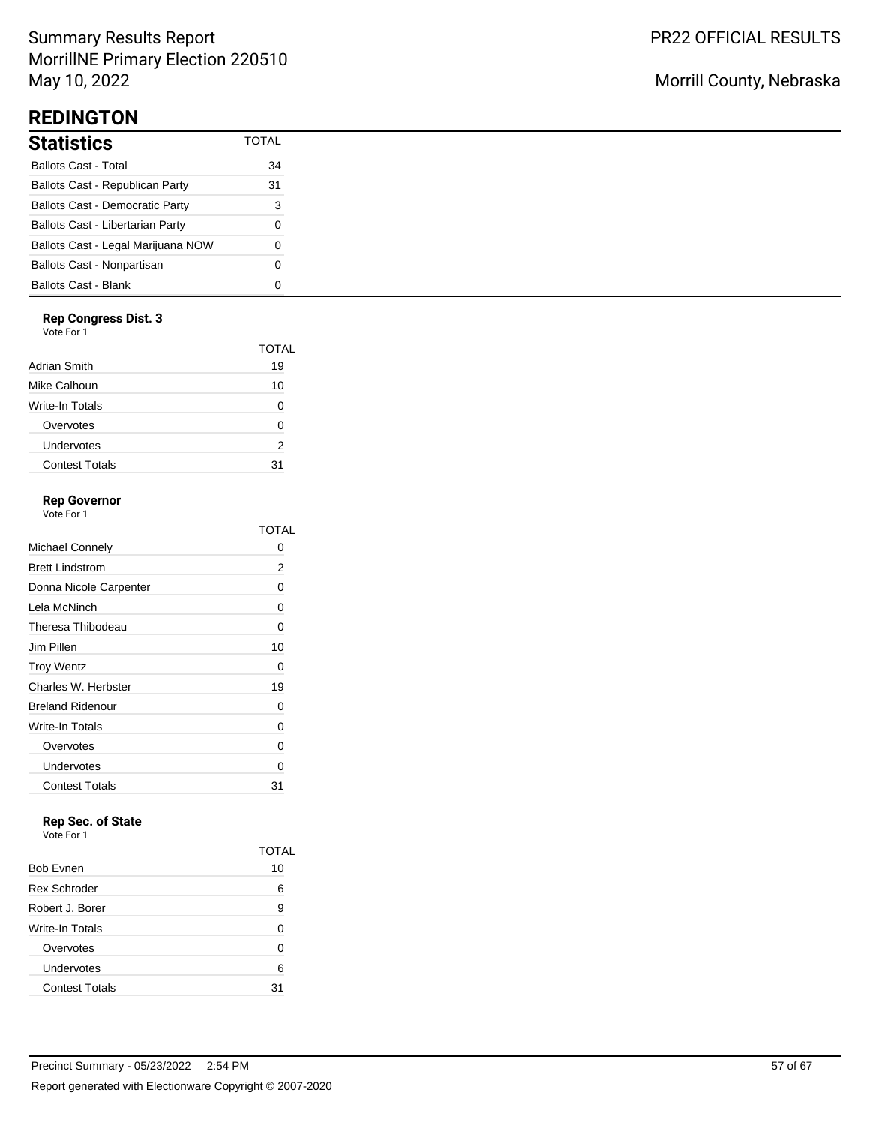# Summary Results Report MorrillNE Primary Election 220510 May 10, 2022

# **REDINGTON**

| <b>Statistics</b>                      | TOTAI |
|----------------------------------------|-------|
| <b>Ballots Cast - Total</b>            | 34    |
| Ballots Cast - Republican Party        | 31    |
| <b>Ballots Cast - Democratic Party</b> | 3     |
| Ballots Cast - Libertarian Party       | 0     |
| Ballots Cast - Legal Marijuana NOW     | O     |
| Ballots Cast - Nonpartisan             | O     |
| Ballots Cast - Blank                   |       |

## **Rep Congress Dist. 3**

Vote For 1

|                       | TOTAL |
|-----------------------|-------|
| Adrian Smith          | 19    |
| Mike Calhoun          | 10    |
| Write-In Totals       | O     |
| Overvotes             | O     |
| Undervotes            | 2     |
| <b>Contest Totals</b> | 31    |
|                       |       |

## **Rep Governor**

Vote For 1

|                         | TOTAL |
|-------------------------|-------|
| Michael Connely         | 0     |
| <b>Brett Lindstrom</b>  | 2     |
| Donna Nicole Carpenter  | 0     |
| Lela McNinch            | 0     |
| Theresa Thibodeau       | 0     |
| Jim Pillen              | 10    |
| <b>Troy Wentz</b>       | 0     |
| Charles W. Herbster     | 19    |
| <b>Breland Ridenour</b> | 0     |
| Write-In Totals         | 0     |
| Overvotes               | 0     |
| Undervotes              | 0     |
| <b>Contest Totals</b>   | 31    |

# **Rep Sec. of State**

Vote For 1

|                       | TOTAL |
|-----------------------|-------|
| <b>Bob Evnen</b>      | 10    |
| <b>Rex Schroder</b>   | 6     |
| Robert J. Borer       | 9     |
| Write-In Totals       | U     |
| Overvotes             | ი     |
| Undervotes            | 6     |
| <b>Contest Totals</b> | 31    |

# Morrill County, Nebraska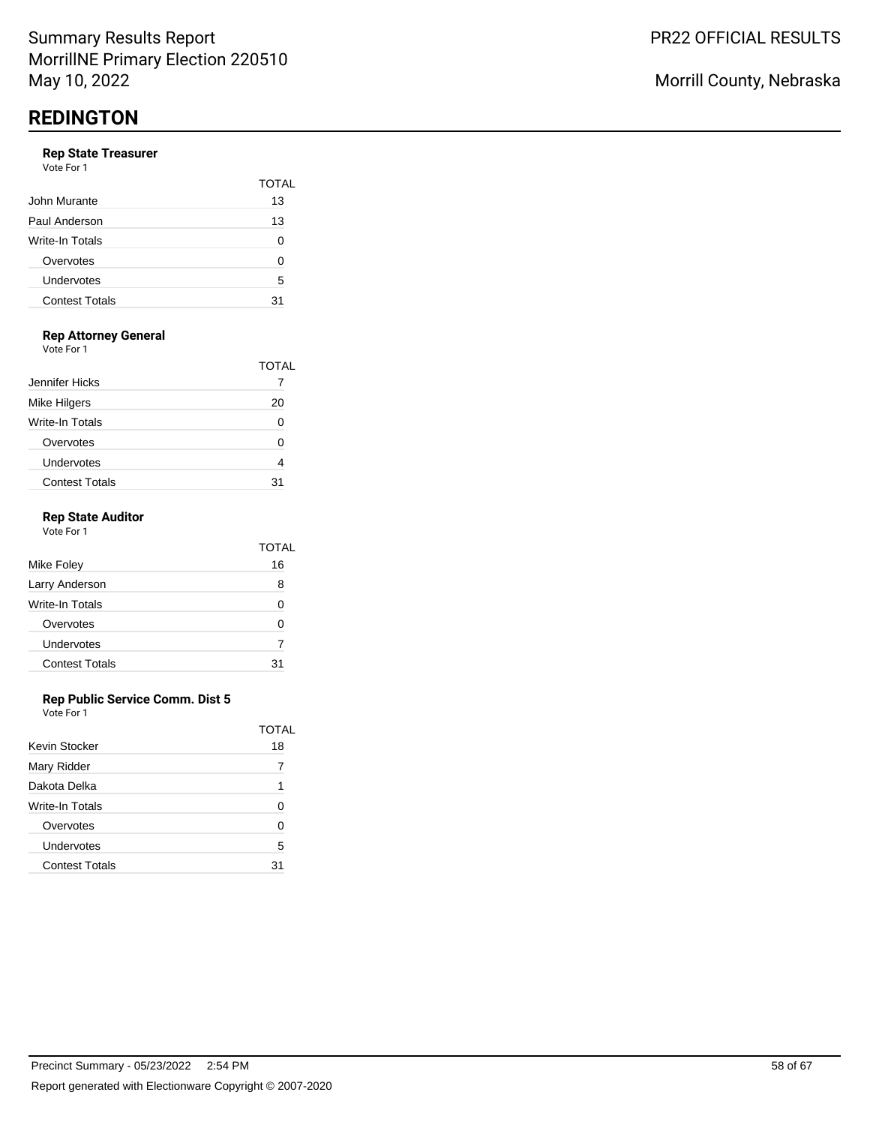#### **Rep State Treasurer** Vote For 1

| .                     |       |
|-----------------------|-------|
|                       | TOTAL |
| John Murante          | 13    |
| Paul Anderson         | 13    |
| Write-In Totals       | 0     |
| Overvotes             | 0     |
| Undervotes            | 5     |
| <b>Contest Totals</b> | 31    |
|                       |       |

## **Rep Attorney General**

Vote For 1

|                       | TOTAL |
|-----------------------|-------|
| Jennifer Hicks        |       |
| <b>Mike Hilgers</b>   | 20    |
| Write-In Totals       |       |
| Overvotes             |       |
| Undervotes            |       |
| <b>Contest Totals</b> |       |

### **Rep State Auditor**

| Vote For 1            |       |  |
|-----------------------|-------|--|
|                       | TOTAL |  |
| Mike Foley            | 16    |  |
| Larry Anderson        | 8     |  |
| Write-In Totals       | U     |  |
| Overvotes             | U     |  |
| Undervotes            |       |  |
| <b>Contest Totals</b> | 31    |  |

### **Rep Public Service Comm. Dist 5**

|                       | TOTAI |
|-----------------------|-------|
| Kevin Stocker         | 18    |
| Mary Ridder           |       |
| Dakota Delka          | 1     |
| Write-In Totals       | O     |
| Overvotes             | O     |
| Undervotes            | 5     |
| <b>Contest Totals</b> | 31    |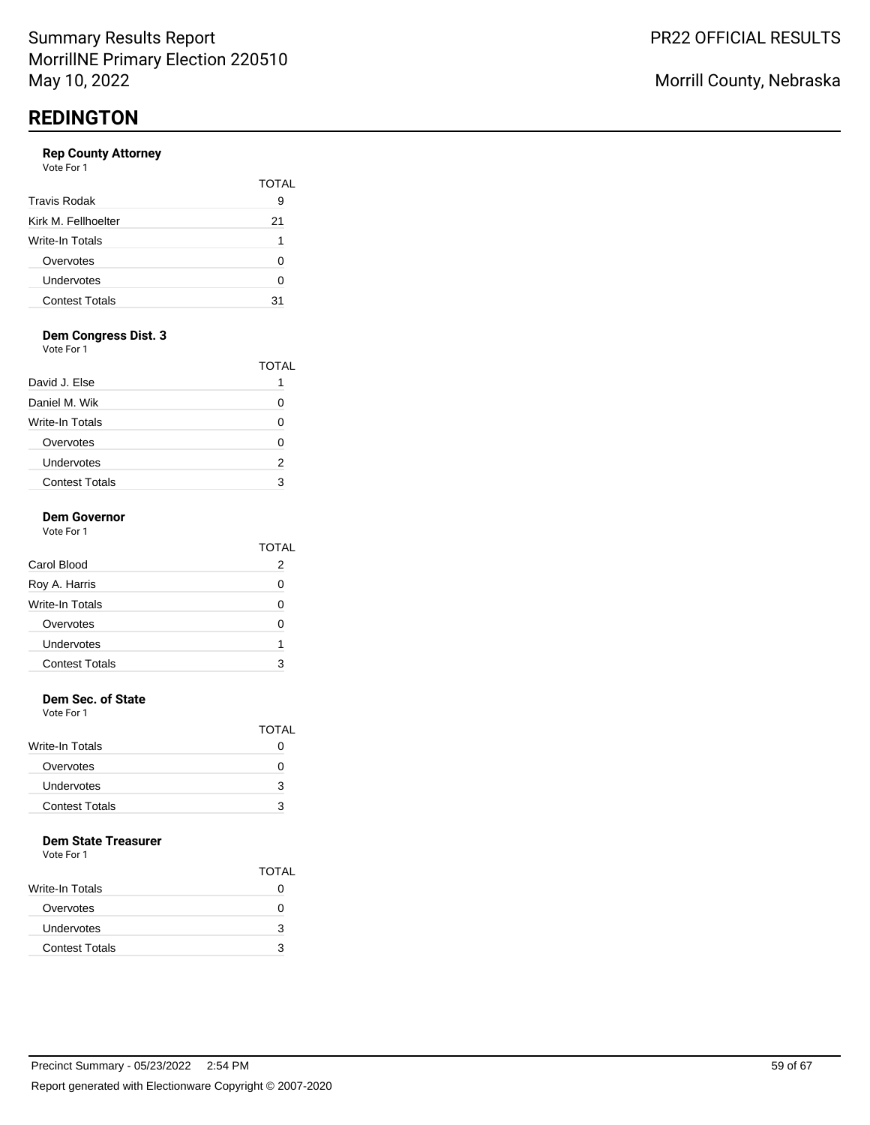### **Rep County Attorney**

| Vote For 1            |       |
|-----------------------|-------|
|                       | TOTAL |
| <b>Travis Rodak</b>   | 9     |
| Kirk M. Fellhoelter   | 21    |
| Write-In Totals       | 1     |
| Overvotes             | 0     |
| Undervotes            | 0     |
| <b>Contest Totals</b> | 31    |
|                       |       |

# **Dem Congress Dist. 3**

Vote For 1

|                       | TOTAL        |
|-----------------------|--------------|
| David J. Else         |              |
| Daniel M. Wik         | $\mathbf{I}$ |
| Write-In Totals       |              |
| Overvotes             | O            |
| Undervotes            | 2            |
| <b>Contest Totals</b> |              |

#### **Dem Governor** Vote For 1

|                       | TOTAL |
|-----------------------|-------|
| Carol Blood           | 2     |
| Roy A. Harris         | O     |
| Write-In Totals       |       |
| Overvotes             | ∩     |
| Undervotes            | 1     |
| <b>Contest Totals</b> |       |
|                       |       |

### **Dem Sec. of State**

Vote For 1

| <b>TOTAL</b> |
|--------------|
| $\mathbf{O}$ |
| $\mathbf{I}$ |
| 3            |
| з            |
|              |

### **Dem State Treasurer**

|                        | <b>TOTAL</b> |
|------------------------|--------------|
| <b>Write-In Totals</b> | 0            |
| Overvotes              | 0            |
| Undervotes             | 3            |
| <b>Contest Totals</b>  | з            |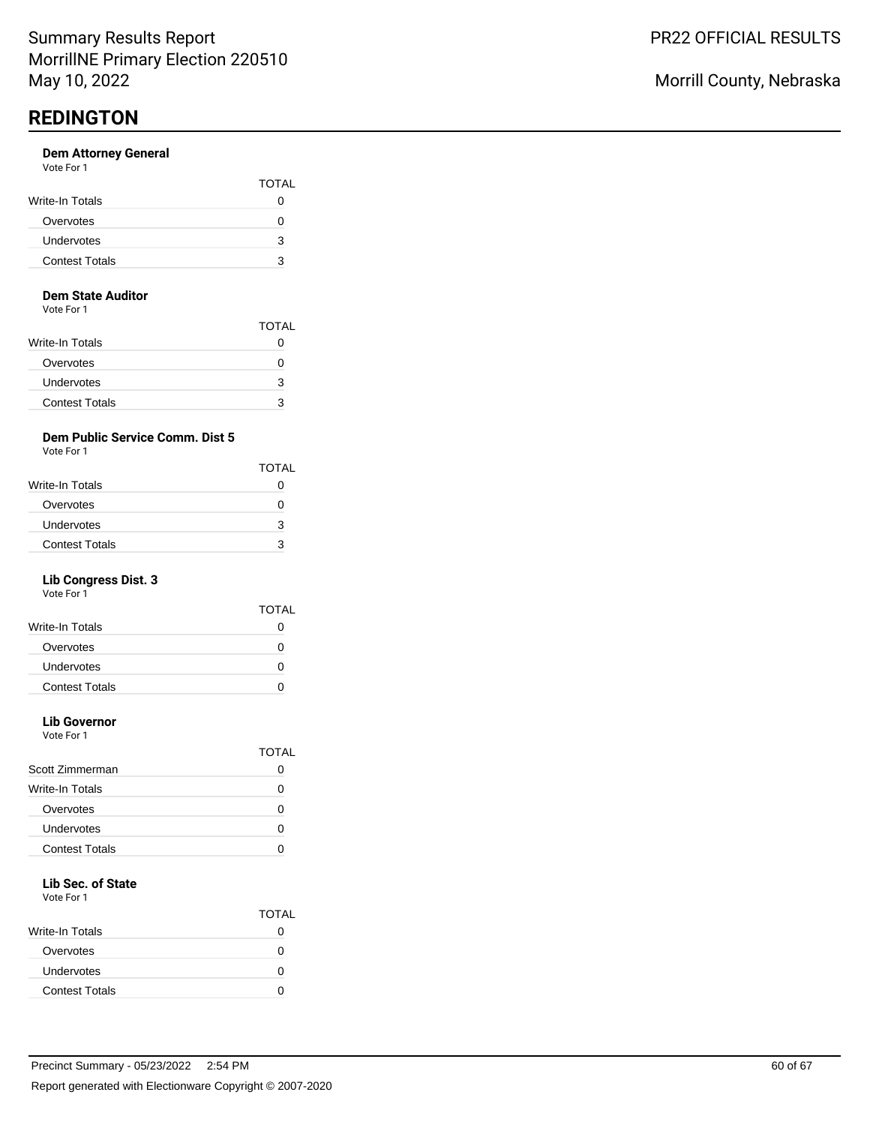#### **Dem Attorney General** Vote For 1

| <u>vuusi uli</u>      |              |
|-----------------------|--------------|
|                       | <b>TOTAL</b> |
| Write-In Totals       |              |
| Overvotes             |              |
| Undervotes            | з            |
| <b>Contest Totals</b> | З            |
|                       |              |

#### **Dem State Auditor**

Vote For 1

|                        | <b>TOTAL</b> |
|------------------------|--------------|
| <b>Write-In Totals</b> |              |
| Overvotes              | 0            |
| Undervotes             | 3            |
| <b>Contest Totals</b>  | 3            |

## **Dem Public Service Comm. Dist 5**

Vote For 1

|                       | <b>TOTAL</b> |
|-----------------------|--------------|
| Write-In Totals       | 0            |
| Overvotes             | 0            |
| Undervotes            | з            |
| <b>Contest Totals</b> | З            |

## **Lib Congress Dist. 3**

Vote For 1

|                       | TOTAL |
|-----------------------|-------|
| Write-In Totals       | 0     |
| Overvotes             | 0     |
| Undervotes            | 0     |
| <b>Contest Totals</b> |       |
|                       |       |

# **Lib Governor**

Vote For 1

|                       | TOTAI |
|-----------------------|-------|
| Scott Zimmerman       |       |
| Write-In Totals       |       |
| Overvotes             |       |
| Undervotes            |       |
| <b>Contest Totals</b> |       |
|                       |       |

# **Lib Sec. of State**

|                       | <b>TOTAL</b> |
|-----------------------|--------------|
| Write-In Totals       |              |
| Overvotes             |              |
| Undervotes            | n            |
| <b>Contest Totals</b> |              |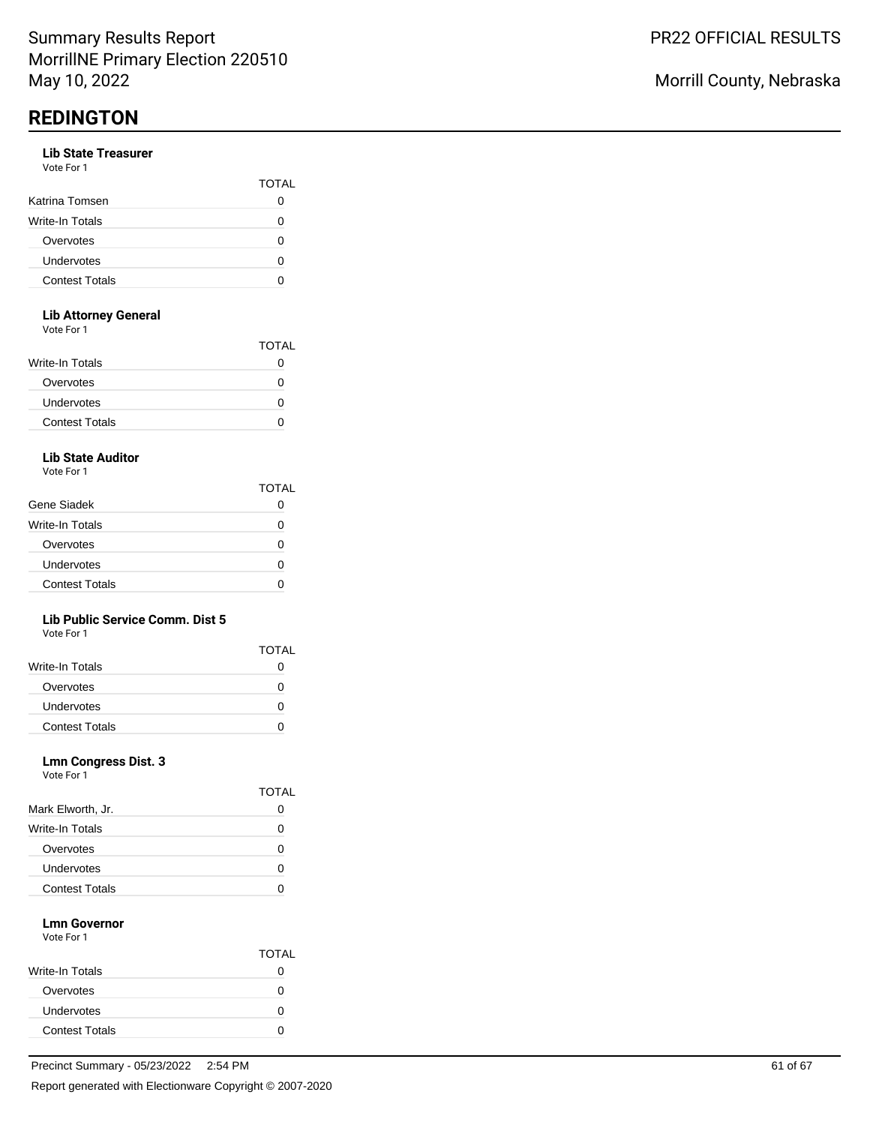#### **Lib State Treasurer** Vote For 1

| , , , , , , , , ,     |              |
|-----------------------|--------------|
|                       | <b>TOTAL</b> |
| Katrina Tomsen        |              |
| Write-In Totals       | O            |
| Overvotes             | O            |
| Undervotes            | ი            |
| <b>Contest Totals</b> |              |
|                       |              |

### **Lib Attorney General**

Vote For 1

| <u>vuusi uli</u>      |              |
|-----------------------|--------------|
|                       | <b>TOTAL</b> |
| Write-In Totals       | 0            |
| Overvotes             | O            |
| <b>Undervotes</b>     | O            |
| <b>Contest Totals</b> | 0            |
|                       |              |

## **Lib State Auditor**

Vote For 1

|                       | TOTAL |
|-----------------------|-------|
| Gene Siadek           |       |
| Write-In Totals       | O     |
| Overvotes             | n     |
| Undervotes            | O     |
| <b>Contest Totals</b> | n     |

### **Lib Public Service Comm. Dist 5**

Vote For 1

|                       | <b>TOTAL</b> |
|-----------------------|--------------|
| Write-In Totals       |              |
| Overvotes             |              |
| <b>Undervotes</b>     |              |
| <b>Contest Totals</b> |              |

### **Lmn Congress Dist. 3**

Vote For 1

|                       | <b>TOTAL</b> |
|-----------------------|--------------|
| Mark Elworth, Jr.     | 0            |
| Write-In Totals       | O            |
| Overvotes             | O            |
| Undervotes            | 0            |
| <b>Contest Totals</b> |              |

#### **Lmn Governor** Vote For 1

|                       | <b>TOTAL</b> |
|-----------------------|--------------|
| Write-In Totals       | 0            |
| Overvotes             |              |
| Undervotes            | 0            |
| <b>Contest Totals</b> |              |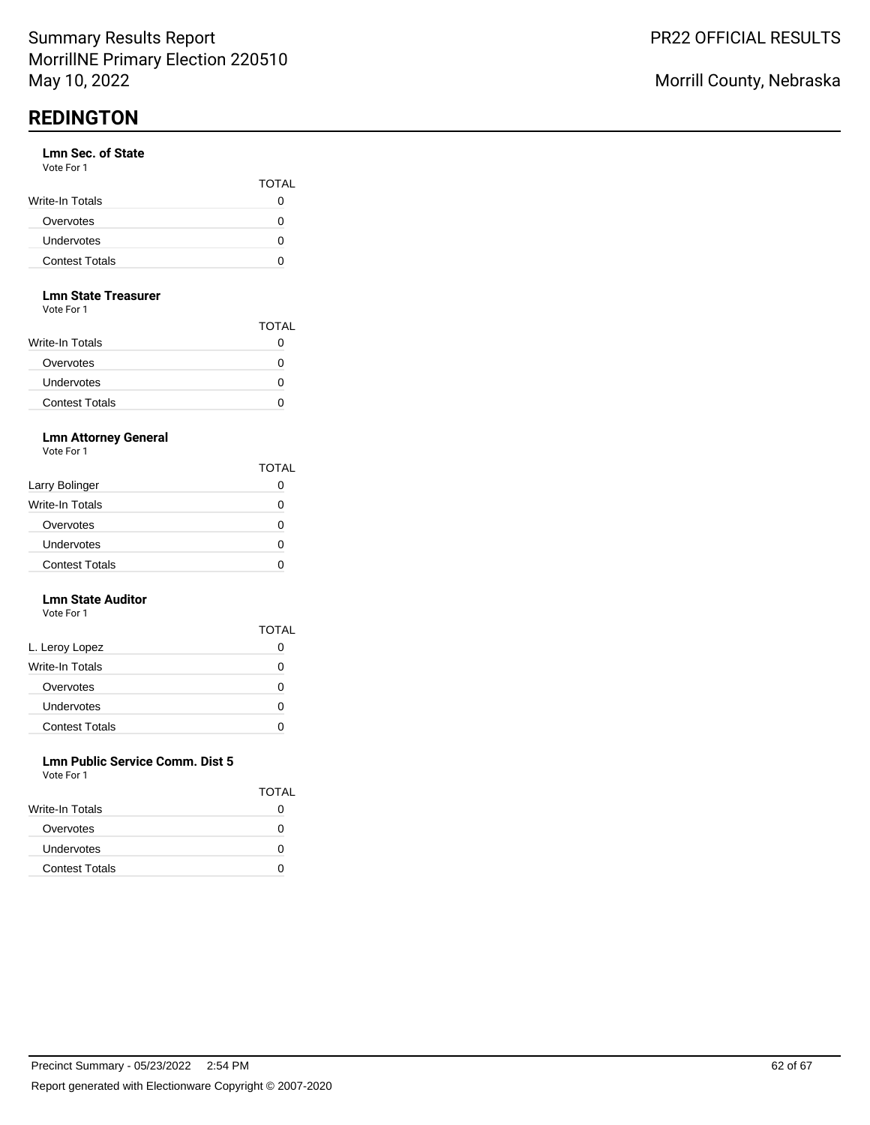### **Lmn Sec. of State**

| Vote For 1            |                   |
|-----------------------|-------------------|
|                       | <b>TOTAL</b>      |
| Write-In Totals       |                   |
| Overvotes             |                   |
| Undervotes            | $\mathbf{\Omega}$ |
| <b>Contest Totals</b> |                   |

#### **Lmn State Treasurer**

Vote For 1

|                        | TOTAL |
|------------------------|-------|
| <b>Write-In Totals</b> |       |
| Overvotes              |       |
| Undervotes             |       |
| <b>Contest Totals</b>  |       |

## **Lmn Attorney General**

Vote For 1

|                        | <b>TOTAL</b>      |
|------------------------|-------------------|
| Larry Bolinger         |                   |
| <b>Write-In Totals</b> | $\mathbf{\Omega}$ |
| Overvotes              | $\mathbf{I}$      |
| Undervotes             |                   |
| <b>Contest Totals</b>  |                   |

#### **Lmn State Auditor** Vote For 1

|                       | <b>TOTAL</b> |
|-----------------------|--------------|
| L. Leroy Lopez        |              |
| Write-In Totals       | Ω            |
| Overvotes             | Ω            |
| Undervotes            | O            |
| <b>Contest Totals</b> |              |

#### **Lmn Public Service Comm. Dist 5** Vote For 1

| <u>vuusi uli</u>      |              |
|-----------------------|--------------|
|                       | <b>TOTAL</b> |
| Write-In Totals       | $\mathbf{O}$ |
| Overvotes             | $\mathbf{I}$ |
| <b>Undervotes</b>     | O            |
| <b>Contest Totals</b> |              |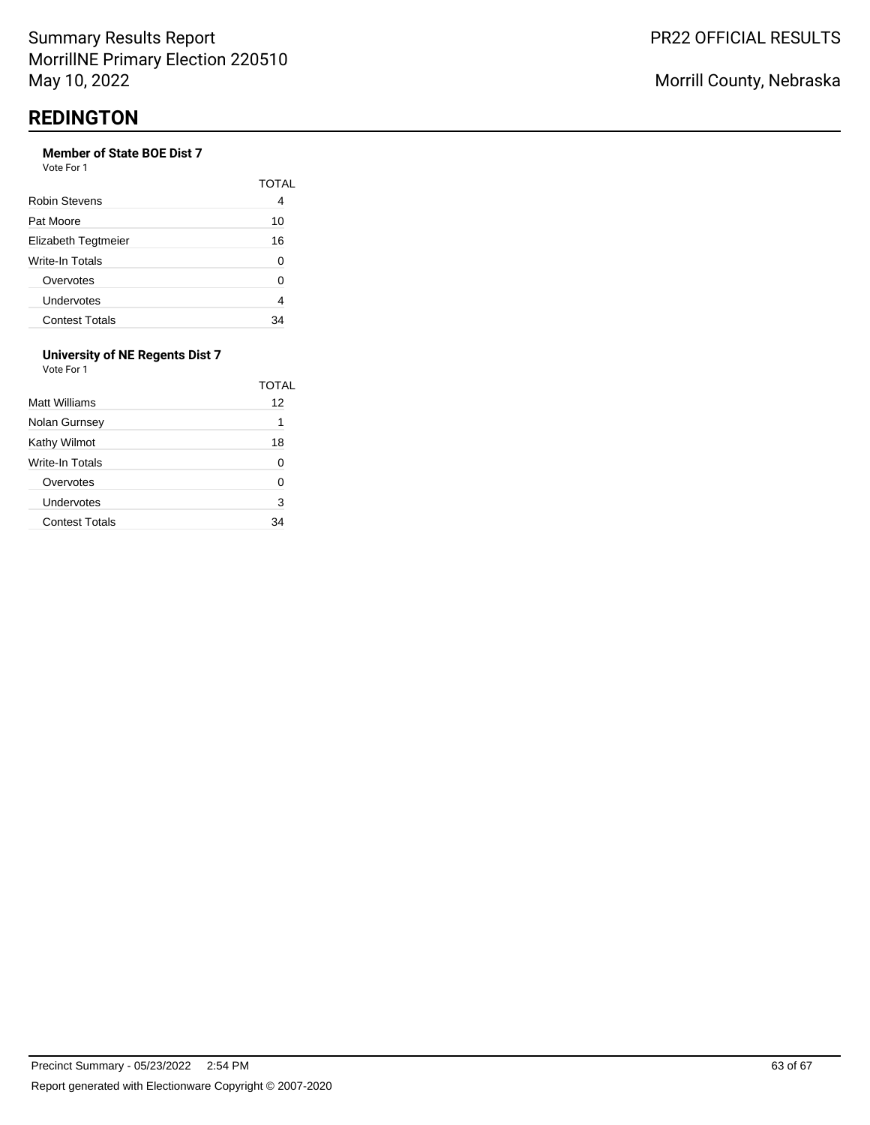## **Member of State BOE Dist 7**

Vote For 1

|                       | TOTAI |
|-----------------------|-------|
| Robin Stevens         | 4     |
| Pat Moore             | 10    |
| Elizabeth Tegtmeier   | 16    |
| Write-In Totals       | O     |
| Overvotes             | ი     |
| Undervotes            | 4     |
| <b>Contest Totals</b> | 34    |

#### **University of NE Regents Dist 7** Vote For 1

| Matt Williams         | TOTAL<br>12 |
|-----------------------|-------------|
| Nolan Gurnsey         | 1           |
| Kathy Wilmot          | 18          |
| Write-In Totals       | 0           |
| Overvotes             | O           |
| Undervotes            | 3           |
| <b>Contest Totals</b> | 34          |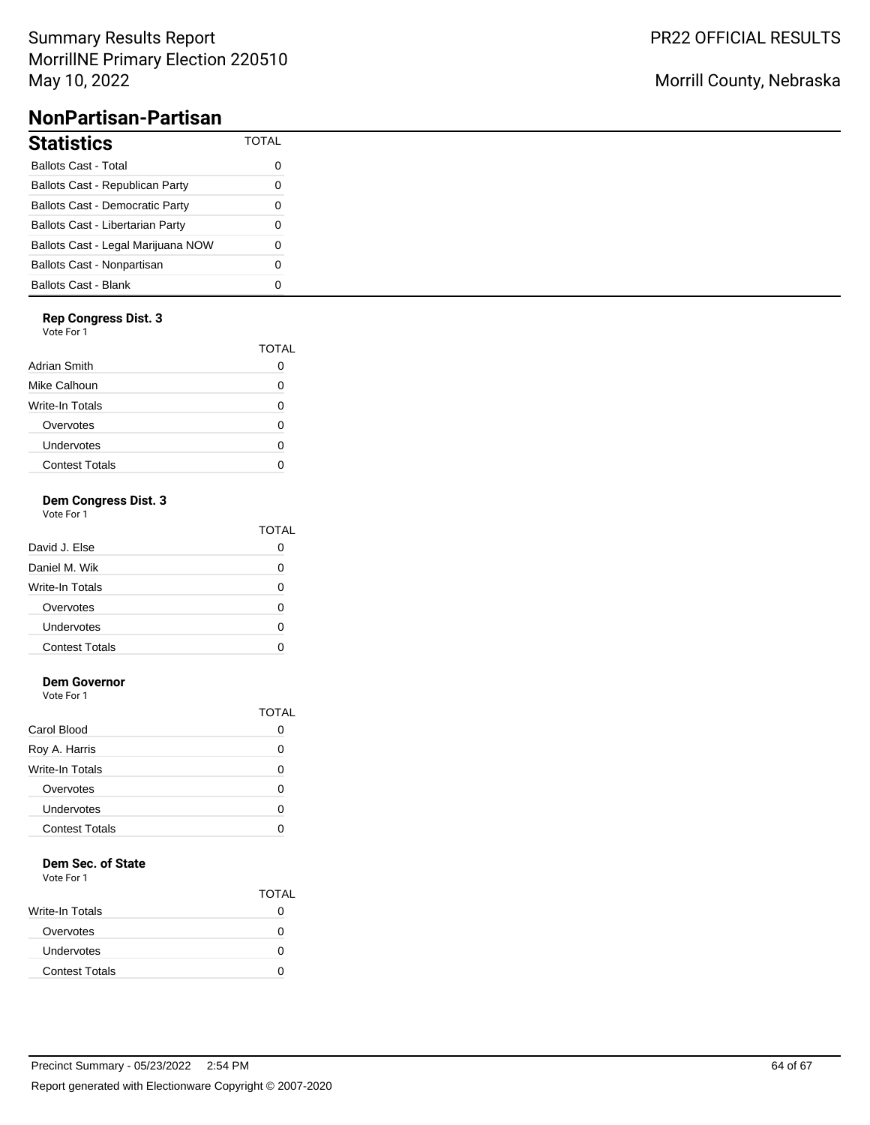# Summary Results Report MorrillNE Primary Election 220510 May 10, 2022

# **NonPartisan-Partisan**

| <b>Statistics</b>                       | TOTAI |
|-----------------------------------------|-------|
| <b>Ballots Cast - Total</b>             | O     |
| Ballots Cast - Republican Party         | O     |
| <b>Ballots Cast - Democratic Party</b>  | O     |
| <b>Ballots Cast - Libertarian Party</b> | O     |
| Ballots Cast - Legal Marijuana NOW      | O     |
| Ballots Cast - Nonpartisan              | O     |
| <b>Ballots Cast - Blank</b>             |       |

### **Rep Congress Dist. 3**

Vote For 1

|                       | TOTAL |
|-----------------------|-------|
| Adrian Smith          |       |
| Mike Calhoun          | O     |
| Write-In Totals       | U     |
| Overvotes             | O     |
| Undervotes            | U     |
| <b>Contest Totals</b> | O     |
|                       |       |

# **Dem Congress Dist. 3**

Vote For 1

| .                     |              |
|-----------------------|--------------|
|                       | <b>TOTAL</b> |
| David J. Else         |              |
| Daniel M. Wik         |              |
| Write-In Totals       | O            |
| Overvotes             | ∩            |
| Undervotes            |              |
| <b>Contest Totals</b> |              |
|                       |              |

## **Dem Governor**

Vote For 1

|                       | TOTAL        |
|-----------------------|--------------|
| Carol Blood           | $\mathbf{I}$ |
| Roy A. Harris         | O            |
| Write-In Totals       | U            |
| Overvotes             | ∩            |
| Undervotes            | O            |
| <b>Contest Totals</b> |              |

### **Dem Sec. of State**

Vote For 1

| TOTAL        |
|--------------|
| 0            |
| 0            |
| $\mathbf{I}$ |
|              |
|              |

# Morrill County, Nebraska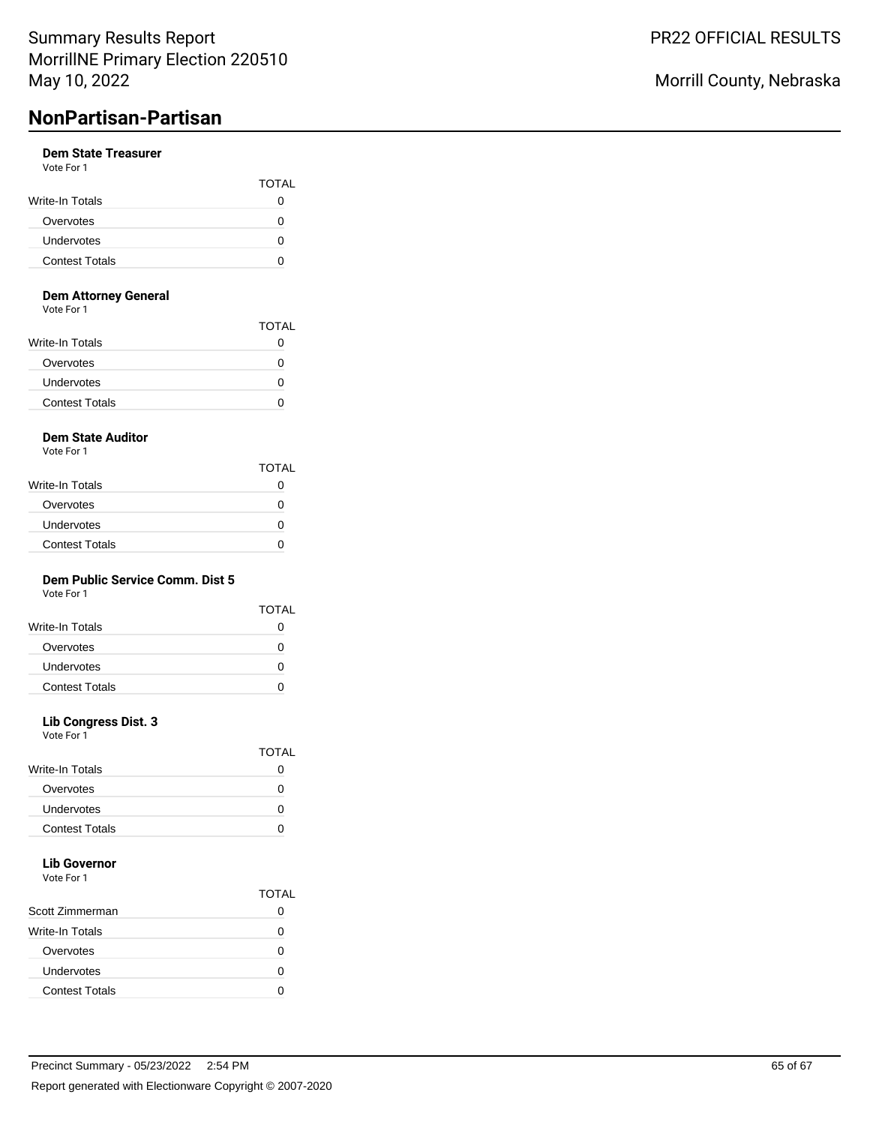# **NonPartisan-Partisan**

#### **Dem State Treasurer** Vote For 1

| <b>VALLET LITTLE</b>  |              |
|-----------------------|--------------|
|                       | <b>TOTAL</b> |
| Write-In Totals       |              |
| Overvotes             |              |
| <b>Undervotes</b>     |              |
| <b>Contest Totals</b> |              |

#### **Dem Attorney General**

Vote For 1

|                       | TOTAL |
|-----------------------|-------|
| Write-In Totals       |       |
| Overvotes             |       |
| Undervotes            |       |
| <b>Contest Totals</b> |       |

# **Dem State Auditor**

Vote For 1

|                       | <b>TOTAL</b>      |
|-----------------------|-------------------|
| Write-In Totals       | 0                 |
| Overvotes             | $\mathbf{I}$      |
| Undervotes            | $\mathbf{\Omega}$ |
| <b>Contest Totals</b> |                   |

## **Dem Public Service Comm. Dist 5**

Vote For 1

| Write-In Totals<br>Overvotes<br>0<br>Undervotes | TOTAI |
|-------------------------------------------------|-------|
|                                                 |       |
|                                                 |       |
|                                                 |       |
| <b>Contest Totals</b>                           |       |

### **Lib Congress Dist. 3**

Vote For 1

|                       | TOTAL |
|-----------------------|-------|
| Write-In Totals       |       |
| Overvotes             |       |
| Undervotes            |       |
| <b>Contest Totals</b> |       |

#### **Lib Governor** Vote For 1

|                        | TOTAL |
|------------------------|-------|
| Scott Zimmerman        |       |
| <b>Write-In Totals</b> |       |
| Overvotes              |       |
| Undervotes             |       |
| <b>Contest Totals</b>  |       |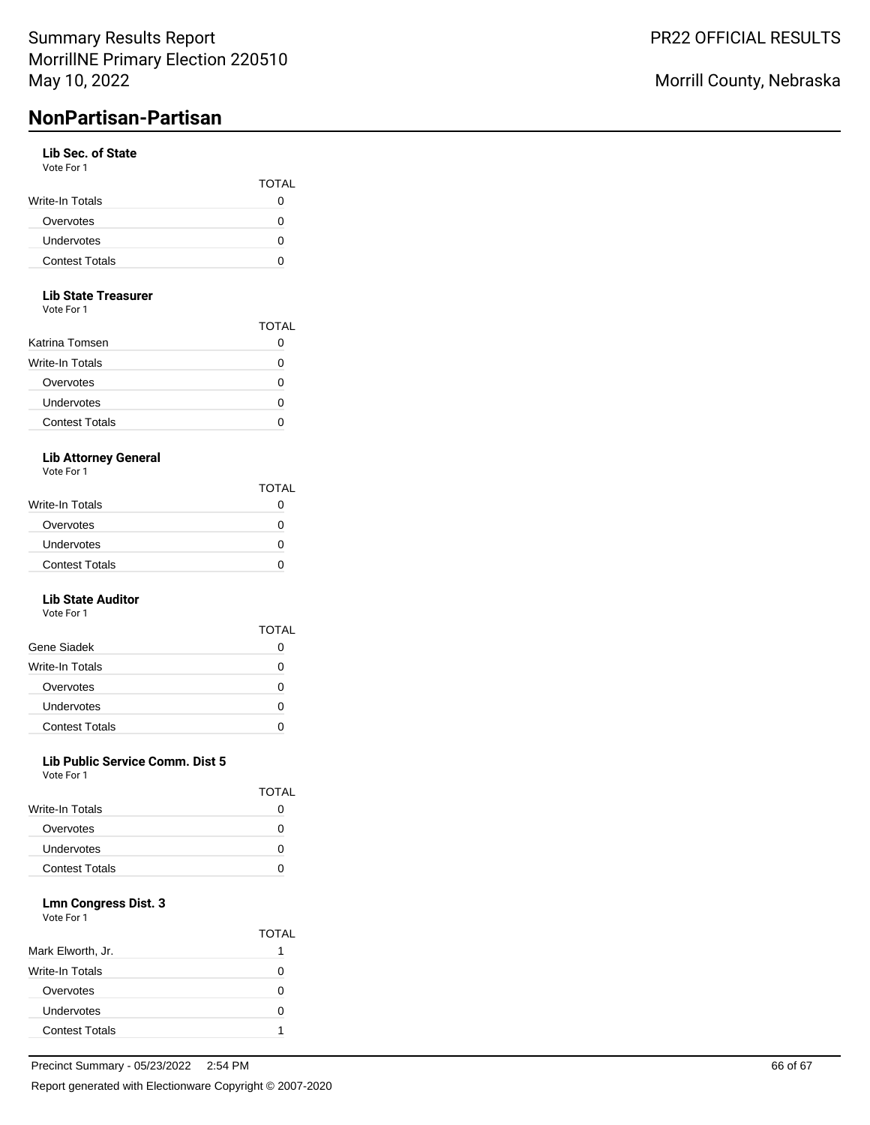# **NonPartisan-Partisan**

#### **Lib Sec. of State** Vote For 1

| .                     | <b>TOTAL</b> |
|-----------------------|--------------|
| Write-In Totals       |              |
| Overvotes             |              |
| <b>Undervotes</b>     |              |
| <b>Contest Totals</b> |              |

### **Lib State Treasurer**

Vote For 1

|                        | TOTAL |
|------------------------|-------|
| Katrina Tomsen         |       |
| <b>Write-In Totals</b> |       |
| Overvotes              | O     |
| Undervotes             |       |
| <b>Contest Totals</b>  |       |
|                        |       |

# **Lib Attorney General**

Vote For 1

|                        | <b>TOTAL</b> |
|------------------------|--------------|
| <b>Write-In Totals</b> |              |
| Overvotes              |              |
| Undervotes             |              |
| <b>Contest Totals</b>  |              |

#### **Lib State Auditor** Vote For 1

| .                     | TOTAL    |
|-----------------------|----------|
| Gene Siadek           |          |
| Write-In Totals       | O        |
| Overvotes             | O        |
| Undervotes            | $\lceil$ |
| <b>Contest Totals</b> |          |

### **Lib Public Service Comm. Dist 5**

Vote For 1

|                       | TOTAL |
|-----------------------|-------|
| Write-In Totals       |       |
| Overvotes             |       |
| Undervotes            |       |
| <b>Contest Totals</b> |       |
|                       |       |

### **Lmn Congress Dist. 3**

|                       | TOTAL |
|-----------------------|-------|
| Mark Elworth, Jr.     |       |
| Write-In Totals       | O     |
| Overvotes             | n     |
| Undervotes            | 0     |
| <b>Contest Totals</b> |       |